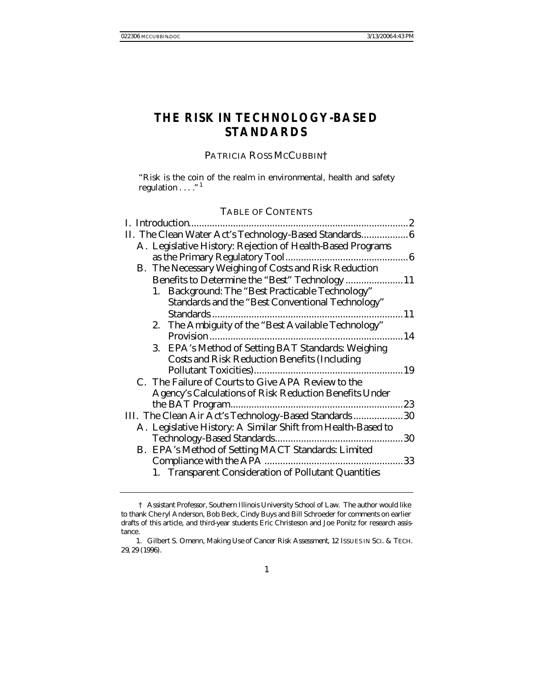# **THE RISK IN TECHNOLOGY-BASED STANDARDS**

## PATRICIA ROSS MCCUBBIN†

"Risk is the coin of the realm in environmental, health and safety regulation  $\dots$ ."<sup>1</sup>

# TABLE OF CONTENTS

| II. The Clean Water Act's Technology-Based Standards 6  |
|---------------------------------------------------------|
|                                                         |
|                                                         |
|                                                         |
| Benefits to Determine the "Best" Technology 11          |
|                                                         |
|                                                         |
| 11                                                      |
|                                                         |
| 14                                                      |
|                                                         |
|                                                         |
|                                                         |
|                                                         |
|                                                         |
| 23                                                      |
| III. The Clean Air Act's Technology-Based Standards  30 |
|                                                         |
|                                                         |
|                                                         |
|                                                         |
|                                                         |
|                                                         |

<sup>†</sup> Assistant Professor, Southern Illinois University School of Law. The author would like to thank Che ryl Anderson, Bob Beck, Cindy Buys and Bill Schroeder for comments on earlier drafts of this article, and third-year students Eric Christeson and Joe Ponitz for research assistance.

<sup>1.</sup> Gilbert S. Omenn, *Making Use of Cancer Risk Assessment*, 12 ISSUES IN SCI. & TECH. 29, 29 (1996).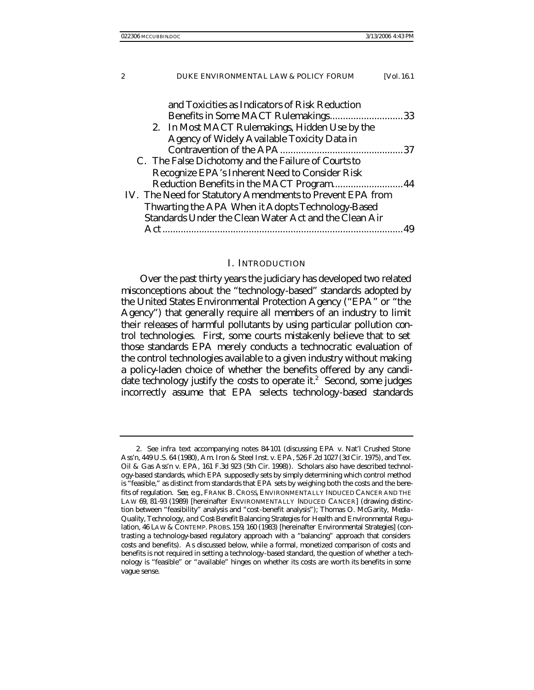| and Toxicities as Indicators of Risk Reduction            |    |
|-----------------------------------------------------------|----|
| Benefits in Some MACT Rulemakings33                       |    |
| 2. In Most MACT Rulemakings, Hidden Use by the            |    |
| <b>Agency of Widely Available Toxicity Data in</b>        |    |
|                                                           |    |
| C. The False Dichotomy and the Failure of Courts to       |    |
| <b>Recognize EPA's Inherent Need to Consider Risk</b>     |    |
| Reduction Benefits in the MACT Program 44                 |    |
| IV. The Need for Statutory Amendments to Prevent EPA from |    |
| Thwarting the APA When it Adopts Technology-Based         |    |
| Standards Under the Clean Water Act and the Clean Air     |    |
|                                                           | 49 |
|                                                           |    |

#### I. INTRODUCTION

Over the past thirty years the judiciary has developed two related misconceptions about the "technology-based" standards adopted by the United States Environmental Protection Agency ("EPA" or "the Agency") that generally require all members of an industry to limit their releases of harmful pollutants by using particular pollution control technologies. First, some courts mistakenly believe that to set those standards EPA merely conducts a technocratic evaluation of the control technologies available to a given industry without making a policy-laden choice of whether the benefits offered by any candidate technology justify the costs to operate it. $2$  Second, some judges incorrectly assume that EPA selects technology-based standards

<sup>2</sup>*. See infra* text accompanying notes 84-101 (discussing EPA v. Nat'l Crushed Stone Ass'n, 449 U.S. 64 (1980), Am. Iron & Steel Inst. v. EPA, 526 F.2d 1027 (3d Cir. 1975), and Tex. Oil & Gas Ass'n v. EPA, 161 F.3d 923 (5th Cir. 1998)). Scholars also have described technology-based standards, which EPA supposedly sets by simply determining which control method is "feasible," as distinct from standards that EPA sets by weighing both the costs and the benefits of regulation. *See, e.g.*, FRANK B. CROSS, ENVIRONMENTALLY INDUCED CANCER AND THE LAW 69, 81-93 (1989) [hereinafter ENVIRONMENTALLY INDUCED CANCER] (drawing distinction between "feasibility" analysis and "cost-benefit analysis"); Thomas O. McGarity, *Media - Quality, Technology, and Cost-Benefit Balancing Strategies for Health and Environmental Regulation*, 46 LAW & CONTEMP. PROBS.159, 160 (1983) [hereinafter *Environmental Strategies*] (contrasting a technology-based regulatory approach with a "balancing" approach that considers costs and benefits). As discussed below, while a formal, monetized comparison of costs and benefits is not required in setting a technology-based standard, the question of whether a technology is "feasible" or "available" hinges on whether its costs are worth its benefits in some vague sense.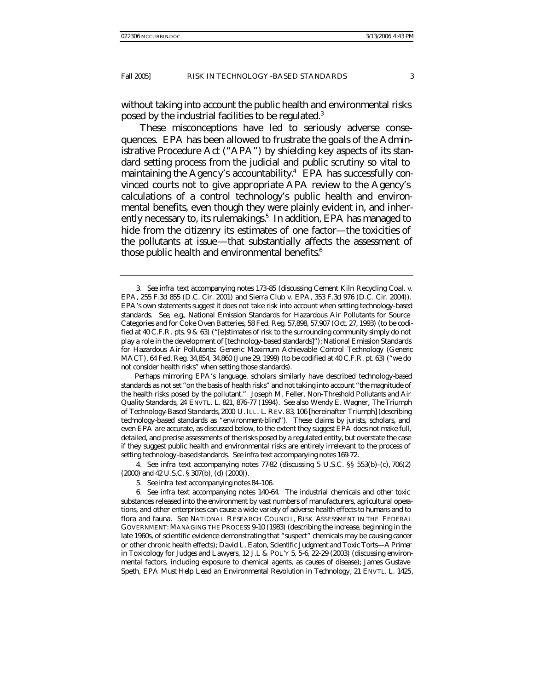without taking into account the public health and environmental risks posed by the industrial facilities to be regulated.<sup>3</sup>

These misconceptions have led to seriously adverse consequences. EPA has been allowed to frustrate the goals of the Administrative Procedure Act ("APA") by shielding key aspects of its standard setting process from the judicial and public scrutiny so vital to maintaining the Agency's accountability.<sup>4</sup> EPA has successfully convinced courts not to give appropriate APA review to the Agency's calculations of a control technology's public health and environmental benefits, even though they were plainly evident in, and inherently necessary to, its rulemakings.<sup>5</sup> In addition, EPA has managed to hide from the citizenry its estimates of one factor—the toxicities of the pollutants at issue—that substantially affects the assessment of those public health and environmental benefits.<sup>6</sup>

Perhaps mirroring EPA's language, scholars similarly have described technology-based standards as not set "on the basis of health risks" and not taking into account "the magnitude of the health risks posed by the pollutant." Joseph M. Feller, *Non-Threshold Pollutants and Air Quality Standards*, 24 ENVTL. L. 821, 876-77 (1994). *See also* Wendy E. Wagner, *The Triumph of Technology-Based Standards*, 2000 U.ILL. L. REV. 83, 106 [hereinafter *Triumph*] (describing technology-based standards as "environment-blind"). These claims by jurists, scholars, and even EPA are accurate, as discussed below, to the extent they suggest EPA does not make full, detailed, and precise assessments of the risks posed by a regulated entity, but overstate the case if they suggest public health and environmental risks are entirely irrelevant to the process of setting technology-based standards. *See infra* text accompanying notes 169-72.

4*. See infra* text accompanying notes 77-82 (discussing 5 U.S.C. §§ 553(b)-(c), 706(2) (2000) and 42 U.S.C. § 307(b), (d) (2000)).

5*. See infra* text accompanying notes 84-106.

6*. See infra* text accompanying notes 140-64. The industrial chemicals and other toxic substances released into the environment by vast numbers of manufacturers, agricultural operations, and other enterprises can cause a wide variety of adverse health effects to humans and to flora and fauna. *See* NATIONAL RESEARCH COUNCIL, RISK ASSESSMENT IN THE FEDERAL GOVERNMENT: MANAGING THE PROCESS 9-10 (1983) (describing the increase, beginning in the late 1960s, of scientific evidence demonstrating that "suspect" chemicals may be causing cancer or other chronic health effects); David L. Eaton, *Scientific Judgment and Toxic Torts—A Primer in Toxicology for Judges and Lawyers*, 12 J.L & POL'Y 5, 5-6, 22-29 (2003) (discussing environmental factors, including exposure to chemical agents, as causes of disease); James Gustave Speth, *EPA Must Help Lead an Environmental Revolution in Technology*, 21 ENVTL. L. 1425,

<sup>3</sup>*. See infra* text accompanying notes 173-85 (discussing Cement Kiln Recycling Coal. v. EPA, 255 F.3d 855 (D.C. Cir. 2001) and Sierra Club v. EPA, 353 F.3d 976 (D.C. Cir. 2004)). EPA's own statements suggest it does not take risk into account when setting technology-based standards. *See, e.g.*, National Emission Standards for Hazardous Air Pollutants for Source Categories and for Coke Oven Batteries, 58 Fed. Reg. 57,898, 57,907 (Oct. 27, 1993) (to be codified at 40 C.F.R. pts. 9 & 63) ("[e]stimates of risk to the surrounding community simply do not play a role in the development of [technology-based standards]"); National Emission Standards for Hazardous Air Pollutants: Generic Maximum Achievable Control Technology (Generic MACT), 64 Fed. Reg. 34,854, 34,860 (June 29, 1999) (to be codified at 40 C.F.R. pt. 63) ("we do not consider health risks" when setting those standards).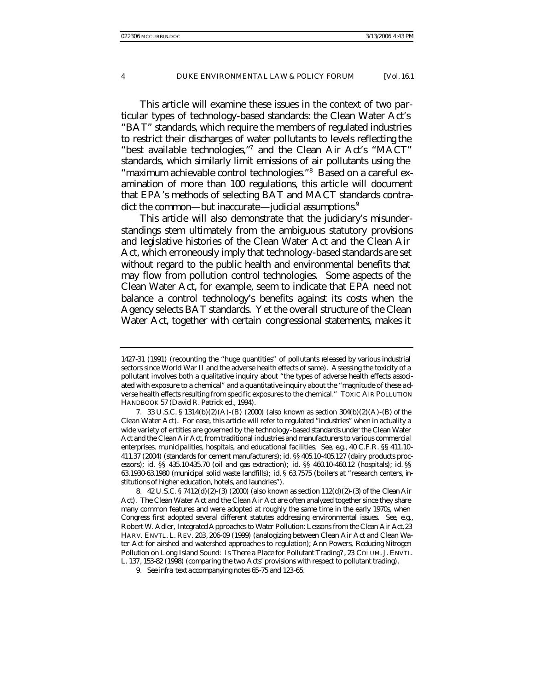This article will examine these issues in the context of two particular types of technology-based standards: the Clean Water Act's "BAT" standards, which require the members of regulated industries to restrict their discharges of water pollutants to levels reflecting the "best available technologies,"7 and the Clean Air Act's "MACT" standards, which similarly limit emissions of air pollutants using the "maximum achievable control technologies."<sup>8</sup> Based on a careful examination of more than 100 regulations, this artic le will document that EPA's methods of selecting BAT and MACT standards contradict the common—but inaccurate—judicial assumptions.<sup>9</sup>

This article will also demonstrate that the judiciary's misunderstandings stem ultimately from the ambiguous statutory provisions and legislative histories of the Clean Water Act and the Clean Air Act, which erroneously imply that technology-based standards are set without regard to the public health and environmental benefits that may flow from pollution control technologies. Some aspects of the Clean Water Act, for example, seem to indicate that EPA need not balance a control technology's benefits against its costs when the Agency selects BAT standards. Yet the overall structure of the Clean Water Act, together with certain congressional statements, makes it

<sup>1427-31 (1991) (</sup>recounting the "huge quantities" of pollutants released by various industrial sectors since World War II and the adverse health effects of same). Assessing the toxicity of a pollutant involves both a qualitative inquiry about "the types of adverse health effects associated with exposure to a chemical" and a quantitative inquiry about the "magnitude of these adverse health effects resulting from specific exposures to the chemical." TOXIC AIR POLLUTION HANDBOOK 57 (David R. Patrick ed., 1994).

<sup>7.</sup> 33 U.S.C. § 1314(b)(2)(A)-(B) (2000) (also known as section 304(b)(2)(A)-(B) of the Clean Water Act). For ease, this article will refer to regulated "industries" when in actuality a wide variety of entities are governed by the technology-based standards under the Clean Water Act and the Clean Air Act, from traditional industries and manufacturers to various commercial enterprises, municipalities, hospitals, and educational facilities. *See, e.g.*, 40 C.F.R. §§ 411.10- 411.37 (2004) (standards for cement manufacturers); *id.* §§ 405.10-405.127 (dairy products processors); *id.* §§ 435.10-435.70 (oil and gas extraction); *id.* §§ 460.10-460.12 (hospitals); *id.* §§ 63.1930-63.1980 (municipal solid waste landfills); *id.* § 63.7575 (boilers at "research centers, institutions of higher education, hotels, and laundries").

<sup>8.</sup> 42 U.S.C. § 7412(d)(2)-(3) (2000) (also known as section 112(d)(2)-(3) of the Clean Air Act). The Clean Water Act and the Clean Air Act are often analyzed together since they share many common features and were adopted at roughly the same time in the early 1970s, when Congress first adopted several different statutes addressing environmental issues. *See, e.g.*, Robert W. Adler, *Integrated Approaches to Water Pollution: Lessons from the Clean Air Act*, 23 HARV. ENVTL. L. REV. 203, 206-09 (1999) (analogizing between Clean Air Act and Clean Water Act for airshed and watershed approache s to regulation); Ann Powers, *Reducing Nitrogen Pollution on Long Island Sound: Is There a Place for Pollutant Trading?*, 23 COLUM. J. ENVTL. L. 137, 153-82 (1998) (comparing the two Acts' provisions with respect to pollutant trading).

<sup>9</sup>*. See infra* text accompanying notes 65-75 and 123-65.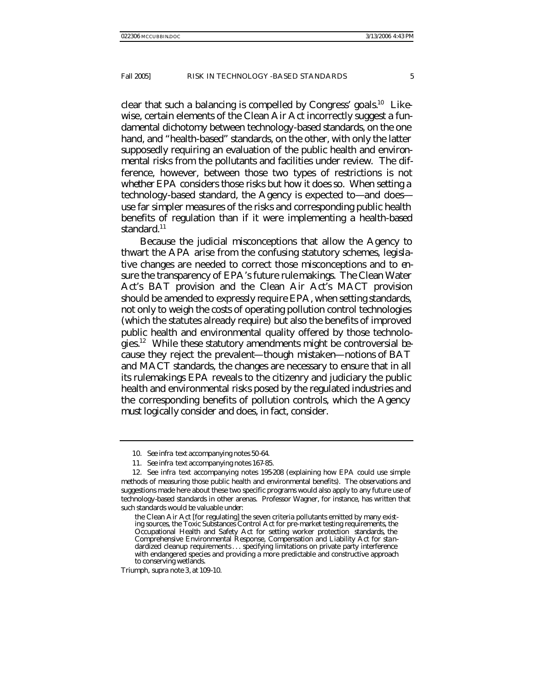clear that such a balancing is compelled by Congress' goals.<sup>10</sup> Likewise, certain elements of the Clean Air Act incorrectly suggest a fundamental dichotomy between technology-based standards, on the one hand, and "health-based" standards, on the other, with only the latter supposedly requiring an evaluation of the public health and environmental risks from the pollutants and facilities under review. The difference, however, between those two types of restrictions is not *whether* EPA considers those risks but *how* it does so. When setting a technology-based standard, the Agency is expected to—and does use far simpler measures of the risks and corresponding public health benefits of regulation than if it were implementing a health-based standard.<sup>11</sup>

Because the judicial misconceptions that allow the Agency to thwart the APA arise from the confusing statutory schemes, legislative changes are needed to correct those misconceptions and to ensure the transparency of EPA's future rulemakings. The Clean Water Act's BAT provision and the Clean Air Act's MACT provision should be amended to expressly require EPA, when setting standards, not only to weigh the costs of operating pollution control technologies (which the statutes already require) but also the benefits of improved public health and environmental quality offered by those technologies.<sup>12</sup> While these statutory amendments might be controversial because they reject the prevalent—though mistaken—notions of BAT and MACT standards, the changes are necessary to ensure that in all its rulemakings EPA reveals to the citizenry and judiciary the public health and environmental risks posed by the regulated industries and the corresponding benefits of pollution controls, which the Agency must logically consider and does, in fact, consider.

<sup>10</sup>*. See infra* text accompanying notes 50-64.

<sup>11</sup>*. See infra* text accompanying notes 167-85.

<sup>12</sup>*. See infra* text accompanying notes 195-208 (explaining how EPA could use simple methods of measuring those public health and environmental benefits). The observations and suggestions made here about these two specific programs would also apply to any future use of technology-based standards in other arenas. Professor Wagner, for instance, has written that such standards would be valuable under:

the Clean Air Act [for regulating] the seven criteria pollutants emitted by many existing sources, the Toxic Substances Control Act for pre-market testing requirements, the Occupational Health and Safety Act for setting worker protection standards, the Comprehensive Environmental Response, Compensation and Liability Act for standardized cleanup requirements. . . specifying limitations on private party interference with endangered species and providing a more predictable and constructive approach to conserving wetlands.

*Triumph*, *supra* note 3, at 109-10.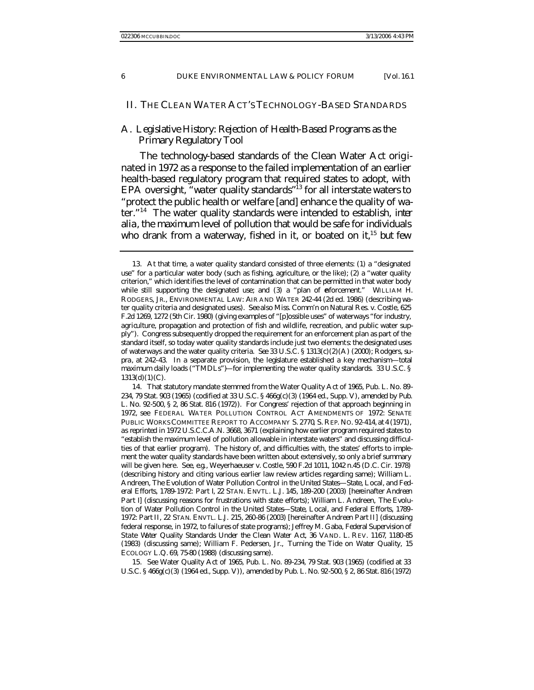#### II. THE CLEAN WATER ACT'S TECHNOLOGY-BASED STANDARDS

### A. *Legislative History: Rejection of Health-Based Programs as the Primary Regulatory Tool*

The technology-based standards of the Clean Water Act originated in 1972 as a response to the failed implementation of an earlier health-based regulatory program that required states to adopt, with EPA oversight, "water quality standards"<sup>13</sup> for all interstate waters to "protect the public health or welfare [and] enhanc e the quality of water."<sup>14</sup> The water quality standards were intended to establish, *inter alia*, the maximum level of pollution that would be safe for individuals who drank from a waterway, fished in it, or boated on it,<sup>15</sup> but few

14. That statutory mandate stemmed from the Water Quality Act of 1965, Pub. L. No. 89- 234, 79 Stat. 903 (1965) (codified at 33 U.S.C. § 466g(c)(3) (1964 ed., Supp. V), *amended by* Pub. L. No. 92-500, § 2, 86 Stat. 816 (1972)). For Congress' rejection of that approach beginning in 1972, see FEDERAL WATER POLLUTION CONTROL ACT AMENDMENTS OF 1972: SENATE PUBLIC WORKS COMMITTEE REPORT TO ACCOMPANY S. 2770, S. REP. NO. 92-414, at 4 (1971), *as reprinted in* 1972 U.S.C.C.A.N. 3668, 3671 (explaining how earlier program required states to "establish the maximum level of pollution allowable in interstate waters" and discussing difficulties of that earlier program). The history of, and difficulties with, the states' efforts to implement the water quality standards have been written about extensively, so only a brief summary will be given here. *See, e.g.*, Weyerhaeuser v. Costle, 590 F.2d 1011, 1042 n.45 (D.C. Cir. 1978) (describing history and citing various earlier law review articles regarding same); William L. Andreen, *The Evolution of Water Pollution Control in the United States*—*State, Local, and Federal Efforts, 1789-1972: Part I*, 22 STAN. ENVTL. L.J. 145, 189-200 (2003) [hereinafter *Andreen Part I*] (discussing reasons for frustrations with state efforts); William L. Andreen, *The Evolution of Water Pollution Control in the United States*—*State, Local, and Federal Efforts, 1789- 1972: Part II*, 22 STAN. ENVTL. L.J. 215, 260-86 (2003) [hereinafter *Andreen Part II*] (discussing federal response, in 1972, to failures of state programs); Jeffrey M. Gaba, *Federal Supervision of State Water Quality Standards Under the Clean Water Act*, 36 VAND. L. REV. 1167, 1180-85 (1983) (discussing same); William F. Pedersen, Jr., *Turning the Tide on Water Quality*, 15 ECOLOGY L.Q. 69, 75-80 (1988) (discussing same).

15*. See* Water Quality Act of 1965, Pub. L. No. 89-234, 79 Stat. 903 (1965) (codified at 33 U.S.C. § 466g(c)(3) (1964 ed., Supp. V)), *amended by* Pub. L. No. 92-500, § 2, 86 Stat. 816 (1972)

<sup>13.</sup> At that time, a water quality standard consisted of three elements: (1) a "designated use" for a particular water body (such as fishing, agriculture, or the like); (2) a "water quality criterion," which identifies the level of contamination that can be permitted in that water body while still supporting the designated use; and (3) a "plan of enforcement." WILLIAM H. RODGERS, JR., ENVIRONMENTAL LAW: AIR AND WATER 242-44 (2d ed. 1986) (describing water quality criteria and designated uses). *See also* Miss. Comm'n on Natural Res. v. Costle, 625 F.2d 1269, 1272 (5th Cir. 1980) (giving examples of "[p]ossible uses" of waterways "for industry, agriculture, propagation and protection of fish and wildlife, recreation, and public water supply"). Congress subsequently dropped the requirement for an enforcement plan as part of the standard itself, so today water quality standards include just two elements: the designated uses of waterways and the water quality criteria. *See* 33 U.S.C. § 1313(c)(2)(A) (2000); Rodgers, *supra*, at 242-43. In a separate provision, the legislature established a key mechanism—total maximum daily loads ("TMDLs")—for implementing the water quality standards. 33 U.S.C. §  $1313(d)(1)(C)$ .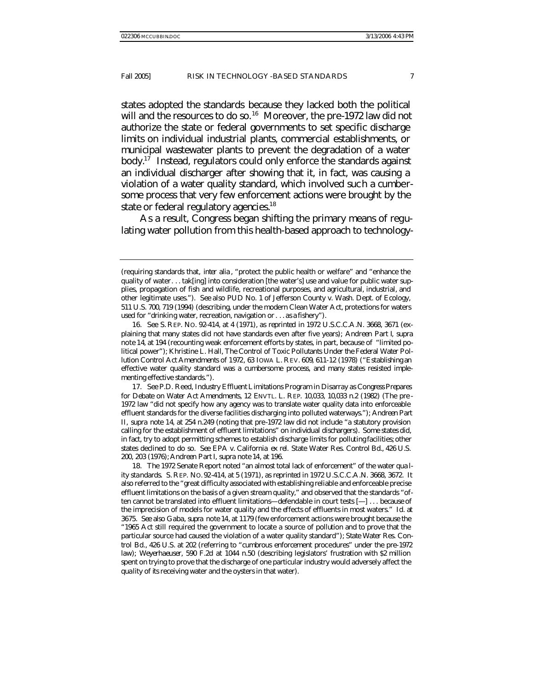states adopted the standards because they lacked both the political will and the resources to do so.<sup>16</sup> Moreover, the pre-1972 law did not authorize the state or federal governments to set specific discharge limits on individual industrial plants, commercial establishments, or municipal wastewater plants to prevent the degradation of a water body.<sup>17</sup> Instead, regulators could only enforce the standards against an individual discharger after showing that it, in fact, was causing a violation of a water quality standard, which involved such a cumbersome process that very few enforcement actions were brought by the state or federal regulatory agencies.<sup>18</sup>

As a result, Congress began shifting the primary means of regulating water pollution from this health-based approach to technology-

17*. See* P.D. Reed, *Industry Effluent Limitations Program in Disarray as Congress Prepares for Debate on Water Act Amendments*, 12 ENVTL. L. REP. 10,033, 10,033 n.2 (1982) (The pre - 1972 law "did not specify how any agency was to translate water quality data into enforceable effluent standards for the diverse facilities discharging into polluted waterways."); *Andreen Part II*, *supra* note 14, at 254 n.249 (noting that pre-1972 law did not include "a statutory provision calling for the establishment of effluent limitations" on individual dischargers). Some states did, in fact, try to adopt permitting schemes to establish discharge limits for polluting facilities; other states declined to do so. *See* EPA v. California *ex rel.* State Water Res. Control Bd., 426 U.S. 200, 203 (1976); *Andreen Part I*, *supra* note 14, at 196.

18. The 1972 Senate Report noted "an almost total lack of enforcement" of the water qua lity standards. S. REP. NO. 92-414, at 5 (1971), *as reprinted in* 1972 U.S.C.C.A.N. 3668, 3672. It also referred to the "great difficulty associated with establishing reliable and enforceable precise effluent limitations on the basis of a given stream quality," and observed that the standards "often cannot be translated into effluent limitations—defendable in court tests [—] . . . because of the imprecision of models for water quality and the effects of effluents in most waters." *Id.* at 3675. *See also* Gaba, *supra* note 14, at 1179 (few enforcement actions were brought because the "1965 Act still required the government to locate a source of pollution and to prove that the particular source had caused the violation of a water quality standard"); *State Water Res. Control Bd.*, 426 U.S. at 202 (referring to "cumbrous enforcement procedures" under the pre-1972 law); *Weyerhaeuser*, 590 F.2d at 1044 n.50 (describing legislators' frustration with \$2 million spent on trying to prove that the discharge of one particular industry would adversely affect the quality of its receiving water and the oysters in that water).

<sup>(</sup>requiring standards that, *inter alia* , "protect the public health or welfare" and "enhance the quality of water. . . tak[ing] into consideration [the water's] use and value for public water supplies, propagation of fish and wildlife, recreational purposes, and agricultural, industrial, and other legitimate uses."). *See also* PUD No. 1 of Jefferson County v. Wash. Dept. of Ecology, 511 U.S. 700, 719 (1994) (describing, under the modern Clean Water Act, protections for waters used for "drinking water, recreation, navigation or. . . as a fishery").

<sup>16</sup>*. See* S. REP. NO. 92-414, at 4 (1971), *as reprinted in* 1972 U.S.C.C.A.N. 3668, 3671 (explaining that many states did not have standards even after five years); *Andreen Part I*, *supra* note 14, at 194 (recounting weak enforcement efforts by states, in part, because of "limited political power"); Khristine L. Hall, *The Control of Toxic Pollutants Under the Federal Water Pollution Control Act Amendments of 1972*, 63 IOWA L. REV. 609, 611-12 (1978) ("Establishing an effective water quality standard was a cumbersome process, and many states resisted implementing effective standards.").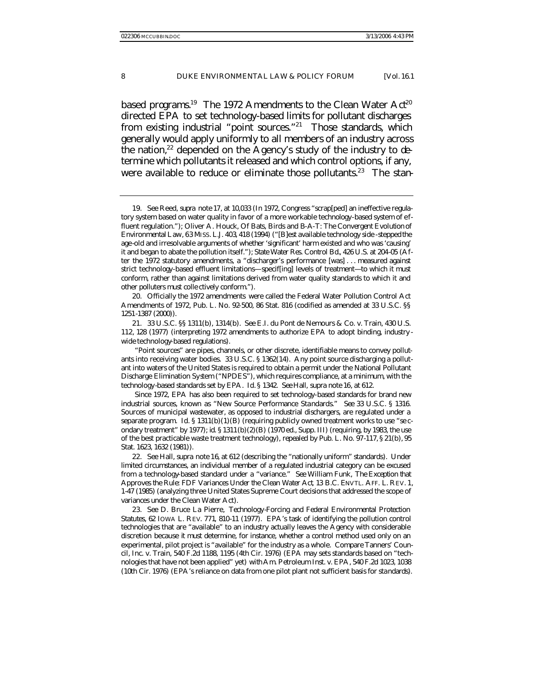based programs.<sup>19</sup> The 1972 Amendments to the Clean Water  $Act^{20}$ directed EPA to set technology-based limits for pollutant discharges from existing industrial "point sources."<sup>21</sup> Those standards, which generally would apply uniformly to all members of an industry across the nation, $22$  depended on the Agency's study of the industry to determine which pollutants it released and which control options, if any, were available to reduce or eliminate those pollutants.<sup>23</sup> The stan-

19*. See* Reed, *supra* note 17, at 10,033 (In 1972, Congress "scrap[ped] an ineffective regulatory system based on water quality in favor of a more workable technology-based system of effluent regulation."); Oliver A. Houck, *Of Bats, Birds and B-A-T: The Convergent Evolution of Environmental Law*, 63 MISS. L.J. 403, 418 (1994) ("[B]est available technology side -stepped the age-old and irresolvable arguments of whether 'significant' harm existed and who was 'causing' it and began to abate the pollution itself."); *State Water Res. Control Bd.*, 426 U.S. at 204-05 (After the 1972 statutory amendments, a "discharger's performance [was] . . . measured against strict technology-based effluent limitations—specif[ing] levels of treatment—to which it must conform, rather than against limitations derived from water quality standards to which it and other polluters must colle ctively conform.").

20. Officially the 1972 amendments were called the Federal Water Pollution Control Act Amendments of 1972, Pub. L. No. 92-500, 86 Stat. 816 (codified as amended at 33 U.S.C. §§ 1251-1387 (2000)).

21. 33 U.S.C. §§ 1311(b), 1314(b). *See* E.I. du Pont de Nemours & Co. v. Train, 430 U.S. 112, 128 (1977) (interpreting 1972 amendments to authorize EPA to adopt binding, industry wide technology-based regulations).

"Point sources" are pipes, channels, or other discrete, identifiable means to convey pollutants into receiving water bodies. 33 U.S.C. § 1362(14). Any point source discharging a pollutant into waters of the United States is required to obtain a permit under the National Pollutant Discharge Elimination System ("NPDES"), which requires compliance, at a minimum, with the technology-based standards set by EPA. *Id.* § 1342. *See* Hall, *supra* note 16, at 612.

Since 1972, EPA has also been required to set technology-based standards for brand new industrial sources, known as "New Source Performance Standards." *See* 33 U.S.C. § 1316. Sources of municipal wastewater, as opposed to industrial dischargers, are regulated under a separate program. *Id.* § 1311(b)(1)(B) (requiring publicly owned treatment works to use "se condary treatment" by 1977); *id.* § 1311(b)(2)(B) (1970 ed., Supp. III) (requiring, by 1983, the use of the best practicable waste treatment technology), *repealed by* Pub. L. No. 97-117, § 21(b), 95 Stat. 1623, 1632 (1981)).

22*. See* Hall, *supra* note 16, at 612 (describing the "nationally uniform" standards). Under limited circumstances, an individual member of a regulated industrial category can be excused from a technology-based standard under a "variance." *See* William Funk, *The Exception that Approves the Rule: FDF Variances Under the Clean Water Act*, 13 B.C. ENVTL. AFF. L. REV. 1, 1-47 (1985) (analyzing three United States Supreme Court decisions that addressed the scope of variances under the Clean Water Act).

23*. See* D. Bruce La Pierre, *Technology-Forcing and Federal Environmental Protection Statutes*, 62 IOWA L. REV. 771, 810-11 (1977). EPA's task of identifying the pollution control technologies that are "available" to an industry actually leaves the Agency with considerable discretion because it must determine, for instance, whether a control method used only on an experimental, pilot project is "available" for the industry as a whole. *Compare* Tanners' Council, Inc. v. Train, 540 F.2d 1188, 1195 (4th Cir. 1976) (EPA may sets standards based on "technologies that have not been applied" yet) *with* Am. Petroleum Inst. v. EPA, 540 F.2d 1023, 1038 (10th Cir. 1976) (EPA's reliance on data from one pilot plant not sufficient basis for standards).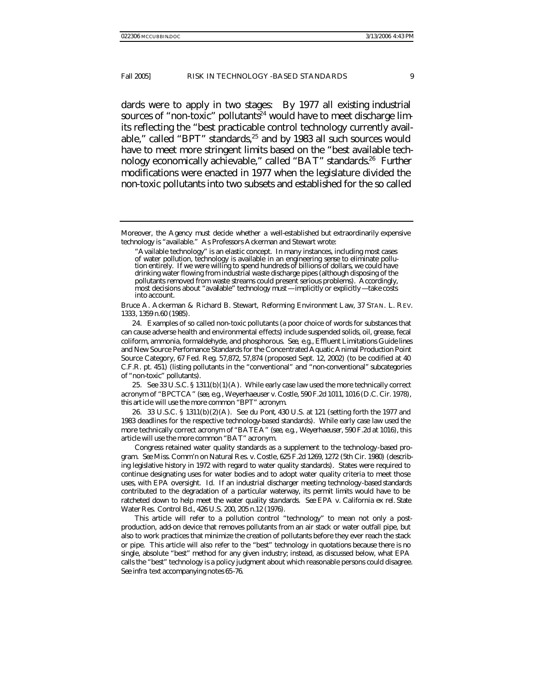dards were to apply in two stages: By 1977 all existing industrial sources of "non-toxic" pollutants<sup>24</sup> would have to meet discharge limits reflecting the "best practicable control technology currently available," called "BPT" standards, $25$  and by 1983 all such sources would have to meet more stringent limits based on the "best available technology economically achievable," called "BAT" standards.<sup>26</sup> Further modifications were enacted in 1977 when the legislature divided the non-toxic pollutants into two subsets and established for the so called

Moreover, the Agency must decide whether a well-established but extraordinarily expensive technology is "available." As Professors Ackerman and Stewart wrote:

Bruce A. Ackerman & Richard B. Stewart, *Reforming Environment Law*, 37 STAN. L. REV. 1333, 1359 n.60 (1985).

24. Examples of so called non-toxic pollutants (a poor choice of words for substances that can cause adverse health and environmental effects) include suspended solids, oil, grease, fecal coliform, ammonia, formaldehyde, and phosphorous. *See, e.g.*, Effluent Limitations Guide lines and New Source Perfomance Standards for the Concentrated Aquatic Animal Production Point Source Category, 67 Fed. Reg. 57,872, 57,874 (proposed Sept. 12, 2002) (to be codified at 40 C.F.R. pt. 451) (listing pollutants in the "conventional" and "non-conventional" subcategories of "non-toxic" pollutants).

25*. See* 33 U.S.C. § 1311(b)(1)(A). While early case law used the more technically correct acronym of "BPCTCA" (*see, e.g.*, Weyerhaeuser v. Costle, 590 F.2d 1011, 1016 (D.C. Cir. 1978), this article will use the more common "BPT" acronym.

26. 33 U.S.C. § 1311(b)(2)(A). *See du Pont*, 430 U.S. at 121 (setting forth the 1977 and 1983 deadlines for the respective technology-based standards). While early case law used the more technically correct acronym of "BATEA" (*see, e.g.*, *Weyerhaeuser*, 590 F.2d at 1016), this article will use the more common "BAT" acronym.

Congress retained water quality standards as a supplement to the technology-based program. *See* Miss. Comm'n on Natural Res. v. Costle, 625 F.2d 1269, 1272 (5th Cir. 1980) (describing legislative history in 1972 with regard to water quality standards). States were required to continue designating uses for water bodies and to adopt water quality criteria to meet those uses, with EPA oversight. *Id.* If an industrial discharger meeting technology-based standards contributed to the degradation of a particular waterway, its permit limits would have to be ratcheted down to help meet the water quality standards. *See* EPA v. California *ex rel.* State Water Res. Control Bd., 426 U.S. 200, 205 n.12 (1976).

This article will refer to a pollution control "technology" to mean not only a postproduction, add-on device that removes pollutants from an air stack or water outfall pipe, but also to work practices that minimize the creation of pollutants before they ever reach the stack or pipe. This article will also refer to the "best" technology in quotations because there is no single, absolute "best" method for any given industry; instead, as discussed below, what EPA calls the "best" technology is a policy judgment about which reasonable persons could disagree. *See infra* text accompanying notes 65-76.

<sup>&</sup>quot;Available technology" is an elastic concept. In many instances, including most cases of water pollution, technology is available in an engineering sense to eliminate pollution entirely. If we were willing to spend hundreds of billions of dollars, we could have drinking water flowing from industrial waste discharge pipes (although disposing of the pollutants removed from waste streams could present serious problems). Accordingly, most decisions about "available" technology must—implicitly or explicitly—take costs into account.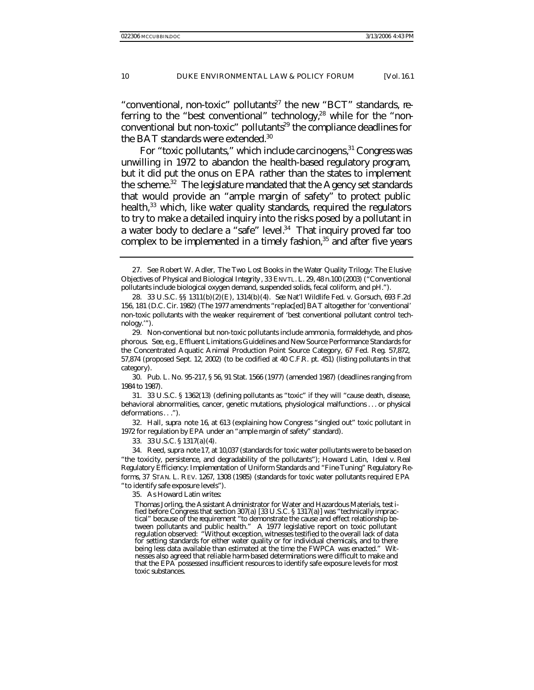"conventional, non-toxic" pollutants<sup>27</sup> the new "BCT" standards, referring to the "best conventional" technology, $28$  while for the "nonconventional but non-toxic" pollutants<sup>29</sup> the compliance deadlines for the BAT standards were extended.<sup>30</sup>

For "toxic pollutants," which include carcinogens, 31 Congress was unwilling in 1972 to abandon the health-based regulatory program, but it did put the onus on EPA rather than the states to implement the scheme.<sup>32</sup> The legislature mandated that the Agency set standards that would provide an "ample margin of safety" to protect public health,<sup>33</sup> which, like water quality standards, required the regulators to try to make a detailed inquiry into the risks posed by a pollutant in a water body to declare a "safe" level.<sup>34</sup> That inquiry proved far too complex to be implemented in a timely fashion, $35$  and after five years

32. Hall, *supra* note 16, at 613 (explaining how Congress "singled out" toxic pollutant in 1972 for regulation by EPA under an "ample margin of safety" standard).

33. 33 U.S.C. § 1317(a)(4).

35. As Howard Latin writes:

<sup>27</sup>*. See* Robert W. Adler, *The Two Lost Books in the Water Quality Trilogy: The Elusive Objectives of Physical and Biological Integrity* , 33 ENVTL. L. 29, 48 n.100 (2003) ("Conventional pollutants include biological oxygen demand, suspended solids, fecal coliform, and pH.").

<sup>28.</sup> 33 U.S.C. §§ 1311(b)(2)(E), 1314(b)(4). *See* Nat'l Wildlife Fed. v. Gorsuch, 693 F.2d 156, 181 (D.C. Cir. 1982) (The 1977 amendments "replac[ed] BAT altogether for 'conventional' non-toxic pollutants with the weaker requirement of 'best conventional pollutant control technology.'").

<sup>29.</sup> Non-conventional but non-toxic pollutants include ammonia, formaldehyde, and phosphorous. *See, e.g.*, Effluent Limitations Guidelines and New Source Performance Standards for the Concentrated Aquatic Animal Production Point Source Category, 67 Fed. Reg. 57,872, 57,874 (proposed Sept. 12, 2002) (to be codified at 40 C.F.R. pt. 451) (listing pollutants in that category).

<sup>30.</sup> Pub. L. No. 95-217, § 56, 91 Stat. 1566 (1977) (amended 1987) (deadlines ranging from 1984 to 1987).

<sup>31.</sup> 33 U.S.C. § 1362(13) (defining pollutants as "toxic" if they will "cause death, disease, behavioral abnormalities, cancer, genetic mutations, physiological malfunctions . . . or physical deformations. . .").

<sup>34.</sup> Reed, *supra* note 17, at 10,037 (standards for toxic water pollutants were to be based on "the toxicity, persistence, and degradability of the pollutants"); Howard Latin, *Ideal v. Real Regulatory Efficiency: Implementation of Uniform Standards and "Fine-Tuning" Regulatory Reforms*, 37 STAN. L. REV. 1267, 1308 (1985) (standards for toxic water pollutants required EPA "to identify safe exposure levels").

Thomas Jorling, the Assistant Administrator for Water and Hazardous Materials, testified before Congress that section 307(a) [33 U.S.C. § 1317(a)] was "technically impractical" because of the requirement "to demonstrate the cause and effect relationship between pollutants and public health." A 1977 legislative report on toxic pollutant regulation observed: "Without exception, witnesses testified to the overall lack of data for setting standards for either water quality or for individual chemicals, and to there being less data available than estimated at the time the FWPCA was enacted." Witnesses also agreed that reliable harm-based determinations were difficult to make and that the EPA possessed insufficient resources to identify safe exposure levels for most toxic substances.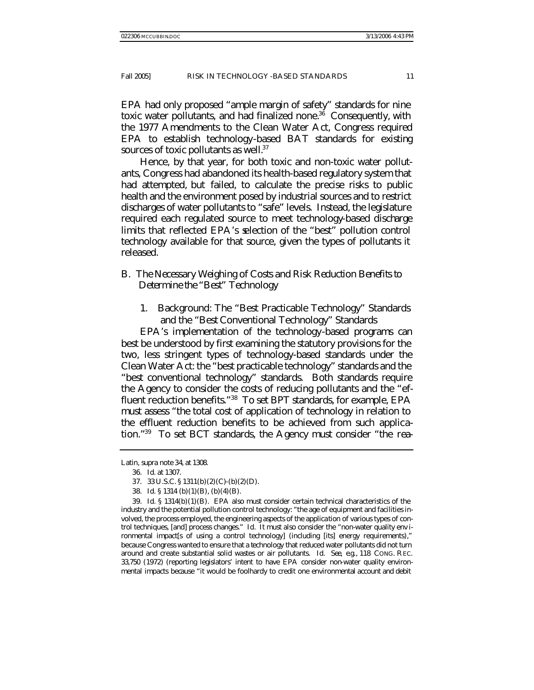EPA had only proposed "ample margin of safety" standards for nine toxic water pollutants, and had finalized none.<sup>36</sup> Consequently, with the 1977 Amendments to the Clean Water Act, Congress required EPA to establish technology-based BAT standards for existing sources of toxic pollutants as well.<sup>37</sup>

Hence, by that year, for both toxic and non-toxic water pollutants, Congress had abandoned its health-based regulatory system that had attempted, but failed, to calculate the precise risks to public health and the environment posed by industrial sources and to restrict discharges of water pollutants to "safe" levels. Instead, the legislature required each regulated source to meet technology-based discharge limits that reflected EPA's selection of the "best" pollution control technology available for that source, given the types of pollutants it released.

## B. *The Necessary Weighing of Costs and Risk Reduction Benefits to Determine the "Best" Technology*

1. Background: The "Best Practicable Technology" Standards and the "Best Conventional Technology" Standards

EPA's implementation of the technology-based programs can best be understood by first examining the statutory provisions for the two, less stringent types of technology-based standards under the Clean Water Act: the "best practicable technology" standards and the "best conventional technology" standards. Both standards require the Agency to consider the costs of reducing pollutants and the "effluent reduction benefits."<sup>38</sup> To set BPT standards, for example, EPA must assess "the total cost of application of technology in relation to the effluent reduction benefits to be achieved from such application."39 To set BCT standards, the Agency must consider "the rea-

Latin, *supra* note 34, at 1308.

<sup>36</sup>*. Id.* at 1307.

<sup>37.</sup> 33 U.S.C. § 1311(b)(2)(C)-(b)(2)(D).

<sup>38</sup>*. Id.* § 1314 (b)(1)(B), (b)(4)(B).

<sup>39</sup>*. Id.* § 1314(b)(1)(B). EPA also must consider certain technical characteristics of the industry and the potential pollution control technology: "the age of equipment and facilities involved, the process employed, the engineering aspects of the application of various types of control techniques, [and] process changes." *Id.* It must also consider the "non-water quality env ironmental impact[s of using a control technology] (including [its] energy requirements)," because Congress wanted to ensure that a technology that reduced water pollutants did not turn around and create substantial solid wastes or air pollutants. *Id. See, e.g.*, 118 CONG. REC. 33,750 (1972) (reporting legislators' intent to have EPA consider non-water quality environmental impacts because "it would be foolhardy to credit one environmental account and debit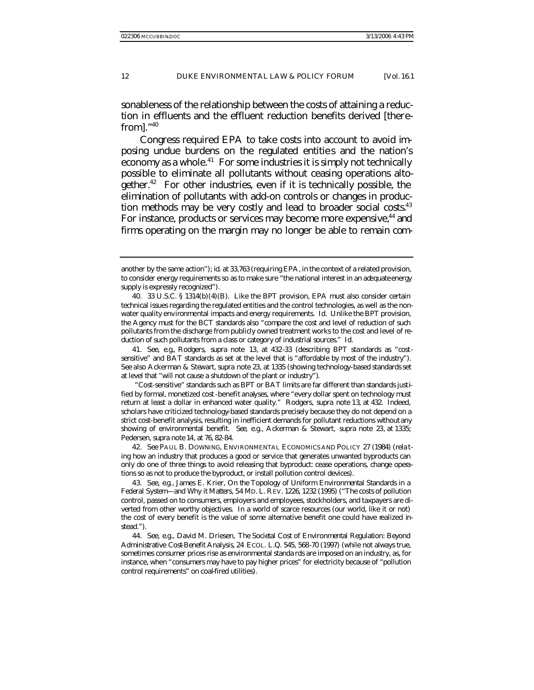sonableness of the relationship between the costs of attaining a reduction in effluents and the effluent reduction benefits derived [therefrom]. $1,40$ 

Congress required EPA to take costs into account to avoid imposing undue burdens on the regulated entities and the nation's economy as a whole.<sup>41</sup> For some industries it is simply not technically possible to eliminate all pollutants without ceasing operations altogether.<sup>42</sup> For other industries, even if it is technically possible, the elimination of pollutants with add-on controls or changes in production methods may be very costly and lead to broader social costs.<sup>43</sup> For instance, products or services may become more expensive,<sup>44</sup> and firms operating on the margin may no longer be able to remain com-

41*. See, e.g.*, Rodgers, *supra* note 13, at 432-33 (describing BPT standards as "costsensitive" and BAT standards as set at the level that is "affordable by most of the industry"). *See also* Ackerman & Stewart, *supra* note 23, at 1335 (showing technology-based standards set at level that "will not cause a shutdown of the plant or industry").

"Cost-sensitive" standards such as BPT or BAT limits are far different than standards justified by formal, monetized cost -benefit analyses, where "every dollar spent on technology must return at least a dollar in enhanced water quality." Rodgers, *supra* note 13, at 432. Indeed, scholars have criticized technology-based standards precisely because they do not depend on a strict cost-benefit analysis, resulting in inefficient demands for pollutant reductions without any showing of environmental benefit. *See, e.g.*, Ackerman & Stewart, *supra* note 23, at 1335; Pedersen, *supra* note 14, at 76, 82-84.

42*. See* PAUL B. DOWNING, ENVIRONMENTAL ECONOMICS AND POLICY 27 (1984) (rela ting how an industry that produces a good or service that generates unwanted byproducts can only do one of three things to avoid releasing that byproduct: cease operations, change operations so as not to produce the byproduct, or install pollution control devices).

43*. See, e.g.*, James E. Krier, *On the Topology of Uniform Environmental Standards in a Federal System—and Why it Matters*, 54 MD. L. REV. 1226, 1232 (1995) ("The costs of pollution control, passed on to consumers, employers and employees, stockholders, and taxpayers are diverted from other worthy objectives. In a world of scarce resources (our world, like it or not) the cost of every benefit is the value of some alternative benefit one could have realized instead.").

44*. See, e.g.*, David M. Driesen, *The Societal Cost of Environmental Regulation: Beyond Administrative Cost-Benefit Analysis*, 24 ECOL. L.Q. 545, 568-70 (1997) (while not always true, sometimes consumer prices rise as environmental standa rds are imposed on an industry, as, for instance, when "consumers may have to pay higher prices" for electricity because of "pollution control requirements" on coal-fired utilities).

another by the same action"); *id.* at 33,763 (requiring EPA, in the context of a related provision, to consider energy requirements so as to make sure "the national interest in an adequate energy supply is expressly recognized").

<sup>40.</sup> 33 U.S.C. § 1314(b)(4)(B). Like the BPT provision, EPA must also consider certain technical issues regarding the regulated entities and the control technologies, as well as the nonwater quality environmental impacts and energy requirements. *Id.* Unlike the BPT provision, the Agency must for the BCT standards also "compare the cost and level of reduction of such pollutants from the discharge from publicly owned treatment works to the cost and level of reduction of such pollutants from a class or category of industrial sources." *Id.*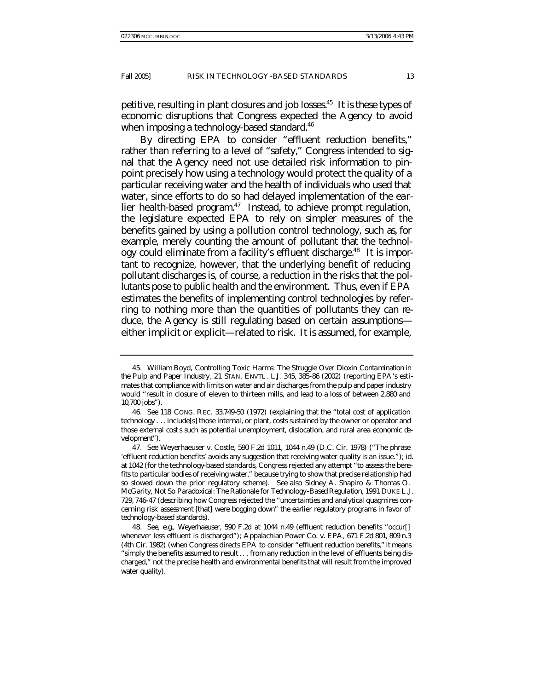petitive, resulting in plant closures and job losses.<sup>45</sup> It is these types of economic disruptions that Congress expected the Agency to avoid when imposing a technology-based standard.<sup>46</sup>

By directing EPA to consider "effluent reduction benefits," rather than referring to a level of "safety," Congress intended to signal that the Agency need not use detailed risk information to pinpoint precisely how using a technology would protect the quality of a particular receiving water and the health of individuals who used that water, since efforts to do so had delayed implementation of the earlier health-based program.<sup>47</sup> Instead, to achieve prompt regulation, the legislature expected EPA to rely on simpler measures of the benefits gained by using a pollution control technology, such as, for example, merely counting the amount of pollutant that the technology could eliminate from a facility's effluent discharge.<sup>48</sup> It is important to recognize, however, that the underlying benefit of reducing pollutant discharges is, of course, a reduction in the risks that the pollutants pose to public health and the environment. Thus, even if EPA estimates the benefits of implementing control technologies by referring to nothing more than the quantities of pollutants they can reduce, the Agency is still regulating based on certain assumptions either implicit or explicit—related to risk. It is assumed, for example,

<sup>45.</sup> William Boyd, *Controlling Toxic Harms: The Struggle Over Dioxin Contamination in the Pulp and Paper Industry*, 21 STAN. ENVTL. L.J. 345, 385-86 (2002) (reporting EPA's estimates that compliance with limits on water and air discharges from the pulp and paper industry would "result in closure of eleven to thirteen mills, and lead to a loss of between 2,880 and 10,700 jobs").

<sup>46</sup>*. See* 118 CONG. REC. 33,749-50 (1972) (explaining that the "total cost of application technology . . . include[s] those internal, or plant, costs sustained by the owner or operator and those external costs such as potential unemployment, dislocation, and rural area economic development").

<sup>47</sup>*. See* Weyerhaeuser v. Costle, 590 F.2d 1011, 1044 n.49 (D.C. Cir. 1978) ("The phrase 'effluent reduction benefits' avoids any suggestion that receiving water quality is an issue."); *id.* at 1042 (for the technology-based standards, Congress rejected any attempt "to assess the benefits to particular bodies of receiving water," because trying to show that precise relationship had so slowed down the prior regulatory scheme). *See also* Sidney A. Shapiro & Thomas O. McGarity, *Not So Paradoxical: The Rationale for Technology-Based Regulation*, 1991 DUKE L.J. 729, 746-47 (describing how Congress rejected the "uncertainties and analytical quagmires concerning risk assessment [that] were bogging down" the earlier regulatory programs in favor of technology-based standards).

<sup>48</sup>*. See, e.g.*, *Weyerhaeuser*, 590 F.2d at 1044 n.49 (effluent reduction benefits "occur[] whenever less effluent is discharged"); Appalachian Power Co. v. EPA, 671 F.2d 801, 809 n.3 (4th Cir. 1982) (when Congress directs EPA to consider "effluent reduction benefits," it means "simply the benefits assumed to result . . . from any reduction in the level of effluents being discharged," not the precise health and environmental benefits that will result from the improved water quality).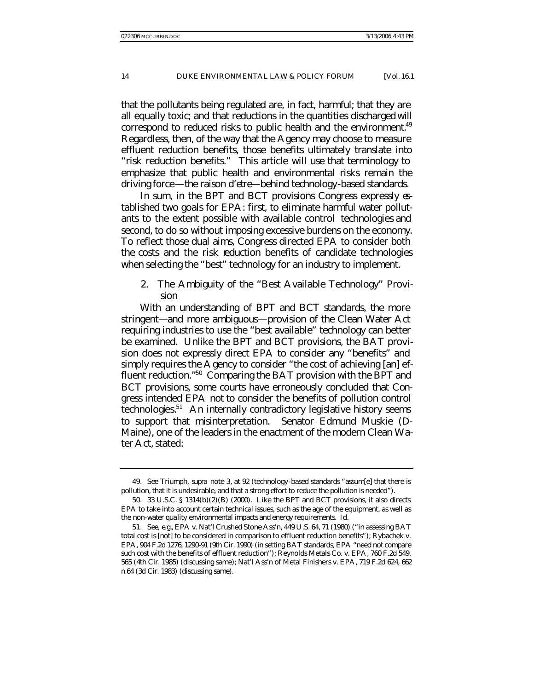that the pollutants being regulated are, in fact, harmful; that they are all equally toxic; and that reductions in the quantities discharged will correspond to reduced risks to public health and the environment.<sup>49</sup> Regardless, then, of the way that the Agency may choose to measure effluent reduction benefits, those benefits ultimately translate into "risk reduction benefits." This article will use that terminology to emphasize that public health and environmental risks remain the driving force—the *raison d'etre*—behind technology-based standards.

In sum, in the BPT and BCT provisions Congress expressly  $\mathfrak{g}$ tablished two goals for EPA: first, to eliminate harmful water pollutants to the extent possible with available control technologies and second, to do so without imposing excessive burdens on the economy. To reflect those dual aims, Congress directed EPA to consider both the costs *and* the risk reduction benefits of candidate technologies when selecting the "best" technology for an industry to implement.

2. The Ambiguity of the "Best Available Technology" Provision

With an understanding of BPT and BCT standards, the more stringent—and more ambiguous—provision of the Clean Water Act requiring industries to use the "best available" technology can better be examined. Unlike the BPT and BCT provisions, the BAT provision does not expressly direct EPA to consider any "benefits" and simply requires the Agency to consider "the cost of achieving [an] effluent reduction."<sup>50</sup> Comparing the BAT provision with the BPT and BCT provisions, some courts have erroneously concluded that Congress intended EPA *not* to consider the benefits of pollution control technologies.<sup>51</sup> An internally contradictory legislative history seems to support that misinterpretation. Senator Edmund Muskie (D-Maine), one of the leaders in the enactment of the modern Clean Water Act, stated:

<sup>49</sup>*. See Triumph*, *supra* note 3, at 92 (technology-based standards "assum[e] that there is pollution, that it is undesirable, and that a strong effort to reduce the pollution is needed").

<sup>50.</sup> 33 U.S.C. § 1314(b)(2)(B) (2000). Like the BPT and BCT provisions, it also directs EPA to take into account certain technical issues, such as the age of the equipment, as well as the non-water quality environmental impacts and energy requirements. *Id.*

<sup>51</sup>*. See, e.g.*, EPA v. Nat'l Crushed Stone Ass'n, 449 U.S. 64, 71 (1980) ("in assessing BAT total cost is [not] to be considered in comparison to effluent reduction benefits"); Rybachek v. EPA, 904 F.2d 1276, 1290-91 (9th Cir. 1990) (in setting BAT standards, EPA "need not compare such cost with the benefits of effluent reduction"); Reynolds Metals Co. v. EPA, 760 F.2d 549, 565 (4th Cir. 1985) (discussing same); Nat'l Ass'n of Metal Finishers v. EPA, 719 F.2d 624, 662 n.64 (3d Cir. 1983) (discussing same).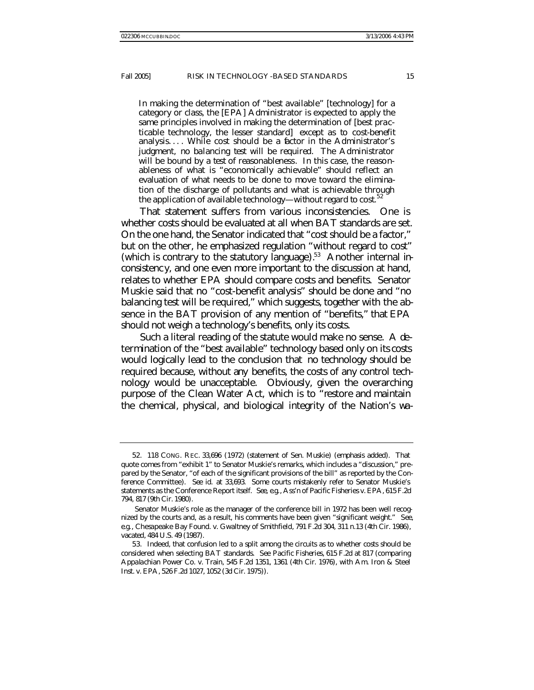In making the determination of "best available" [technology] for a category or class, the [EPA] Administrator is expected to apply the same principles involved in making the determination of [best practicable technology, the lesser standard] *except as to cost-benefit analysis*. . . . While cost should be a factor in the Administrator's judgment, *no balancing test will be required*. The Administrator will be bound by a *test of reasonableness*. In this case, the reasonableness of what is "economically achievable" should reflect an evaluation of what needs to be done to move toward the elimination of the discharge of pollutants and what is achievable through the application of available technology—*without regard to cost*. 52

That statement suffers from various inconsistencies. One is whether costs should be evaluated at all when BAT standards are set. On the one hand, the Senator indicated that "cost should be a factor," but on the other, he emphasized regulation "without regard to cost" (which is contrary to the statutory language).<sup>53</sup> Another internal inconsistency, and one even more important to the discussion at hand, relates to whether EPA should compare costs and benefits. Senator Muskie said that no "cost-benefit analysis" should be done and "no balancing test will be required," which suggests, together with the absence in the BAT provision of any mention of "benefits," that EPA should not weigh a technology's benefits, only its costs.

Such a literal reading of the statute would make no sense. A determination of the "best available" technology based only on its costs would logically lead to the conclusion that *no* technology should be required because, without *any* benefits, the costs of any control technology would be unacceptable. Obviously, given the overarching purpose of the Clean Water Act, which is to "restore and maintain the chemical, physical, and biological integrity of the Nation's wa-

<sup>52.</sup> 118 CONG. REC. 33,696 (1972) (statement of Sen. Muskie) (emphasis added). That quote comes from "exhibit 1" to Senator Muskie's remarks, which includes a "discussion," prepared by the Senator, "of each of the significant provisions of the bill" as reported by the Conference Committee). *See id.* at 33,693. Some courts mistakenly refer to Senator Muskie's statements as the Conference Report itself. *See, e.g.*, Ass'n of Pacific Fisheries v. EPA, 615 F.2d 794, 817 (9th Cir. 1980).

Senator Muskie's role as the manager of the conference bill in 1972 has been well recognized by the courts and, as a result, his comments have been given "significant weight." *See, e.g.*, Chesapeake Bay Found. v. Gwaltney of Smithfield, 791 F.2d 304, 311 n.13 (4th Cir. 1986), *vacated*, 484 U.S. 49 (1987).

<sup>53.</sup> Indeed, that confusion led to a split among the circuits as to whether costs should be considered when selecting BAT standards. *See Pacific Fisheries*, 615 F.2d at 817 (comparing Appalachian Power Co. v. Train, 545 F.2d 1351, 1361 (4th Cir. 1976), with Am. Iron & Steel Inst. v. EPA, 526 F.2d 1027, 1052 (3d Cir. 1975)).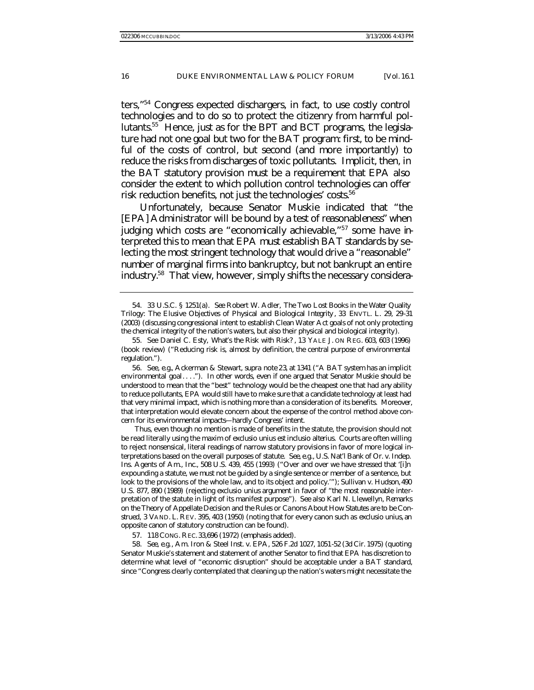ters,"<sup>54</sup> Congress expected dischargers, in fact, to use costly control technologies and to do so to protect the citizenry from harmful pollutants.55 Hence, just as for the BPT and BCT programs, the legislature had not one goal but two for the BAT program: first, to be mindful of the costs of control, but second (and more importantly) to reduce the risks from discharges of toxic pollutants. Implicit, then, in the BAT statutory provision must be a requirement that EPA also consider the extent to which pollution control technologies can offer risk reduction benefits, not just the technologies' costs. $56$ 

Unfortunately, because Senator Muskie indicated that "the [EPA] Administrator will be bound by a test of *reasonableness*" when judging which costs are "economically achievable,"57 some have interpreted this to mean that EPA must establish BAT standards by selecting the most stringent technology that would drive a "reasonable" number of marginal firms into bankruptcy, but not bankrupt an entire industry.58 That view, however, simply shifts the necessary considera-

56*. See, e.g.*, Ackerman & Stewart, *supra* note 23, at 1341 ("A BAT system has an implicit environmental goal. . . ."). In other words, even if one argued that Senator Muskie should be understood to mean that the "best" technology would be the cheapest one that had *any* ability to reduce pollutants, EPA would still have to make sure that a candidate technology at least had that very minimal impact, which is nothing more than a consideration of its benefits. Moreover, that interpretation would elevate concern about the expense of the control method above concern for its environmental impacts—hardly Congress' intent.

Thus, even though no mention is made of benefits in the statute, the provision should not be read literally using the maxim of *exclusio unius est inclusio alterius*. Courts are often willing to reject nonsensical, literal readings of narrow statutory provisions in favor of more logical interpretations based on the overall purposes of statute. *See, e.g.*, U.S. Nat'l Bank of Or. v. Indep. Ins. Agents of Am., Inc., 508 U.S. 439, 455 (1993) ("Over and over we have stressed that '[i]n expounding a statute, we must not be guided by a single sentence or member of a sentence, but look to the provisions of the whole law, and to its object and policy.""); Sullivan v. Hudson, 490 U.S. 877, 890 (1989) (rejecting *exclusio unius* argument in favor of "the most reasonable interpretation of the statute in light of its manifest purpose"). *See also* Karl N. Llewellyn, *Remarks on the Theory of Appellate Decision and the Rules or Canons About How Statutes are to be Construed*, 3 VAND. L. REV. 395, 403 (1950) (noting that for every canon such as *exclusio unius*, an opposite canon of statutory construction can be found).

57. 118 CONG. REC.33,696 (1972) (emphasis added).

58*. See, e.g.*, Am. Iron & Steel Inst. v. EPA, 526 F.2d 1027, 1051-52 (3d Cir. 1975) (quoting Senator Muskie's statement and statement of another Senator to find that EPA has discretion to determine what level of "economic disruption" should be acceptable under a BAT standard, since "Congress clearly contemplated that cleaning up the nation's waters might necessitate the

<sup>54.</sup> 33 U.S.C. § 1251(a). *See* Robert W. Adler, *The Two Lost Books in the Water Quality Trilogy: The Elusive Objectives of Physical and Biological Integrity* , 33 ENVTL. L. 29, 29-31 (2003) (discussing congressional intent to establish Clean Water Act goals of not only protecting the chemical integrity of the nation's waters, but also their physical and biological integrity).

<sup>55</sup>*. See* Daniel C. Esty, *What's the Risk with Risk?* , 13 YALE J. ON REG. 603, 603 (1996) (book review) ("Reducing risk is, almost by definition, the central purpose of environmental regulation.").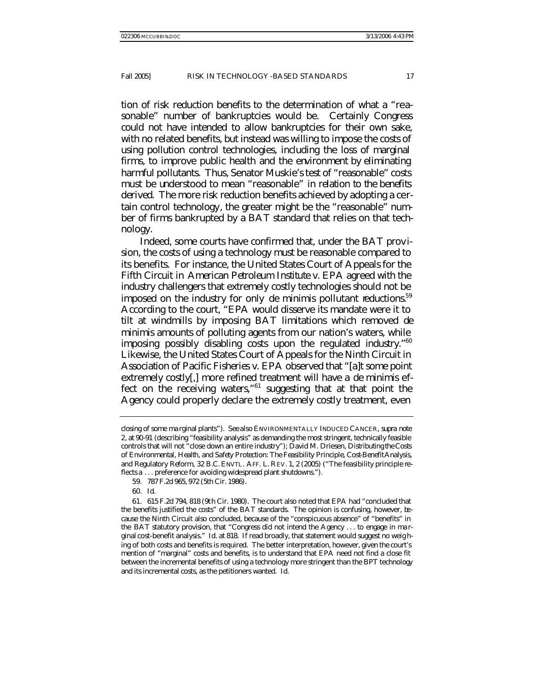tion of risk reduction benefits to the determination of what a "reasonable" number of bankruptcies would be. Certainly Congress could not have intended to allow bankruptcies for their own sake, with no related benefits, but instead was willing to impose the costs of using pollution control technologies, including the loss of marginal firms, to improve public health and the environment by eliminating harmful pollutants. Thus, Senator Muskie's test of "reasonable" costs must be understood to mean "reasonable" *in relation to the benefits derived*. The more risk reduction benefits achieved by adopting a certain control technology, the greater might be the "reasonable" number of firms bankrupted by a BAT standard that relies on that technology.

Indeed, some courts have confirmed that, under the BAT provision, the costs of using a technology must be reasonable compared to its benefits. For instance, the United States Court of Appeals for the Fifth Circuit in *American Petroleum Institute v. EPA* agreed with the industry challengers that extremely costly technologies should not be imposed on the industry for only *de minimis* pollutant reductions.<sup>59</sup> According to the court, "EPA would disserve its mandate were it to tilt at windmills by imposing BAT limitations which removed *de minimis* amounts of polluting agents from our nation's waters, while imposing possibly disabling costs upon the regulated industry."<sup>60</sup> Likewise, the United States Court of Appeals for the Ninth Circuit in *Association of Pacific Fisheries v. EPA* observed that "[a]t some point extremely costly[,] more refined treatment will have a *de minimis* effect on the receiving waters,"<sup>61</sup> suggesting that at that point the Agency could properly declare the extremely costly treatment, even

60*. Id.*

closing of some ma rginal plants"). *See also* ENVIRONMENTALLY INDUCED CANCER, *supra* note 2, at 90-91 (describing "feasibility analysis" as demanding the most stringent, technically feasible controls that will not "close down an entire industry"); David M. Driesen, *Distributing the Costs of Environmental, Health, and Safety Protection: The Feasibility Principle, Cost-Benefit Analysis, and Regulatory Reform*, 32 B.C. ENVTL. AFF. L. REV. 1, 2 (2005) ("The feasibility principle reflects a . . . preference for avoiding widespread plant shutdowns.").

<sup>59.</sup> 787 F.2d 965, 972 (5th Cir. 1986).

<sup>61.</sup> 615 F.2d 794, 818 (9th Cir. 1980). The court also noted that EPA had "concluded that the benefits justified the costs" of the BAT standards. The opinion is confusing, however, because the Ninth Circuit also concluded, because of the "conspicuous absence" of "benefits" in the BAT statutory provision, that "Congress did not intend the Agency . . . to engage in ma rginal cost-benefit analysis." *Id.* at 818. If read broadly, that statement would suggest no weig hing of both costs and benefits is required. The better interpretation, however, given the court's mention of "marginal" costs and benefits, is to understand that EPA need not find a close fit between the incremental benefits of using a technology more stringent than the BPT technology and its incremental costs, as the petitioners wanted. *Id.*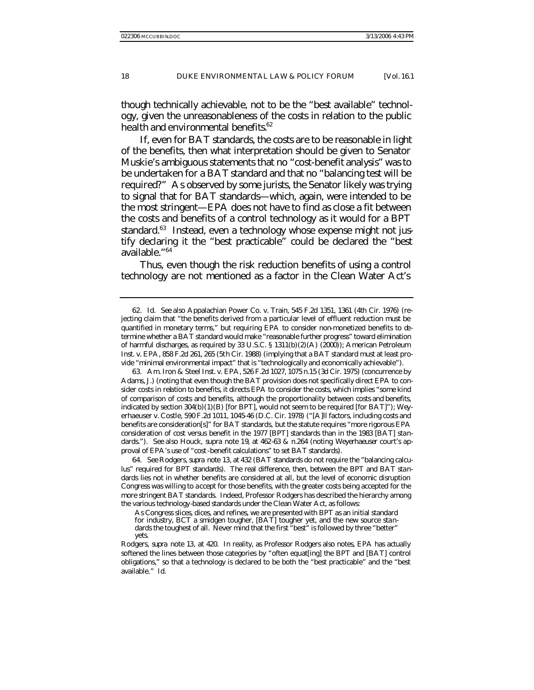though technically achievable, not to be the "best available" technology, given the unreasonableness of the costs in relation to the public health and environmental benefits.<sup>62</sup>

If, even for BAT standards, the costs are to be reasonable in light of the benefits, then what interpretation should be given to Senator Muskie's ambiguous statements that no "cost-benefit analysis" was to be undertaken for a BAT standard and that no "balancing test will be required?" As observed by some jurists, the Senator likely was trying to signal that for BAT standards—which, again, were intended to be the most stringent—EPA does not have to find as close a fit between the costs and benefits of a control technology as it would for a BPT standard.<sup>63</sup> Instead, even a technology whose expense might not justify declaring it the "best practicable" could be declared the "best available."<sup>64</sup>

Thus, even though the risk reduction benefits of using a control technology are not mentioned as a factor in the Clean Water Act's

64*. See* Rodgers, *supra* note 13, at 432 (BAT standards do not require the "balancing calculus" required for BPT standards). The real difference, then, between the BPT and BAT standards lies not in whether benefits are considered at all, but the level of economic disruption Congress was willing to accept for those benefits, with the greater costs being accepted for the more stringent BAT standards. Indeed, Professor Rodgers has described the hierarchy among the various technology-based standards under the Clean Water Act, as follows:

As Congress slices, dices, and refines, we are presented with BPT as an initial standard for industry, BCT a smidgen tougher, [BAT] tougher yet, and the new source standards the toughest of all. Never mind that the first "best" is followed by three "better" yets.

Rodgers, *supra* note 13, at 420. In reality, as Professor Rodgers also notes, EPA has actually softened the lines between those categories by "often equat[ing] the BPT and [BAT] control obligations," so that a technology is declared to be both the "best practicable" and the "best available." *Id.*

<sup>62</sup>*. Id. See also* Appalachian Power Co. v. Train, 545 F.2d 1351, 1361 (4th Cir. 1976) (rejecting claim that "the benefits derived from a particular level of effluent reduction must be quantified in monetary terms," but requiring EPA to consider non-monetized benefits to determine whether a BAT standard would make "reasonable further progress" toward elimination of harmful discharges, as required by 33 U.S.C. § 1311(b)(2)(A) (2000)); American Petroleum Inst. v. EPA, 858 F.2d 261, 265 (5th Cir. 1988) (implying that a BAT standard must at least provide "minimal environmental impact" that is "technologically and economically achievable").

<sup>63.</sup> Am. Iron & Steel Inst. v. EPA, 526 F.2d 1027, 1075 n.15 (3d Cir. 1975) (concurrence by Adams, J.) (noting that even though the BAT provision does not specifically direct EPA to consider costs in relation to benefits, it directs EPA to consider the costs, which implies "some kind of comparison of costs and benefits, although the proportionality between costs and benefits, indicated by section  $304(b)(1)(B)$  [for BPT], would not seem to be required [for BAT]"); Weyerhaeuser v. Costle, 590 F.2d 1011, 1045-46 (D.C. Cir. 1978) ("[A]ll factors, including costs and benefits are consideration[s]" for BAT standards, but the statute requires "more rigorous EPA consideration of cost versus benefit in the 1977 [BPT] standards than in the 1983 [BAT] standards."). *See also* Houck, *supra* note 19, at 462-63 & n.264 (noting *Weyerhaeuser* court's approval of EPA's use of "cost-benefit calculations" to set BAT standards).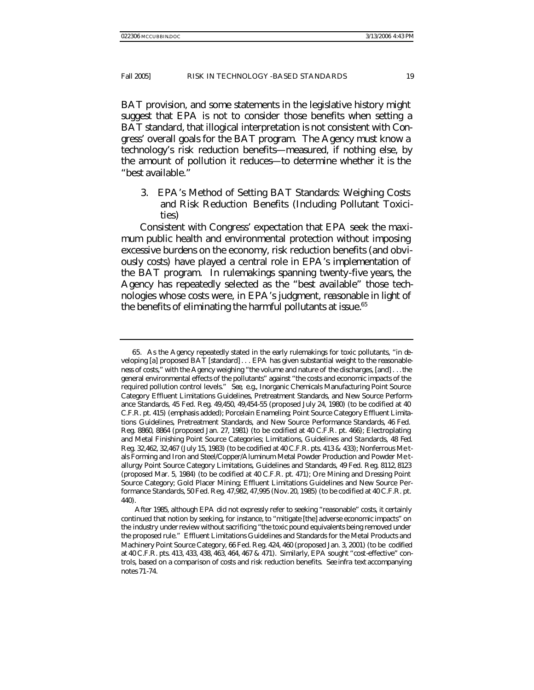BAT provision, and some statements in the legislative history might suggest that EPA is not to consider those benefits when setting a BAT standard, that illogical interpretation is not consistent with Congress' overall goals for the BAT program. The Agency must know a technology's risk reduction benefits—measured, if nothing else, by the amount of pollution it reduces—to determine whether it is the "best available."

3. EPA's Method of Setting BAT Standards: Weighing Costs and Risk Reduction Benefits (Including Pollutant Toxicities)

Consistent with Congress' expectation that EPA seek the maximum public health and environmental protection without imposing excessive burdens on the economy, risk reduction benefits (and obviously costs) have played a central role in EPA's implementation of the BAT program. In rulemakings spanning twenty-five years, the Agency has repeatedly selected as the "best available" those technologies whose costs were, in EPA's judgment, reasonable in light of the benefits of eliminating the harmful pollutants at issue. $65$ 

<sup>65.</sup> As the Agency repeatedly stated in the early rulemakings for toxic pollutants, "in developing [a] proposed BAT [standard] . . . EPA has given substantial weight to the *reasonableness* of costs," with the Agency weighing "the volume and nature of the discharges, [and] . . . the general environmental effects of the pollutants" against "the costs and economic impacts of the required pollution control levels." *See, e.g.*, Inorganic Chemicals Manufacturing Point Source Category Effluent Limitations Guidelines, Pretreatment Standards, and New Source Performance Standards, 45 Fed. Reg. 49,450, 49,454-55 (proposed July 24, 1980) (to be codified at 40 C.F.R. pt. 415) (emphasis added); Porcelain Enameling; Point Source Category Effluent Limitations Guidelines, Pretreatment Standards, and New Source Performance Standards, 46 Fed. Reg. 8860, 8864 (proposed Jan. 27, 1981) (to be codified at 40 C.F.R. pt. 466); Electroplating and Metal Finishing Point Source Categories; Limitations, Guidelines and Standards, 48 Fed. Reg. 32,462, 32,467 (July 15, 1983) (to be codified at 40 C.F.R. pts. 413 & 433); Nonferrous Me tals Forming and Iron and Steel/Copper/Aluminum Metal Powder Production and Powder Me tallurgy Point Source Category Limitations, Guidelines and Standards, 49 Fed. Reg. 8112, 8123 (proposed Mar. 5, 1984) (to be codified at 40 C.F.R. pt. 471); Ore Mining and Dressing Point Source Category; Gold Placer Mining; Effluent Limitations Guidelines and New Source Performance Standards, 50 Fed. Reg. 47,982, 47,995 (Nov. 20, 1985) (to be codified at 40 C.F.R. pt. 440).

After 1985, although EPA did not expressly refer to seeking "reasonable" costs, it certainly continued that notion by seeking, for instance, to "mitigate [the] adverse economic impacts" on the industry under review without sacrificing "the toxic pound equivalents being removed under the proposed rule." Effluent Limitations Guidelines and Standards for the Metal Products and Machinery Point Source Category, 66 Fed. Reg. 424, 460 (proposed Jan. 3, 2001) (to be codified at 40 C.F.R. pts. 413, 433, 438, 463, 464, 467 & 471). Similarly, EPA sought "cost-effective" controls, based on a comparison of costs and risk reduction benefits. *See infra* text accompanying notes 71-74.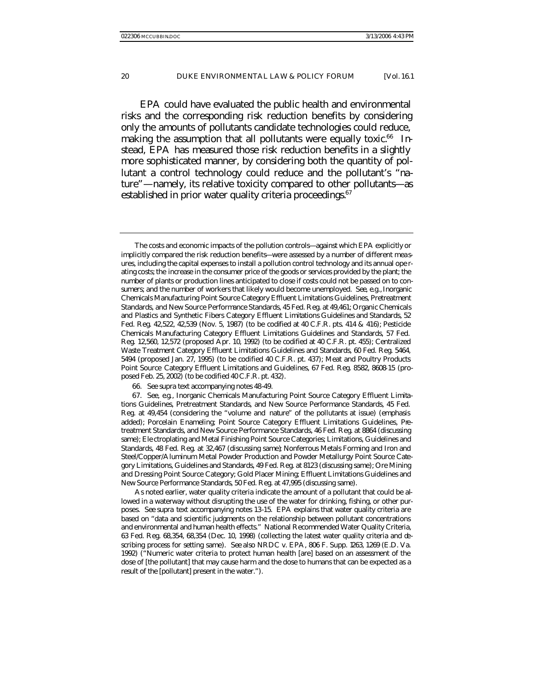EPA could have evaluated the public health and environmental risks and the corresponding risk reduction benefits by considering only the amounts of pollutants candidate technologies could reduce, making the assumption that all pollutants were equally toxic.<sup>66</sup> Instead, EPA has measured those risk reduction benefits in a slightly more sophisticated manner, by considering both the quantity of pollutant a control technology could reduce and the pollutant's "nature"—namely, its relative toxicity compared to other pollutants—as established in prior water quality criteria proceedings.<sup>67</sup>

The costs and economic impacts of the pollution controls—against which EPA explicitly or implicitly compared the risk reduction benefits—were assessed by a number of different measures, including the capital expenses to install a pollution control technology and its annual ope rating costs; the increase in the consumer price of the goods or services provided by the plant; the number of plants or production lines anticipated to close if costs could not be passed on to consumers; and the number of workers that likely would become unemployed. *See, e.g.*, Inorganic Chemicals Manufacturing Point Source Category Effluent Limitations Guidelines, Pretreatment Standards, and New Source Performance Standards, 45 Fed. Reg. at 49,461; Organic Chemicals and Plastics and Synthetic Fibers Category Effluent Limitations Guidelines and Standards, 52 Fed. Reg. 42,522, 42,539 (Nov. 5, 1987) (to be codified at 40 C.F.R. pts. 414 & 416); Pesticide Chemicals Manufacturing Category Effluent Limitations Guidelines and Standards, 57 Fed. Reg. 12,560, 12,572 (proposed Apr. 10, 1992) (to be codified at 40 C.F.R. pt. 455); Centralized Waste Treatment Category Effluent Limitations Guidelines and Standards, 60 Fed. Reg. 5464, 5494 (proposed Jan. 27, 1995) (to be codified 40 C.F.R. pt. 437); Meat and Poultry Products Point Source Category Effluent Limitations and Guidelines, 67 Fed. Reg. 8582, 8608-15 (proposed Feb. 25, 2002) (to be codified 40 C.F.R. pt. 432).

<sup>66</sup>*. See supra* text accompanying notes 48-49.

<sup>67</sup>*. See, e.g.*, Inorganic Chemicals Manufacturing Point Source Category Effluent Limitations Guidelines, Pretreatment Standards, and New Source Performance Standards, 45 Fed. Reg. at 49,454 (considering the "volume and *nature*" of the pollutants at issue) (emphasis added); Porcelain Enameling; Point Source Category Effluent Limitations Guidelines, Pretreatment Standards, and New Source Performance Standards, 46 Fed. Reg. at 8864 (discussing same); Ele ctroplating and Metal Finishing Point Source Categories; Limitations, Guidelines and Standards, 48 Fed. Reg. at 32,467 (discussing same); Nonferrous Metals Forming and Iron and Steel/Copper/Aluminum Metal Powder Production and Powder Metallurgy Point Source Category Limitations, Guidelines and Standards, 49 Fed. Reg. at 8123 (discussing same); Ore Mining and Dressing Point Source Category; Gold Placer Mining; Effluent Limitations Guidelines and New Source Performance Standards, 50 Fed. Reg. at 47,995 (discussing same).

As noted earlier, water quality criteria indicate the amount of a pollutant that could be allowed in a waterway without disrupting the use of the water for drinking, fishing, or other purposes. *See supra* text accompanying notes 13-15. EPA explains that water quality criteria are based on "data and scientific judgments on the relationship between pollutant concentrations and environmental and human health effects." National Recommended Water Quality Criteria, 63 Fed. Reg. 68,354, 68,354 (Dec. 10, 1998) (collecting the latest water quality criteria and describing process for setting same). *See also* NRDC v. EPA, 806 F. Supp. 1263, 1269 (E.D. Va. 1992) ("Numeric water criteria to protect human health [are] based on an assessment of the dose of [the pollutant] that may cause harm and the dose to humans that can be expected as a result of the [pollutant] present in the water.").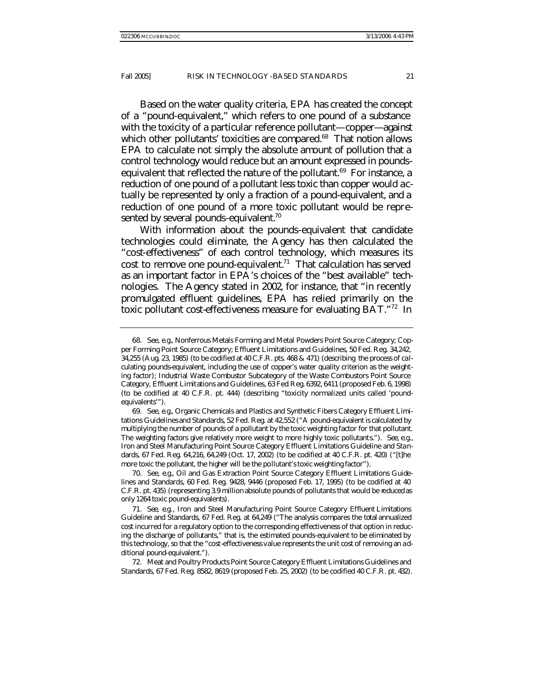Based on the water quality criteria, EPA has created the concept of a "pound-equivalent," which refers to one pound of a substance with the toxicity of a particular reference pollutant—copper—against which other pollutants' toxicities are compared.<sup>68</sup> That notion allows EPA to calculate not simply the absolute amount of pollution that a control technology would reduce but an amount expressed in poundsequivalent that reflected the nature of the pollutant.<sup>69</sup> For instance, a reduction of one pound of a pollutant less toxic than copper would actually be represented by only a fraction of a pound-equivalent, and a reduction of one pound of a more toxic pollutant would be represented by several pounds-equivalent.<sup>70</sup>

With information about the pounds-equivalent that candidate technologies could eliminate, the Agency has then calculated the "cost-effectiveness" of each control technology, which measures its cost to remove one pound-equivalent.<sup>71</sup> That calculation has served as an important factor in EPA's choices of the "best available" technologies. The Agency stated in 2002, for instance, that "in recently promulgated effluent guidelines, EPA has relied primarily on the toxic pollutant cost-effectiveness measure for evaluating BAT."<sup>72</sup> In

<sup>68</sup>*. See, e.g.*, Nonferrous Metals Forming and Metal Powders Point Source Category; Copper Forming Point Source Category; Effluent Limitations and Guidelines, 50 Fed. Reg. 34,242, 34,255 (Aug. 23, 1985) (to be codified at 40 C.F.R. pts. 468 & 471) (describing the process of calculating pounds-equivalent, including the use of copper's water quality criterion as the weighting factor); Industrial Waste Combustor Subcategory of the Waste Combustors Point Source Category, Effluent Limitations and Guidelines, 63 Fed. Reg. 6392, 6411 (proposed Feb. 6, 1998) (to be codified at 40 C.F.R. pt. 444) (describing "toxicity normalized units called 'poundequivalents'").

<sup>69</sup>*. See, e.g.*, Organic Chemicals and Plastics and Synthetic Fibers Category Effluent Limitations Guidelines and Standards, 52 Fed. Reg. at 42,552 ("A pound-equivalent is calculated by multiplying the number of pounds of a pollutant by the toxic weighting factor for that pollutant. The weighting factors give relatively more weight to more highly toxic pollutants."). *See, e.g.*, Iron and Steel Manufacturing Point Source Category Effluent Limitations Guideline and Standards, 67 Fed. Reg. 64,216, 64,249 (Oct. 17, 2002) (to be codified at 40 C.F.R. pt. 420) ("[t]he more toxic the pollutant, the higher will be the pollutant's toxic weighting factor").

<sup>70</sup>*. See, e.g.*, Oil and Gas Extraction Point Source Category Effluent Limitations Guidelines and Standards, 60 Fed. Reg. 9428, 9446 (proposed Feb. 17, 1995) (to be codified at 40 C.F.R. pt. 435) (representing 3.9 million absolute pounds of pollutants that would be reduced as only 1264 toxic pound-equivalents).

<sup>71</sup>*. See, e.g.*, Iron and Steel Manufacturing Point Source Category Effluent Limitations Guideline and Standards, 67 Fed. Reg. at 64,249 ("The analysis compares the total annualized cost incurred for a regulatory option to the corresponding effectiveness of that option in reducing the discharge of pollutants," that is, the estimated pounds-equivalent to be eliminated by this technology, so that the "cost-effectiveness value represents the unit cost of removing an additional pound-equivalent.").

<sup>72.</sup> Meat and Poultry Products Point Source Category Effluent Limitations Guidelines and Standards, 67 Fed. Reg. 8582, 8619 (proposed Feb. 25, 2002) (to be codified 40 C.F.R. pt. 432).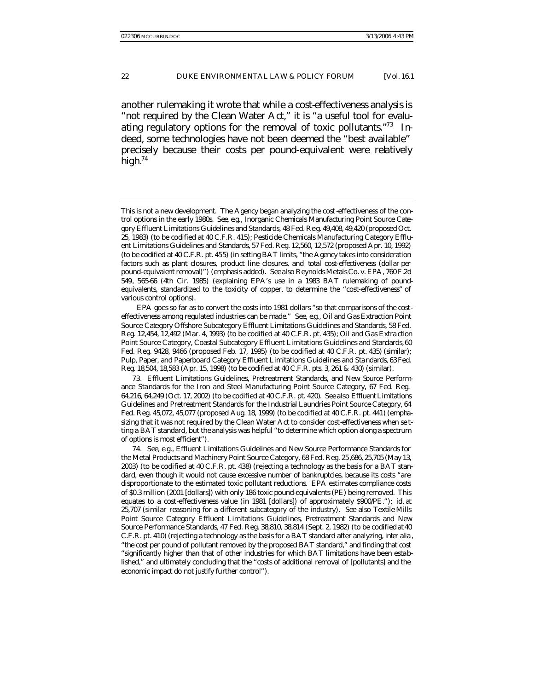another rulemaking it wrote that while a cost-effectiveness analysis is "not required by the Clean Water Act," it is "a useful tool for evaluating regulatory options for the removal of toxic pollutants."73 Indeed, some technologies have not been deemed the "best available" precisely because their costs per pound-equivalent were relatively high. $74$ 

EPA goes so far as to convert the costs into 1981 dollars "so that comparisons of the costeffectiveness among regulated industries can be made." *See, e.g.*, Oil and Gas Extraction Point Source Category Offshore Subcategory Effluent Limitations Guidelines and Standards, 58 Fed. Reg. 12,454, 12,492 (Mar. 4, 1993) (to be codified at 40 C.F.R. pt. 435); Oil and Gas Extra ction Point Source Category, Coastal Subcategory Effluent Limitations Guidelines and Standards, 60 Fed. Reg. 9428, 9466 (proposed Feb. 17, 1995) (to be codified at 40 C.F.R. pt. 435) (similar); Pulp, Paper, and Paperboard Category Effluent Limitations Guidelines and Standards, 63 Fed. Reg. 18,504, 18,583 (Apr. 15, 1998) (to be codified at 40 C.F.R. pts. 3, 261 & 430) (similar).

73. Effluent Limitations Guidelines, Pretreatment Standards, and New Source Performance Standards for the Iron and Steel Manufacturing Point Source Category, 67 Fed. Reg. 64,216, 64,249 (Oct. 17, 2002) (to be codified at 40 C.F.R. pt. 420). *See also* Effluent Limitations Guidelines and Pretreatment Standards for the Industrial Laundries Point Source Category, 64 Fed. Reg. 45,072, 45,077 (proposed Aug. 18, 1999) (to be codified at 40 C.F.R. pt. 441) (emphasizing that it was not required by the Clean Water Act to consider cost-effectiveness when se tting a BAT standard, but the analysis was helpful "to determine which option along a spectrum of options is most efficient").

74*. See, e.g.*, Effluent Limitations Guidelines and New Source Performance Standards for the Metal Products and Machinery Point Source Category, 68 Fed. Reg. 25,686, 25,705 (May 13, 2003) (to be codified at 40 C.F.R. pt. 438) (rejecting a technology as the basis for a BAT standard, even though it would not cause excessive number of bankruptcies, because its costs "are disproportionate to the estimated toxic pollutant reductions. EPA estimates compliance costs of \$0.3 million (2001 [dollars]) with only 186 toxic pound-equivalents (PE) being removed. This equates to a cost-effectiveness value (in 1981 [dollars]) of approximately \$900/PE."); *id.* at 25,707 (similar reasoning for a different subcategory of the industry). *See also* Textile Mills Point Source Category Effluent Limitations Guidelines, Pretreatment Standards and New Source Performance Standards, 47 Fed. Reg. 38,810, 38,814 (Sept. 2, 1982) (to be codified at 40 C.F.R. pt. 410) (rejecting a technology as the basis for a BAT standard after analyzing, *inter alia* , "the cost per pound of pollutant removed by the proposed BAT standard," and finding that cost "significantly higher than that of other industries for which BAT limitations have been established," and ultimately concluding that the "costs of additional removal of [pollutants] and the economic impact do not justify further control").

This is not a new development. The Agency began analyzing the cost -effectiveness of the control options in the early 1980s. *See, e.g.*, Inorganic Chemicals Manufacturing Point Source Category Effluent Limitations Guidelines and Standards, 48 Fed. Reg. 49,408, 49,420 (proposed Oct. 25, 1983) (to be codified at 40 C.F.R. 415); Pesticide Chemicals Manufacturing Category Effluent Limitations Guidelines and Standards, 57 Fed. Reg. 12,560, 12,572 (proposed Apr. 10, 1992) (to be codified at 40 C.F.R. pt. 455) (in setting BAT limits, "the Agency takes into consideration factors such as plant closures, product line closures, and *total cost-effectiveness* (*dollar per pound-equivalent removal*)") (emphasis added). *See also* Reynolds Metals Co. v. EPA, 760 F.2d 549, 565-66 (4th Cir. 1985) (explaining EPA's use in a 1983 BAT rulemaking of poundequivalents, standardized to the toxicity of copper, to determine the "cost-effectiveness" of various control options).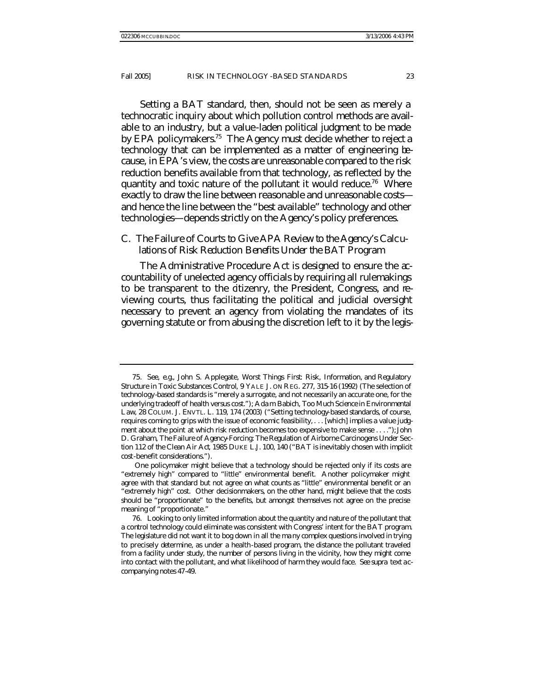Setting a BAT standard, then, should not be seen as merely a technocratic inquiry about which pollution control methods are available to an industry, but a value-laden political judgment to be made by EPA policymakers.<sup>75</sup> The Agency must decide whether to reject a technology that can be implemented as a matter of engineering because, in EPA's view, the costs are unreasonable compared to the risk reduction benefits available from that technology, as reflected by the quantity and toxic nature of the pollutant it would reduce.<sup>76</sup> Where exactly to draw the line between reasonable and unreasonable costs and hence the line between the "best available" technology and other technologies—depends strictly on the Agency's policy preferences.

#### C. *The Failure of Courts to Give APA Review to the Agency's Calculations of Risk Reduction Benefits Under the BAT Program*

The Administrative Procedure Act is designed to ensure the accountability of unelected agency officials by requiring all rulemakings to be transparent to the citizenry, the President, Congress, and reviewing courts, thus facilitating the political and judicial oversight necessary to prevent an agency from violating the mandates of its governing statute or from abusing the discretion left to it by the legis-

<sup>75</sup>*. See, e.g.*, John S. Applegate, *Worst Things First: Risk, Information, and Regulatory Structure in Toxic Substances Control*, 9 YALE J. ON REG. 277, 315-16 (1992) (The selection of technology-based standards is "merely a surrogate, and not necessarily an accurate one, for the underlying tradeoff of health versus cost."); Ada m Babich, *Too Much Science in Environmental Law*, 28 COLUM. J. ENVTL. L. 119, 174 (2003) ("Setting technology-based standards, of course, requires coming to grips with the issue of economic feasibility, . . . [which] implies a value judgment about the point at which risk reduction becomes too expensive to make sense . . . ."); John D. Graham, *The Failure of Agency-Forcing: The Regulation of Airborne Carcinogens Under Section 112 of the Clean Air Act*, 1985 DUKE L.J. 100, 140 ("BAT is inevitably chosen with implicit cost-benefit considerations.").

One policymaker might believe that a technology should be rejected only if its costs are "extremely high" compared to "little" environmental benefit. Another policymaker might agree with that standard but not agree on what counts as "little" environmental benefit or an "extremely high" cost. Other decisionmakers, on the other hand, might believe that the costs should be "proportionate" to the benefits, but amongst themselves not agree on the precise meaning of "proportionate."

<sup>76.</sup> Looking to only limited information about the quantity and nature of the pollutant that a control technology could eliminate was consistent with Congress' intent for the BAT program. The legislature did not want it to bog down in all the ma ny complex questions involved in trying to precisely determine, as under a health-based program, the distance the pollutant traveled from a facility under study, the number of persons living in the vicinity, how they might come into contact with the pollutant, and what likelihood of harm they would face. *See supra* text accompanying notes 47-49.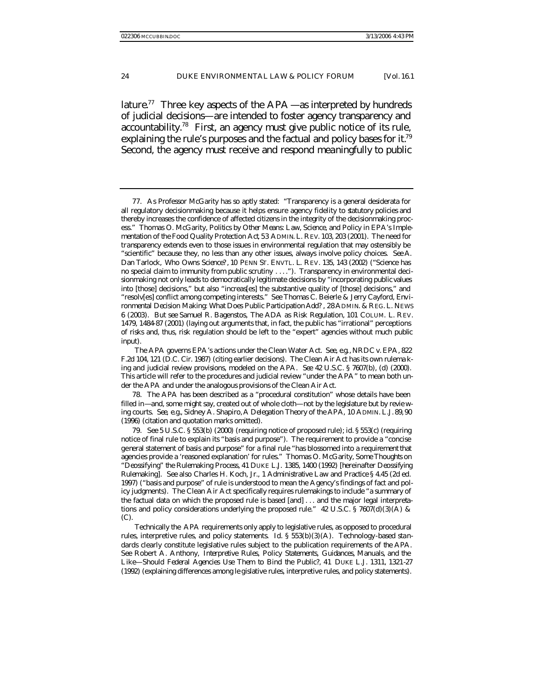lature.<sup>77</sup> Three key aspects of the  $APA$ —as interpreted by hundreds of judicial decisions—are intended to foster agency transparency and accountability.<sup>78</sup> First, an agency must give public notice of its rule, explaining the rule's purposes and the factual and policy bases for it.<sup>79</sup> Second, the agency must receive and respond meaningfully to public

78. The APA has been described as a "procedural constitution" whose details have been filled in—and, some might say, created out of whole cloth—not by the legislature but by revie wing courts. *See, e.g.*, Sidney A. Shapiro, *A Delegation Theory of the APA*, 10 ADMIN. L.J. 89, 90 (1996) (citation and quotation marks omitted).

Technically the APA requirements only apply to legislative rules, as opposed to procedural rules, interpretive rules, and policy statements. *Id.* § 553(b)(3)(A). Technology-based standards clearly constitute legislative rules subject to the publication requirements of the APA. *See* Robert A. Anthony, *Interpretive Rules, Policy Statements, Guidances, Manuals, and the Like*—*Should Federal Agencies Use Them to Bind the Public?*, 41 DUKE L.J. 1311, 1321-27 (1992) (explaining differences among le gislative rules, interpretive rules, and policy statements).

<sup>77.</sup> As Professor McGarity has so aptly stated: "Transparency is a general desiderata for all regulatory decisionmaking because it helps ensure agency fidelity to statutory policies and thereby increases the confidence of affected citizens in the integrity of the decisionmaking process." Thomas O. McGarity, *Politics by Other Means: Law, Science, and Policy in EPA's Implementation of the Food Quality Protection Act*, 53 ADMIN. L. REV. 103, 203 (2001). The need for transparency extends even to those issues in environmental regulation that may ostensibly be "scientific" because they, no less than any other issues, always involve policy choices. *See* A. Dan Tarlock, *Who Owns Science?*, 10 PENN ST. ENVTL. L. REV. 135, 143 (2002) ("Science has no special claim to immunity from public scrutiny . . . ."). Transparency in environmental decisionmaking not only leads to democratically legitimate decisions by "incorporating public values into [those] decisions," but also "increas[es] the substantive quality of [those] decisions," and "resolv[es] conflict among competing interests." *See* Thomas C. Beierle & Jerry Cayford, *Environmental Decision Making: What Does Public Participation Add?* , 28 ADMIN. & REG. L. NEWS 6 (2003). *But see* Samuel R. Bagenstos, *The ADA as Risk Regulation*, 101 COLUM. L. REV. 1479, 1484-87 (2001) (laying out arguments that, in fact, the public has "irrational" perceptions of risks and, thus, risk regulation should be left to the "expert" agencies without much public input).

The APA governs EPA's actions under the Clean Water Act. *See, e.g.*, NRDC v. EPA, 822 F.2d 104, 121 (D.C. Cir. 1987) (citing earlier decisions). The Clean Air Act has its own rulema king and judicial review provisions, modeled on the APA. *See* 42 U.S.C. § 7607(b), (d) (2000). This article will refer to the procedures and judicial review "under the APA" to mean both under the APA and under the analogous provisions of the Clean Air Act.

<sup>79</sup>*. See* 5 U.S.C. § 553(b) (2000) (requiring notice of proposed rule); *id.* § 553(c) (requiring notice of final rule to explain its "basis and purpose"). The requirement to provide a "concise general statement of basis and purpose" for a final rule "has blossomed into a requirement that agencies provide a 'reasoned explanation' for rules." Thomas O. McGarity, *Some Thoughts on "Deossifying" the Rulemaking Process*, 41 DUKE L.J. 1385, 1400 (1992) [hereinafter *Deossifying Rulemaking*]. *See also* Charles H. Koch, Jr., 1 *Administrative Law and Practice* § 4.45 (2d ed. 1997) ("basis and purpose" of rule is understood to mean the Agency's findings of fact and policy judgments). The Clean Air Act specifically requires rulemakings to include "a summary of the factual data on which the proposed rule is based [and] . . . and the major legal interpretations and policy considerations underlying the proposed rule."  $42 \text{ U.S.C.}$  §  $7607\text{(d)}(3)(\text{A})$  & (C).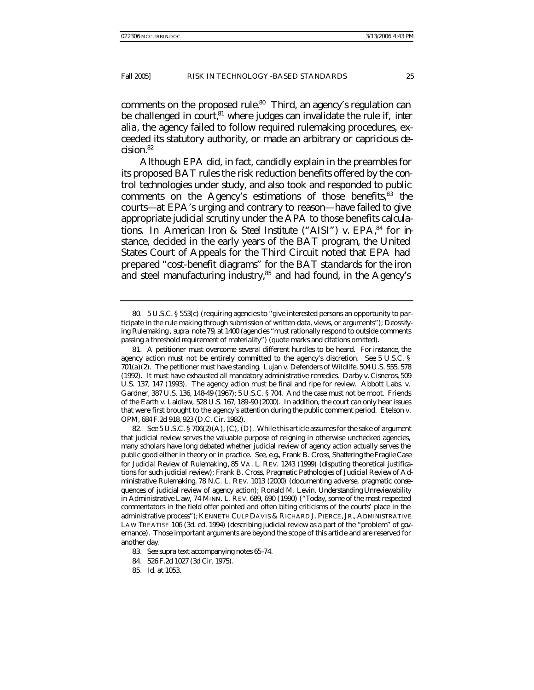comments on the proposed rule.<sup>80</sup> Third, an agency's regulation can be challenged in court,<sup>81</sup> where judges can invalidate the rule if, *inter alia*, the agency failed to follow required rulemaking procedures, exceeded its statutory authority, or made an arbitrary or capricious decision.<sup>82</sup>

Although EPA did, in fact, candidly explain in the preambles for its proposed BAT rules the risk reduction benefits offered by the control technologies under study, and also took and responded to public comments on the Agency's estimations of those benefits,<sup>83</sup> the courts—at EPA's urging and contrary to reason—have failed to give appropriate judicial scrutiny under the APA to those benefits calculations. In *American Iron & Steel Institute* ("*AISI*") *v. EPA*, 84 for instance, decided in the early years of the BAT program, the United States Court of Appeals for the Third Circuit noted that EPA had prepared "cost-benefit diagrams" for the BAT standards for the iron and steel manufacturing industry,<sup>85</sup> and had found, in the Agency's

<sup>80.</sup> 5 U.S.C. § 553(c) (requiring agencies to "give interested persons an opportunity to participate in the rule making through submission of written data, views, or arguments"); *Deossifying Rulemaking* , *supra* note 79, at 1400 (agencies "must rationally respond to outside comments passing a threshold requirement of materiality") (quote marks and citations omitted).

<sup>81.</sup> A petitioner must overcome several different hurdles to be heard. For instance, the agency action must not be entirely committed to the agency's discretion. *See* 5 U.S.C. § 701(a)(2). The petitioner must have standing. Lujan v. Defenders of Wildlife, 504 U.S. 555, 578 (1992). It must have exhausted all mandatory administrative remedies. Darby v. Cisneros, 509 U.S. 137, 147 (1993). The agency action must be final and ripe for review. Abbott Labs. v. Gardner, 387 U.S. 136, 148-49 (1967); 5 U.S.C. § 704. And the case must not be moot. Friends of the Earth v. Laidlaw, 528 U.S. 167, 189-90 (2000). In addition, the court can only hear issues that were first brought to the agency's attention during the public comment period. Etelson v. OPM, 684 F.2d 918, 923 (D.C. Cir. 1982).

<sup>82</sup>*. See* 5 U.S.C. § 706(2)(A), (C), (D). While this article assumes for the sake of argument that judicial review serves the valuable purpose of reigning in otherwise unchecked agencies, many scholars have long debated whether judicial review of agency action actually serves the public good either in theory or in practice. *See, e.g.*, Frank B. Cross, *Shattering the Fragile Case for Judicial Review of Rulemaking* , 85 VA. L. REV. 1243 (1999) (disputing theoretical justifications for such judicial review); Frank B. Cross, *Pragmatic Pathologies of Judicial Review of Administrative Rulemaking*, 78 N.C. L. REV. 1013 (2000) (documenting adverse, pragmatic consequences of judicial review of agency action); Ronald M. Levin, *Understanding Unreviewability in Administrative Law*, 74 MINN. L. REV. 689, 690 (1990) ("Today, some of the most respected commentators in the field offer pointed and often biting criticisms of the courts' place in the administrative process"); KENNETH CULP DAVIS & RICHARD J. PIERCE, JR., ADMINISTRATIVE LAW TREATISE 106 (3d. ed. 1994) (describing judicial review as a part of the "problem" of governance). Those important arguments are beyond the scope of this article and are reserved for another day.

<sup>83</sup>*. See supra* text accompanying notes 65-74.

<sup>84.</sup> 526 F.2d 1027 (3d Cir. 1975).

<sup>85</sup>*. Id.* at 1053.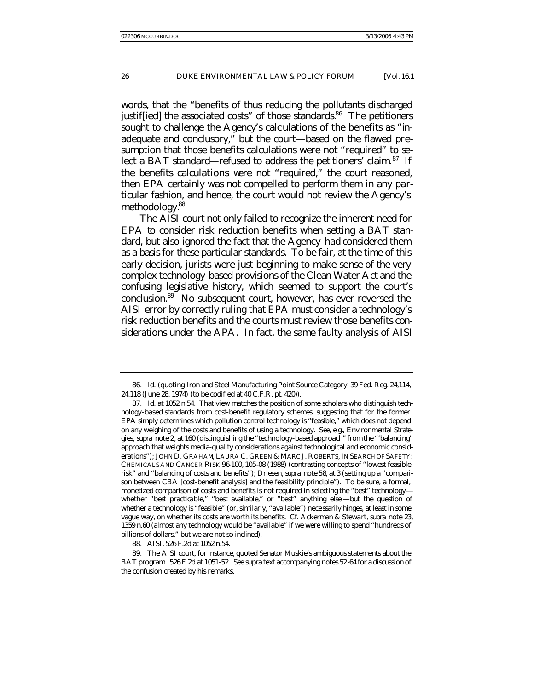words, that the "benefits of thus reducing the pollutants discharged justiffied] the associated costs" of those standards. $86$  The petitioners sought to challenge the Agency's calculations of the benefits as "inadequate and conclusory," but the court—based on the flawed presumption that those benefits calculations were not "required" to select a BAT standard—refused to address the petitioners' claim.<sup>87</sup> If the benefits calculations were not "required," the court reasoned, then EPA certainly was not compelled to perform them in any particular fashion, and hence, the court would not review the Agency's methodology.<sup>88</sup>

The *AISI* court not only failed to recognize the inherent need for EPA to consider risk reduction benefits when setting a BAT standard, but also ignored the fact that the Agency *had* considered them as a basis for these particular standards. To be fair, at the time of this early decision, jurists were just beginning to make sense of the very complex technology-based provisions of the Clean Water Act and the confusing legislative history, which seemed to support the court's conclusion.<sup>89</sup> No subsequent court, however, has ever reversed the *AISI* error by correctly ruling that EPA must consider a technology's risk reduction benefits and the courts must review those benefits considerations under the APA. In fact, the same faulty analysis of *AISI*

<sup>86</sup>*. Id.* (quoting Iron and Steel Manufacturing Point Source Category, 39 Fed. Reg. 24,114, 24,118 (June 28, 1974) (to be codified at 40 C.F.R. pt. 420)).

<sup>87</sup>*. Id.* at 1052 n.54. That view matches the position of some scholars who distinguish technology-based standards from cost-benefit regulatory schemes, suggesting that for the former EPA simply determines which pollution control technology is "feasible," which does not depend on any weighing of the costs and benefits of using a technology. *See, e.g.*, *Environmental Strategies*, *supra* note 2, at 160 (distinguishing the "technology-based approach" from the "'balancing' approach that weights media-quality considerations against technological and economic considerations"); JOHN D. GRAHAM, LAURA C. GREEN & MARC J. ROBERTS, IN SEARCH OF SAFETY: CHEMICALS AND CANCER RISK 96-100, 105-08 (1988) (contrasting concepts of "lowest feasible risk" and "balancing of costs and benefits"); Driesen, *supra* note 58, at 3 (setting up a "comparison between CBA [cost-benefit analysis] and the feasibility principle"). To be sure, a formal, monetized comparison of costs and benefits is not required in selecting the "best" technology whether "best practicable," "best available," or "best" anything else—but the question of whether a technology is "feasible" (or, similarly, "available") necessarily hinges, at least in some vague way, on whether its costs are worth its benefits. *Cf.* Ackerman & Stewart, *supra* note 23, 1359 n.60 (almost any technology would be "available" if we were willing to spend "hundreds of billions of dollars," but we are not so inclined).

<sup>88</sup>*. AISI*, 526 F.2d at 1052 n.54.

<sup>89.</sup> The *AISI* court, for instance, quoted Senator Muskie's ambiguous statements about the BAT program. 526 F.2d at 1051-52. *See supra* text accompanying notes 52-64 for a discussion of the confusion created by his remarks.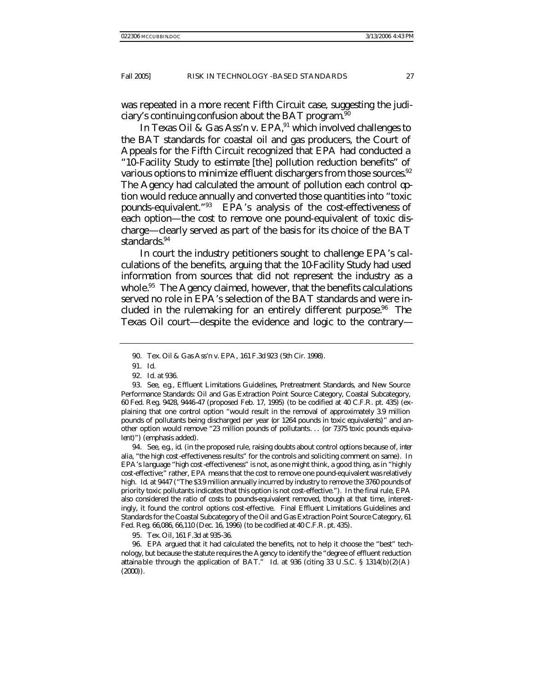was repeated in a more recent Fifth Circuit case, suggesting the judiciary's continuing confusion about the BAT program.<sup>90</sup>

In *Texas Oil & Gas Ass'n v. EPA*,<sup>91</sup> which involved challenges to the BAT standards for coastal oil and gas producers, the Court of Appeals for the Fifth Circuit recognized that EPA had conducted a "10-Facility Study to estimate [the] pollution reduction benefits" of various options to minimize effluent dischargers from those sources. $92$ The Agency had calculated the amount of pollution each control option would reduce annually and converted those quantities into "toxic pounds-equivalent."<sup>93</sup> EPA's analysis of the cost-effectiveness of each option—the cost to remove one pound-equivalent of toxic discharge—clearly served as part of the basis for its choice of the BAT standards.<sup>94</sup>

In court the industry petitioners sought to challenge EPA's calculations of the benefits, arguing that the 10-Facility Study had used information from sources that did not represent the industry as a whole.<sup>95</sup> The Agency claimed, however, that the benefits calculations served no role in EPA's selection of the BAT standards and were included in the rulemaking for an entirely different purpose.<sup>96</sup> The *Texas Oil* court—despite the evidence and logic to the contrary—

94*. See, e.g.*, *id.* (in the proposed rule, raising doubts about control options because of, *inter alia*, "the high cost-effectiveness results" for the controls and soliciting comment on same). In EPA's language "high cost-effectiveness" is not, as one might think, a good thing, as in "highly cost-effective;" rather, EPA means that the cost to remove one pound-equivalent was relatively high. *Id.* at 9447 ("The \$3.9 million annually incurred by industry to remove the 3760 pounds of priority toxic pollutants indicates that this option is not cost-effective."). In the final rule, EPA also considered the ratio of costs to pounds-equivalent removed, though at that time, interestingly, it found the control options cost-effective. Final Effluent Limitations Guidelines and Standards for the Coastal Subcategory of the Oil and Gas Extraction Point Source Category, 61 Fed. Reg. 66,086, 66,110 (Dec. 16, 1996) (to be codified at 40 C.F.R. pt. 435).

95*. Tex. Oil*, 161 F.3d at 935-36.

96. EPA argued that it had calculated the benefits, not to help it choose the "best" technology, but because the statute requires the Agency to identify the "degree of effluent reduction attaina ble through the application of BAT." *Id.* at 936 (citing 33 U.S.C. § 1314(b)(2)(A) (2000)).

<sup>90.</sup> Tex. Oil & Gas Ass'n v. EPA, 161 F.3d 923 (5th Cir. 1998).

<sup>91</sup>*. Id.*

<sup>92</sup>*. Id.* at 936.

<sup>93</sup>*. See, e.g.*, Effluent Limitations Guidelines, Pretreatment Standards, and New Source Performance Standards: Oil and Gas Extraction Point Source Category, Coastal Subcategory, 60 Fed. Reg. 9428, 9446-47 (proposed Feb. 17, 1995) (to be codified at 40 C.F.R. pt. 435) (explaining that one control option "would result in the removal of approximately 3.9 million pounds of pollutants being discharged per year (*or 1264 pounds in toxic equivalents*)" and another option would remove "23 million pounds of pollutants. . . (*or 7375 toxic pounds equivalent*)") (emphasis added).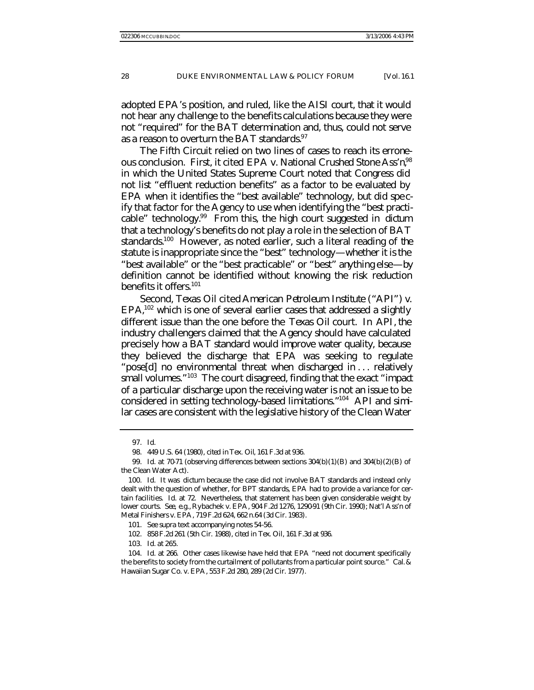adopted EPA's position, and ruled, like the *AISI* court, that it would not hear any challenge to the benefits calculations because they were not "required" for the BAT determination and, thus, could not serve as a reason to overturn the BAT standards.  $97$ 

The Fifth Circuit relied on two lines of cases to reach its erroneous conclusion. First, it cited *EPA v. National Crushed Stone Ass'n*, <sup>98</sup> in which the United States Supreme Court noted that Congress did not list "effluent reduction benefits" as a factor to be evaluated by EPA when it identifies the "best available" technology, but did specify that factor for the Agency to use when identifying the "best practicable" technology.<sup>99</sup> From this, the high court suggested in *dictum* that a technology's benefits do not play a role in the selection of BAT standards.<sup>100</sup> However, as noted earlier, such a literal reading of the statute is inappropriate since the "best" technology—whether it is the "best available" or the "best practicable" or "best" anything else—by definition cannot be identified without knowing the risk reduction benefits it offers.<sup>101</sup>

Second, *Texas Oil* cited *American Petroleum Institute* ("*API*") *v.*  EPA,<sup>102</sup> which is one of several earlier cases that addressed a slightly different issue than the one before the *Texas Oil* court. In *API*, the industry challengers claimed that the Agency should have calculated precisely how a BAT standard would improve water quality, because they believed the discharge that EPA was seeking to regulate "pose[d] no environmental threat when discharged in . . . relatively small volumes."<sup>103</sup> The court disagreed, finding that the exact "impact of a particular discharge upon the receiving water is not an issue to be considered in setting technology-based limitations."<sup>104</sup> *API* and similar cases are consistent with the legislative history of the Clean Water

102. 858 F.2d 261 (5th Cir. 1988), *cited in Tex. Oil*, 161 F.3d at 936.

103*. Id.* at 265.

<sup>97</sup>*. Id.*

<sup>98.</sup> 449 U.S. 64 (1980), *cited inTex. Oil*, 161 F.3d at 936.

<sup>99</sup>*. Id.* at 70-71 (observing differences between sections 304(b)(1)(B) and 304(b)(2)(B) of the Clean Water Act).

<sup>100</sup>*. Id.* It was *dictum* because the case did not involve BAT standards and instead only dealt with the question of whether, for BPT standards, EPA had to provide a variance for certain facilities. *Id.* at 72. Nevertheless, that statement has been given considerable weight by lower courts. *See, e.g.*, Rybachek v. EPA, 904 F.2d 1276, 1290-91 (9th Cir. 1990); Nat'l Ass'n of Metal Finishers v. EPA, 719 F.2d 624, 662 n.64 (3d Cir. 1983).

<sup>101</sup>*. See supra* text accompanying notes 54-56.

<sup>104</sup>*. Id.* at 266. Other cases likewise have held that EPA "need not document specifically the benefits to society from the curtailment of pollutants from a particular point source." Cal. & Hawaiian Sugar Co. v. EPA, 553 F.2d 280, 289 (2d Cir. 1977).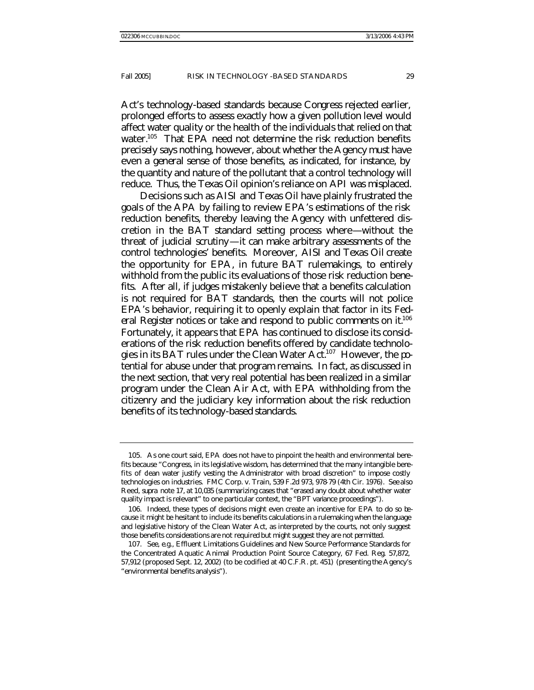Act's technology-based standards because Congress rejected earlier, prolonged efforts to assess exactly how a given pollution level would affect water quality or the health of the individuals that relied on that water.<sup>105</sup> That EPA need not determine the risk reduction benefits *precisely* says nothing, however, about whether the Agency must have even a *general* sense of those benefits, as indicated, for instance, by the quantity and nature of the pollutant that a control technology will reduce. Thus, the *Texas Oil* opinion's reliance on *API* was misplaced.

Decisions such as *AISI* and *Texas Oil* have plainly frustrated the goals of the APA by failing to review EPA's estimations of the risk reduction benefits, thereby leaving the Agency with unfettered discretion in the BAT standard setting process where—without the threat of judicial scrutiny—it can make arbitrary assessments of the control technologies' benefits. Moreover, *AISI* and *Texas Oil* create the opportunity for EPA, in future BAT rulemakings, to entirely withhold from the public its evaluations of those risk reduction benefits. After all, if judges mistakenly believe that a benefits calculation is not required for BAT standards, then the courts will not police EPA's behavior, requiring it to openly explain that factor in its *Fed*eral Register notices or take and respond to public comments on it.<sup>106</sup> Fortunately, it appears that EPA has continued to disclose its considerations of the risk reduction benefits offered by candidate technologies in its BAT rules under the Clean Water  $Act.^{107}$  However, the potential for abuse under that program remains. In fact, as discussed in the next section, that very real potential has been realized in a similar program under the Clean Air Act, with EPA withholding from the citizenry and the judiciary key information about the risk reduction benefits of its technology-based standards.

<sup>105.</sup> As one court said, EPA does not have to pinpoint the health and environmental benefits because "Congress, in its legislative wisdom, has determined that the many intangible benefits of dean water justify vesting the Administrator with broad discretion" to impose costly technologies on industries. FMC Corp. v. Train, 539 F.2d 973, 978-79 (4th Cir. 1976). *See also* Reed, *supra* note 17, at 10,035 (summarizing cases that "erased any doubt about whether water quality impact is relevant" to one particular context, the "BPT variance proceedings").

<sup>106.</sup> Indeed, these types of decisions might even create an incentive for EPA to do so because it might be hesitant to include its benefits calculations in a rulemaking when the language and legislative history of the Clean Water Act, as interpreted by the courts, not only suggest those benefits considerations are not *required* but might suggest they are not *permitted*.

<sup>107</sup>*. See, e.g.*, Effluent Limitations Guidelines and New Source Performance Standards for the Concentrated Aquatic Animal Production Point Source Category, 67 Fed. Reg. 57,872, 57,912 (proposed Sept. 12, 2002) (to be codified at 40 C.F.R. pt. 451) (presenting the Agency's "environmental benefits analysis").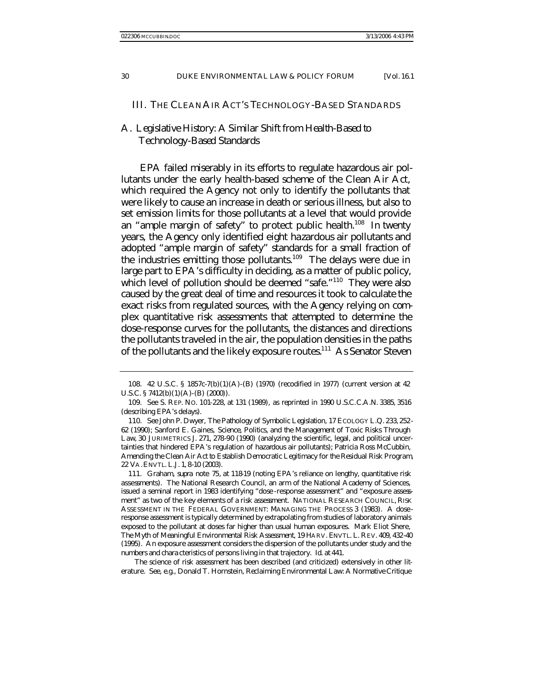#### III. THE CLEAN AIR ACT'S TECHNOLOGY-BASED STANDARDS

# A. *Legislative History: A Similar Shift from Health-Based to Technology-Based Standards*

EPA failed miserably in its efforts to regulate hazardous air pollutants under the early health-based scheme of the Clean Air Act, which required the Agency not only to identify the pollutants that were likely to cause an increase in death or serious illness, but also to set emission limits for those pollutants at a level that would provide an "ample margin of safety" to protect public health.<sup>108</sup> In twenty years, the Agency only identified eight hazardous air pollutants and adopted "ample margin of safety" standards for a small fraction of the industries emitting those pollutants.<sup>109</sup> The delays were due in large part to EPA's difficulty in deciding, as a matter of public policy, which level of pollution should be deemed "safe."<sup>110</sup> They were also caused by the great deal of time and resources it took to calculate the exact risks from regulated sources, with the Agency relying on complex quantitative risk assessments that attempted to determine the dose-response curves for the pollutants, the distances and directions the pollutants traveled in the air, the population densities in the paths of the pollutants and the likely exposure routes.<sup>111</sup> As Senator Steven

111. Graham, *supra* note 75, at 118-19 (noting EPA's reliance on lengthy, quantitative risk assessments). The National Research Council, an arm of the National Academy of Sciences, issued a seminal report in 1983 identifying "dose -response assessment" and "exposure assessment" as two of the key elements of a risk assessment. NATIONAL RESEARCH COUNCIL, RISK ASSESSMENT IN THE FEDERAL GOVERNMENT: MANAGING THE PROCESS 3 (1983). A doseresponse assessment is typically determined by extrapolating from studies of laboratory animals exposed to the pollutant at doses far higher than usual human exposures. Mark Eliot Shere, *The Myth of Meaningful Environmental Risk Assessment*, 19 HARV. ENVTL. L. REV. 409, 432-40 (1995). An exposure assessment considers the dispersion of the pollutants under study and the numbers and chara cteristics of persons living in that trajectory. *Id.* at 441.

The science of risk assessment has been described (and criticized) extensively in other literature. *See, e.g.*, Donald T. Hornstein, *Reclaiming Environmental Law: A Normative Critique* 

<sup>108.</sup> 42 U.S.C. § 1857c-7(b)(1)(A)-(B) (1970) (recodified in 1977) (current version at 42 U.S.C. § 7412(b)(1)(A)-(B)(2000)).

<sup>109</sup>*. See* S. REP. NO. 101-228, at 131 (1989), *as reprinted in* 1990 U.S.C.C.A.N. 3385, 3516 (describing EPA's delays).

<sup>110</sup>*. See* John P. Dwyer, *The Pathology of Symbolic Legislation*, 17 ECOLOGY L.Q. 233, 252- 62 (1990); Sanford E. Gaines, *Science, Politics, and the Management of Toxic Risks Through Law*, 30 JURIMETRICS J. 271, 278-90 (1990) (analyzing the scientific, legal, and political uncertainties that hindered EPA's regulation of hazardous air pollutants); Patricia Ross McCubbin, *Amending the Clean Air Act to Establish Democratic Legitimacy for the Residual Risk Program*, 22 VA.ENVTL. L.J. 1, 8-10 (2003).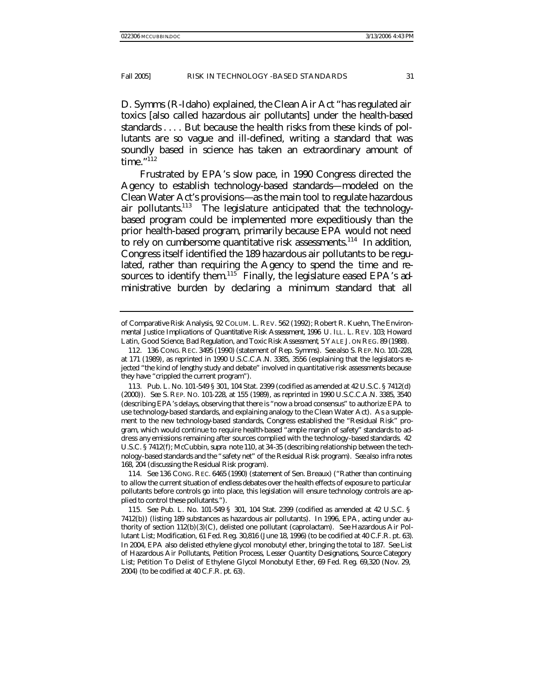D. Symms (R-Idaho) explained, the Clean Air Act "has regulated air toxics [also called hazardous air pollutants] under the health-based standards . . . . But because the health risks from these kinds of pollutants are so vague and ill-defined, writing a standard that was soundly based in science has taken an extraordinary amount of time. $"^{112}$ 

Frustrated by EPA's slow pace, in 1990 Congress directed the Agency to establish technology-based standards—modeled on the Clean Water Act's provisions—as the main tool to regulate hazardous air pollutants.<sup>113</sup> The legislature anticipated that the technologybased program could be implemented more expeditiously than the prior health-based program, primarily because EPA would not need to rely on cumbersome quantitative risk assessments.<sup>114</sup> In addition, Congress itself identified the 189 hazardous air pollutants to be regulated, rather than requiring the Agency to spend the time and resources to identify them.<sup>115</sup> Finally, the legislature eased EPA's administrative burden by declaring a minimum standard that all

*of Comparative Risk Analysis*, 92 COLUM. L. REV. 562 (1992); Robert R. Kuehn, *The Environmental Justice Implications of Quantitative Risk Assessment*, 1996 U. ILL. L. REV. 103; Howard Latin, *Good Science, Bad Regulation, and Toxic Risk Assessment*, 5 YALE J. ON REG. 89 (1988).

<sup>112.</sup> 136 CONG. REC. 3495 (1990) (statement of Rep. Symms). *See also* S. REP. NO. 101-228, at 171 (1989), *as reprinted in* 1990 U.S.C.C.A.N. 3385, 3556 (explaining that the legislators rejected "the kind of lengthy study and debate" involved in quantitative risk assessments because they have "crippled the current program").

<sup>113.</sup> Pub. L. No. 101-549 § 301, 104 Stat. 2399 (codified as amended at 42 U.S.C. § 7412(d) (2000)). *See* S. REP. NO. 101-228, at 155 (1989), *as reprinted in* 1990 U.S.C.C.A.N. 3385, 3540 (describing EPA's delays, observing that there is "now a broad consensus" to authorize EPA to use technology-based standards, and explaining analogy to the Clean Water Act). As a supplement to the new technology-based standards, Congress established the "Residual Risk" program, which would continue to require health-based "ample margin of safety" standards to address any emissions remaining after sources complied with the technology-based standards. 42 U.S.C. § 7412(f); McCubbin, *supra* note 110, at 34-35 (describing relationship between the technology-based standards and the "safety net" of the Residual Risk program). *See also infra* notes 168, 204 (discussing the Residual Risk program).

<sup>114</sup>*. See* 136 CONG. REC. 6465 (1990) (statement of Sen. Breaux) ("Rather than continuing to allow the current situation of endless debates over the health effects of exposure to particular pollutants before controls go into place, this legislation will ensure technology controls are applied to control these pollutants.").

<sup>115</sup>*. See* Pub. L. No. 101-549 § 301, 104 Stat. 2399 (codified as amended at 42 U.S.C. § 7412(b)) (listing 189 substances as hazardous air pollutants). In 1996, EPA, acting under authority of section 112(b)(3)(C), delisted one pollutant (caprolactam). *See* Hazardous Air Pollutant List; Modification, 61 Fed. Reg. 30,816 (June 18, 1996) (to be codified at 40 C.F.R. pt. 63). In 2004, EPA also delisted ethylene glycol monobutyl ether, bringing the total to 187. *See* List of Hazardous Air Pollutants, Petition Process, Lesser Quantity Designations, Source Category List; Petition To Delist of Ethylene Glycol Monobutyl Ether, 69 Fed. Reg. 69,320 (Nov. 29, 2004) (to be codified at 40 C.F.R. pt. 63).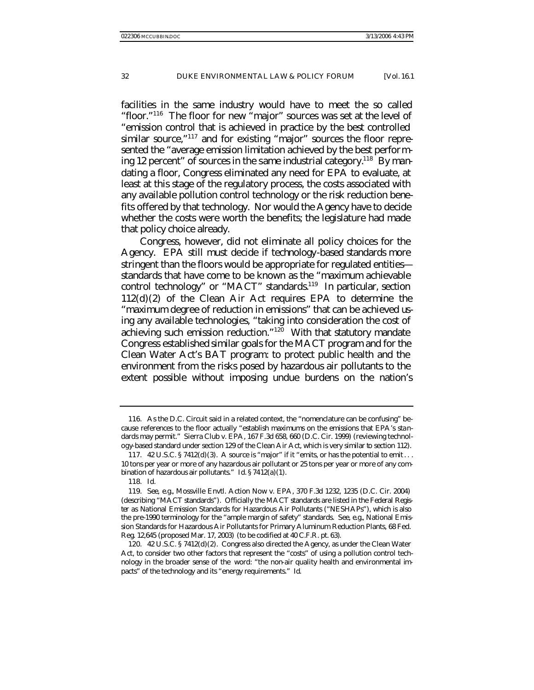facilities in the same industry would have to meet the so called "floor."<sup>116</sup> The floor for new "major" sources was set at the level of "emission control that is achieved in practice by the best controlled similar source,"<sup>117</sup> and for existing "major" sources the floor represented the "average emission limitation achieved by the best performing 12 percent" of sources in the same industrial category.<sup>118</sup> By mandating a floor, Congress eliminated any need for EPA to evaluate, at least at this stage of the regulatory process, the costs associated with any available pollution control technology or the risk reduction benefits offered by that technology. Nor would the Agency have to decide whether the costs were worth the benefits; the legislature had made that policy choice already.

Congress, however, did not eliminate all policy choices for the Agency. EPA still must decide if technology-based standards more stringent than the floors would be appropriate for regulated entities standards that have come to be known as the "maximum achievable control technology" or "MACT" standards.<sup>119</sup> In particular, section 112(d)(2) of the Clean Air Act requires EPA to determine the "maximum degree of reduction in emissions" that can be achieved using any available technologies, "taking into consideration the cost of achieving such emission reduction."<sup>120</sup> With that statutory mandate Congress established similar goals for the MACT program and for the Clean Water Act's BAT program: to protect public health and the environment from the risks posed by hazardous air pollutants to the extent possible without imposing undue burdens on the nation's

<sup>116.</sup> As the D.C. Circuit said in a related context, the "nomenclature can be confusing" because references to the floor actually "establish maximums on the emissions that EPA's standards may permit." Sierra Club v. EPA, 167 F.3d 658, 660 (D.C. Cir. 1999) (reviewing technology-based standard under section 129 of the Clean Air Act, which is very similar to section 112).

<sup>117.</sup> 42 U.S.C. § 7412(d)(3). A source is "major" if it "emits, or has the potential to emit . . . 10 tons per year or more of any hazardous air pollutant or 25 tons per year or more of any combination of hazardous air pollutants." *Id.* § 7412(a)(1).

<sup>118</sup>*. Id.*

<sup>119</sup>*. See, e.g.*, Mossville Envtl. Action Now v. EPA, 370 F.3d 1232, 1235 (D.C. Cir. 2004) (describing "MACT standards"). Officially the MACT standards are listed in the *Federal Register* as National Emission Standards for Hazardous Air Pollutants ("NESHAPs"), which is also the pre-1990 terminology for the "ample margin of safety" standards. *See, e.g.*, National Emission Standards for Hazardous Air Pollutants for Primary Aluminum Reduction Plants, 68 Fed. Reg. 12,645 (proposed Mar. 17, 2003) (to be codified at 40 C.F.R. pt. 63).

<sup>120.</sup> 42 U.S.C. § 7412(d)(2). Congress also directed the Agency, as under the Clean Water Act, to consider two other factors that represent the "costs" of using a pollution control technology in the broader sense of the word: "the non-air quality health and environmental impacts" of the technology and its "energy requirements." *Id.*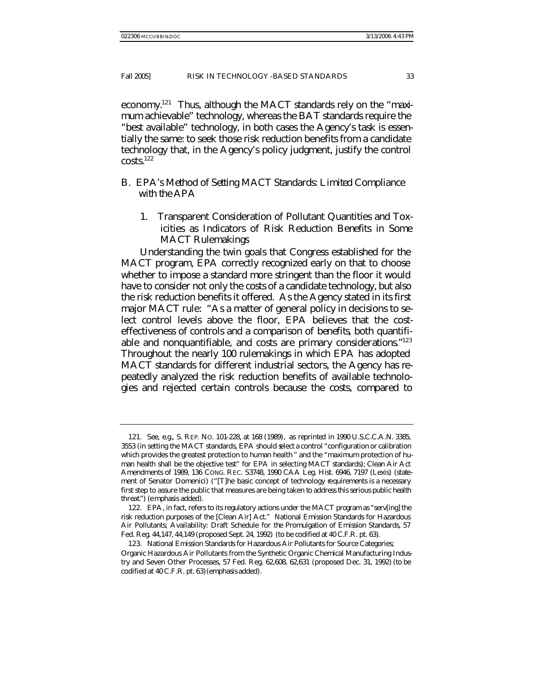economy.121 Thus, although the MACT standards rely on the "maximum achievable" technology, whereas the BAT standards require the "best available" technology, in both cases the Agency's task is essentially the same: to seek those risk reduction benefits from a candidate technology that, in the Agency's policy judgment, justify the control  $costs.<sup>122</sup>$ 

## B. *EPA's Method of Setting MACT Standards: Limited Compliance with the APA*

1. Transparent Consideration of Pollutant Quantities and Toxicities as Indicators of Risk Reduction Benefits in Some MACT Rulemakings

Understanding the twin goals that Congress established for the MACT program, EPA correctly recognized early on that to choose whether to impose a standard more stringent than the floor it would have to consider not only the costs of a candidate technology, but also the risk reduction benefits it offered. As the Agency stated in its first major MACT rule: "As a matter of general policy in decisions to select control levels above the floor, EPA believes that the costeffectiveness of controls and a comparison of *benefits*, both quantifiable and nonquantifiable, and costs are primary considerations."<sup>123</sup> Throughout the nearly 100 rulemakings in which EPA has adopted MACT standards for different industrial sectors, the Agency has repeatedly analyzed the risk reduction benefits of available technologies and rejected certain controls because the costs, compared to

<sup>121</sup>*. See, e.g.*, S. REP. NO. 101-228, at 168 (1989), *as reprinted in* 1990 U.S.C.C.A.N. 3385, 3553 (in setting the MACT standards, EPA should select a control "configuration or calibration which provides the greatest protection to human health " and the "maximum protection of human health shall be the objective test" for EPA in selecting MACT standards); Clean Air Act Amendments of 1989, 136 CONG. REC. S3748, 1990 CAA Leg. Hist. 6946, 7197 (Lexis) (statement of Senator Domenici) ("[T]he basic concept of technology requirements is a necessary first step to assure the public that measures are being taken *to address this serious public health threat*.") (emphasis added).

<sup>122.</sup> EPA, in fact, refers to its regulatory actions under the MACT program as "serv[ing] the risk reduction purposes of the [Clean Air] Act." National Emission Standards for Hazardous Air Pollutants; Availability: Draft Schedule for the Promulgation of Emission Standards, 57 Fed. Reg. 44,147, 44,149 (proposed Sept. 24, 1992) (to be codified at 40 C.F.R. pt. 63).

<sup>123.</sup> National Emission Standards for Hazardous Air Pollutants for Source Categories;

Organic Hazardous Air Pollutants from the Synthetic Organic Chemical Manufacturing Industry and Seven Other Processes, 57 Fed. Reg. 62,608, 62,631 (proposed Dec. 31, 1992) (to be codified at 40 C.F.R. pt. 63) (emphasis added).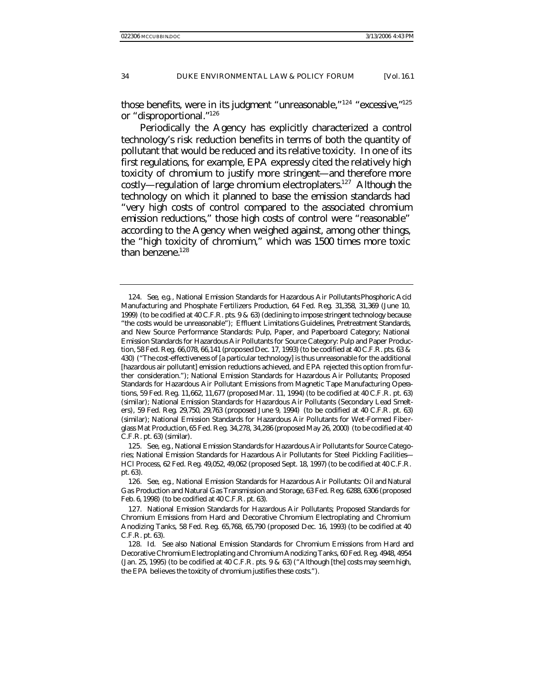those benefits, were in its judgment "unreasonable,"<sup>124</sup> "excessive,"<sup>125</sup> or "disproportional."<sup>126</sup>

Periodically the Agency has explicitly characterized a control technology's risk reduction benefits in terms of both the quantity of pollutant that would be reduced and its relative toxicity. In one of its first regulations, for example, EPA expressly cited the relatively high toxicity of chromium to justify more stringent—and therefore more costly—regulation of large chromium electroplaters.<sup>127</sup> Although the technology on which it planned to base the emission standards had "very high costs of control compared to the associated chromium emission reductions," those high costs of control were "reasonable" according to the Agency when weighed against, among other things, the "high toxicity of chromium," which was 1500 times more toxic than benzene. $128$ 

<sup>124</sup>*. See, e.g.*, National Emission Standards for Hazardous Air Pollutants Phosphoric Acid Manufacturing and Phosphate Fertilizers Production, 64 Fed. Reg. 31,358, 31,369 (June 10, 1999) (to be codified at 40 C.F.R. pts. 9 & 63) (declining to impose stringent technology because "the costs would be unreasonable"); Effluent Limitations Guidelines, Pretreatment Standards, and New Source Performance Standards: Pulp, Paper, and Paperboard Category; National Emission Standards for Hazardous Air Pollutants for Source Category: Pulp and Paper Production, 58 Fed. Reg. 66,078, 66,141 (proposed Dec. 17, 1993) (to be codified at 40 C.F.R. pts. 63 & 430) ("The cost-effectiveness of [a particular technology] is thus unreasonable for the additional [hazardous air pollutant] emission reductions achieved, and EPA rejected this option from further consideration."); National Emission Standards for Hazardous Air Pollutants; Proposed Standards for Hazardous Air Pollutant Emissions from Magnetic Tape Manufacturing Operations, 59 Fed. Reg. 11,662, 11,677 (proposed Mar. 11, 1994) (to be codified at 40 C.F.R. pt. 63) (similar); National Emission Standards for Hazardous Air Pollutants (Secondary Lead Smelters), 59 Fed. Reg. 29,750, 29,763 (proposed June 9, 1994) (to be codified at 40 C.F.R. pt. 63) (similar); National Emission Standards for Hazardous Air Pollutants for Wet-Formed Fibe rglass Mat Production, 65 Fed. Reg. 34,278, 34,286 (proposed May 26, 2000) (to be codified at 40 C.F.R. pt. 63) (similar).

<sup>125</sup>*. See, e.g.*, National Emission Standards for Hazardous Air Pollutants for Source Categories; National Emission Standards for Hazardous Air Pollutants for Steel Pickling Facilities— HCl Process, 62 Fed. Reg. 49,052, 49,062 (proposed Sept. 18, 1997) (to be codified at 40 C.F.R. pt. 63).

<sup>126</sup>*. See, e.g.*, National Emission Standards for Hazardous Air Pollutants: Oil and Natural Gas Production and Natural Gas Transmission and Storage, 63 Fed. Reg. 6288, 6306 (proposed Feb. 6, 1998) (to be codified at 40 C.F.R. pt. 63).

<sup>127.</sup> National Emission Standards for Hazardous Air Pollutants; Proposed Standards for Chromium Emissions from Hard and Decorative Chromium Electroplating and Chromium Anodizing Tanks, 58 Fed. Reg. 65,768, 65,790 (proposed Dec. 16, 1993) (to be codified at 40 C.F.R. pt. 63).

<sup>128</sup>*. Id. See also* National Emission Standards for Chromium Emissions from Hard and Decorative Chromium Electroplating and Chromium Anodizing Tanks, 60 Fed. Reg. 4948, 4954 (Jan. 25, 1995) (to be codified at 40 C.F.R. pts. 9 & 63) ("Although [the] costs may seem high, the EPA believes the toxicity of chromium justifies these costs.").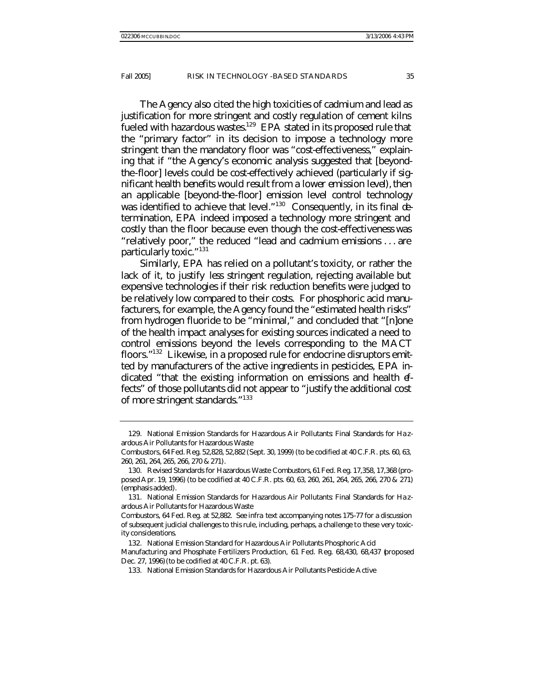The Agency also cited the high toxicities of cadmium and lead as justification for more stringent and costly regulation of cement kilns fueled with hazardous wastes.<sup>129</sup> EPA stated in its proposed rule that the "primary factor" in its decision to impose a technology more stringent than the mandatory floor was "cost-effectiveness," explaining that if "the Agency's economic analysis suggested that [beyondthe-floor] levels could be cost-effectively achieved (*particularly if significant health benefits would result from a lower emission level*), then an applicable [beyond-the-floor] emission level control technology was identified to achieve that level."<sup>130</sup> Consequently, in its final determination, EPA indeed imposed a technology more stringent and costly than the floor because even though the cost-effectiveness was "relatively poor," the reduced "lead and cadmium emissions . . . are particularly toxic."<sup>131</sup>

Similarly, EPA has relied on a pollutant's toxicity, or rather the lack of it, to justify *less* stringent regulation, rejecting available but expensive technologies if their risk reduction benefits were judged to be relatively low compared to their costs. For phosphoric acid manufacturers, for example, the Agency found the "estimated health risks" from hydrogen fluoride to be "minimal," and concluded that "[n]one of the health impact analyses for existing sources indicated a need to control emissions beyond the levels corresponding to the MACT floors."<sup>132</sup> Likewise, in a proposed rule for endocrine disruptors emitted by manufacturers of the active ingredients in pesticides, EPA indicated "that the existing information on emissions and health effects" of those pollutants did not appear to "justify the additional cost of more stringent standards."<sup>133</sup>

<sup>129.</sup> National Emission Standards for Hazardous Air Pollutants: Final Standards for Ha zardous Air Pollutants for Hazardous Waste

Combustors, 64 Fed. Reg. 52,828, 52,882 (Sept. 30, 1999) (to be codified at 40 C.F.R. pts. 60, 63, 260, 261, 264, 265, 266, 270 & 271).

<sup>130.</sup> Revised Standards for Hazardous Waste Combustors, 61 Fed. Reg. 17,358, 17,368 (proposed Apr. 19, 1996) (to be codified at 40 C.F.R. pts. 60, 63, 260, 261, 264, 265, 266, 270 & 271) (emphasis added).

<sup>131.</sup> National Emission Standards for Hazardous Air Pollutants: Final Standards for Ha zardous Air Pollutants for Hazardous Waste

Combustors, 64 Fed. Reg. at 52,882. *See infra* text accompanying notes 175-77 for a discussion of subsequent judicial challenges to this rule, including, perhaps, a challenge to these very toxicity considerations.

<sup>132.</sup> National Emission Standard for Hazardous Air Pollutants Phosphoric Acid Manufacturing and Phosphate Fertilizers Production, 61 Fed. Reg. 68,430, 68,437 (proposed Dec. 27, 1996) (to be codified at 40 C.F.R. pt. 63).

<sup>133.</sup> National Emission Standards for Hazardous Air Pollutants Pesticide Active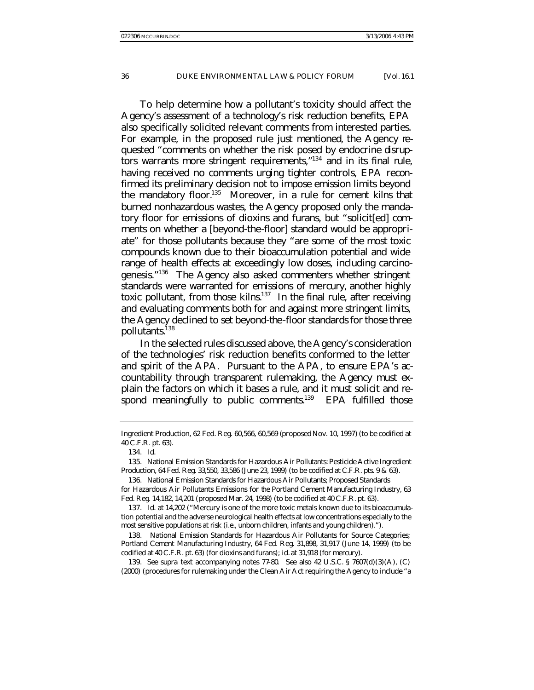To help determine how a pollutant's toxicity should affect the Agency's assessment of a technology's risk reduction benefits, EPA also specifically solicited relevant comments from interested parties. For example, in the proposed rule just mentioned, the Agency requested "comments on whether the risk posed by endocrine disruptors warrants more stringent requirements,"<sup>134</sup> and in its final rule, having received no comments urging tighter controls, EPA reconfirmed its preliminary decision not to impose emission limits beyond the mandatory floor.<sup>135</sup> Moreover, in a rule for cement kilns that burned nonhazardous wastes, the Agency proposed only the mandatory floor for emissions of dioxins and furans, but "solicit[ed] comments on whether a [beyond-the-floor] standard would be appropriate" for those pollutants because they "are some of the most toxic compounds known due to their bioaccumulation potential and wide range of health effects at exceedingly low doses, including carcinogenesis."<sup>136</sup> The Agency also asked commenters whether stringent standards were warranted for emissions of mercury, another highly toxic pollutant, from those kilns. $137$  In the final rule, after receiving and evaluating comments both for and against more stringent limits, the Agency declined to set beyond-the-floor standards for those three pollutants.<sup>138</sup>

In the selected rules discussed above, the Agency's consideration of the technologies' risk reduction benefits conformed to the letter and spirit of the APA. Pursuant to the APA, to ensure EPA's accountability through transparent rulemaking, the Agency must explain the factors on which it bases a rule, and it must solicit and respond meaningfully to public comments.<sup>139</sup> EPA fulfilled those

138. National Emission Standards for Hazardous Air Pollutants for Source Categories; Portland Cement Manufacturing Industry, 64 Fed. Reg. 31,898, 31,917 (June 14, 1999) (to be codified at 40 C.F.R. pt. 63) (for dioxins and furans); *id.* at 31,918 (for mercury).

139*. See supra* text accompanying notes 77-80. *See also* 42 U.S.C. § 7607(d)(3)(A), (C) (2000) (procedures for rulemaking under the Clean Air Act requiring the Agency to include "a

Ingredient Production, 62 Fed. Reg. 60,566, 60,569 (proposed Nov. 10, 1997) (to be codified at 40 C.F.R. pt. 63).

<sup>134</sup>*. Id.*

<sup>135.</sup> National Emission Standards for Hazardous Air Pollutants: Pesticide Active Ingredient Production, 64 Fed. Reg. 33,550, 33,586 (June 23, 1999) (to be codified at C.F.R. pts. 9 & 63).

<sup>136.</sup> National Emission Standards for Hazardous Air Pollutants; Proposed Standards for Hazardous Air Pollutants Emissions for the Portland Cement Manufacturing Industry, 63 Fed. Reg. 14,182, 14,201 (proposed Mar. 24, 1998) (to be codified at 40 C.F.R. pt. 63).

<sup>137</sup>*. Id.* at 14,202 ("Mercury is one of the more toxic metals known due to its bioaccumulation potential and the adverse neurological health effects at low concentrations especially to the most sensitive populations at risk (i.e., unborn children, infants and young children).").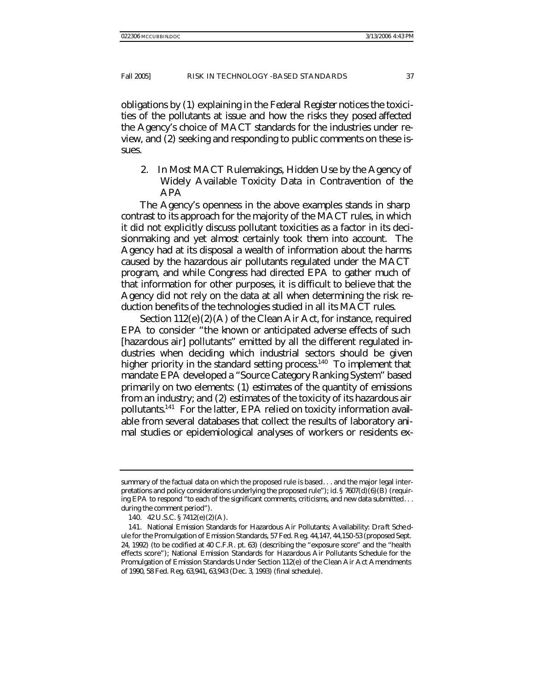obligations by (1) explaining in the *Federal Register* notices the toxicities of the pollutants at issue and how the risks they posed affected the Agency's choice of MACT standards for the industries under review, and (2) seeking and responding to public comments on these issues.

2. In Most MACT Rulemakings, Hidden Use by the Agency of Widely Available Toxicity Data in Contravention of the APA

The Agency's openness in the above examples stands in sharp contrast to its approach for the majority of the MACT rules, in which it did not explicitly discuss pollutant toxicities as a factor in its decisionmaking and yet almost certainly took them into account. The Agency had at its disposal a wealth of information about the harms caused by the hazardous air pollutants regulated under the MACT program, and while Congress had directed EPA to gather much of that information for other purposes, it is difficult to believe that the Agency did not rely on the data at all when determining the risk reduction benefits of the technologies studied in all its MACT rules.

Section 112(e)(2)(A) of the Clean Air Act, for instance, required EPA to consider "the known or anticipated adverse effects of such [hazardous air] pollutants" emitted by all the different regulated industries when deciding which industrial sectors should be given higher priority in the standard setting process.<sup>140</sup> To implement that mandate EPA developed a "Source Category Ranking System" based primarily on two elements: (1) estimates of the quantity of emissions from an industry; and (2) estimates of the toxicity of its hazardous air pollutants.<sup>141</sup> For the latter, EPA relied on toxicity information available from several databases that collect the results of laboratory animal studies or epidemiological analyses of workers or residents ex-

summary of the factual data on which the proposed rule is based. . . and the major legal interpretations and policy considerations underlying the proposed rule"); *id.* § 7607(d)(6)(B) (requiring EPA to respond "to each of the significant comments, criticisms, and new data submitted. . . during the comment period").

<sup>140.</sup> 42 U.S.C. § 7412(e)(2)(A).

<sup>141.</sup> National Emission Standards for Hazardous Air Pollutants; Availability: Dra ft Schedule for the Promulgation of Emission Standards, 57 Fed. Reg. 44,147, 44,150-53 (proposed Sept. 24, 1992) (to be codified at 40 C.F.R. pt. 63) (describing the "exposure score" and the "health effects score"); National Emission Standards for Hazardous Air Pollutants Schedule for the Promulgation of Emission Standards Under Section 112(e) of the Clean Air Act Amendments of 1990, 58 Fed. Reg. 63,941, 63,943 (Dec. 3, 1993) (final schedule).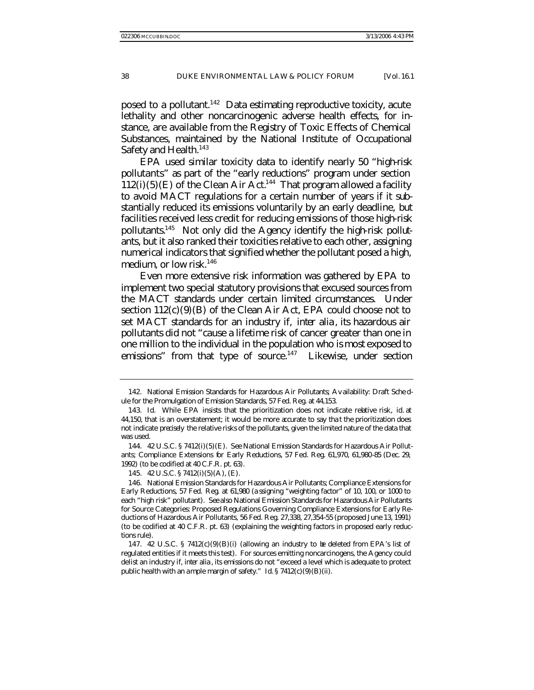posed to a pollutant.<sup>142</sup> Data estimating reproductive toxicity, acute lethality and other noncarcinogenic adverse health effects, for instance, are available from the Registry of Toxic Effects of Chemical Substances, maintained by the National Institute of Occupational Safety and Health.<sup>143</sup>

EPA used similar toxicity data to identify nearly 50 "high-risk pollutants" as part of the "early reductions" program under section  $112(i)(5)(E)$  of the Clean Air Act.<sup>144</sup> That program allowed a facility to avoid MACT regulations for a certain number of years if it substantially reduced its emissions voluntarily by an early deadline, but facilities received less credit for reducing emissions of those high-risk pollutants.145 Not only did the Agency identify the high-risk pollutants, but it also ranked their toxicities relative to each other, assigning numerical indicators that signified whether the pollutant posed a high, medium, or low risk.<sup>146</sup>

Even more extensive risk information was gathered by EPA to implement two special statutory provisions that excused sources from the MACT standards under certain limited circumstances. Under section  $112(c)(9)(B)$  of the Clean Air Act, EPA could choose not to set MACT standards for an industry if, *inter alia*, its hazardous air pollutants did not "cause a lifetime risk of cancer greater than one in one million to the individual in the population who is most exposed to emissions" from that type of source. $147$  Likewise, under section

<sup>142.</sup> National Emission Standards for Hazardous Air Pollutants; Av ailability: Draft Sche dule for the Promulgation of Emission Standards, 57 Fed. Reg. at 44,153.

<sup>143</sup>*. Id.* While EPA insists that the prioritization does not indicate relative risk, *id.* at 44,150, that is an overstatement; it would be more accurate to say tha t the prioritization does not indicate *precisely* the relative risks of the pollutants, given the limited nature of the data that was used.

<sup>144.</sup> 42 U.S.C. § 7412(i)(5)(E). *See* National Emission Standards for Hazardous Air Pollutants; Compliance Extensions for Early Reductions, 57 Fed. Reg. 61,970, 61,980-85 (Dec. 29, 1992) (to be codified at 40 C.F.R. pt. 63).

<sup>145.</sup> 42 U.S.C. § 7412(i)(5)(A), (E).

<sup>146.</sup> National Emission Standards for Hazardous Air Pollutants; Compliance Extensions for Early Reductions, 57 Fed. Reg. at 61,980 (a ssigning "weighting factor" of 10, 100, or 1000 to each "high risk" pollutant). *See also* National Emission Standards for Hazardous Air Pollutants for Source Categories: Proposed Regulations Governing Compliance Extensions for Early Reductions of Hazardous Air Pollutants, 56 Fed. Reg. 27,338, 27,354-55 (proposed June 13, 1991) (to be codified at 40 C.F.R. pt. 63) (explaining the weighting factors in proposed early reductions rule).

<sup>147. 42</sup> U.S.C. § 7412 $(c)(9)(B)(i)$  (allowing an industry to be deleted from EPA's list of regulated entities if it meets this test). For sources emitting noncarcinogens, the Agency could delist an industry if, *inter alia* , its emissions do not "exceed a level which is adequate to protect public health with an ample margin of safety." *Id.* § 7412(c)(9)(B)(ii).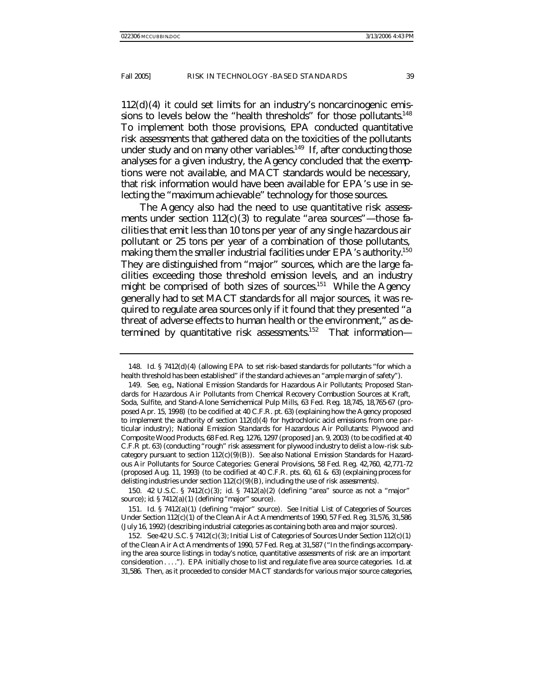$112(d)(4)$  it could set limits for an industry's noncarcinogenic emissions to levels below the "health thresholds" for those pollutants.<sup>148</sup> To implement both those provisions, EPA conducted quantitative risk assessments that gathered data on the toxicities of the pollutants under study and on many other variables.<sup>149</sup> If, after conducting those analyses for a given industry, the Agency concluded that the exemptions were not available, and MACT standards would be necessary, that risk information would have been available for EPA's use in selecting the "maximum achievable" technology for those sources.

The Agency also had the need to use quantitative risk assessments under section  $112(c)(3)$  to regulate "area sources"—those facilities that emit less than 10 tons per year of any single hazardous air pollutant or 25 tons per year of a combination of those pollutants, making them the smaller industrial facilities under EPA's authority.<sup>150</sup> They are distinguished from "major" sources, which are the large facilities exceeding those threshold emission levels, and an industry might be comprised of both sizes of sources.<sup>151</sup> While the Agency generally had to set MACT standards for all major sources, it was required to regulate area sources only if it found that they presented "a threat of adverse effects to human health or the environment," as determined by quantitative risk assessments.<sup>152</sup> That information—

150. 42 U.S.C. § 7412(c)(3); *id.* § 7412(a)(2) (defining "area" source as not a "major" source); *id.* § 7412(a)(1) (defining "major" source).

151*. Id.* § 7412(a)(1) (defining "major" source). *See* Initial List of Categories of Sources Under Section 112(c)(1) of the Clean Air Act Amendments of 1990, 57 Fed. Reg. 31,576, 31,586 (July 16, 1992) (describing industrial categories as containing both area and major sources).

<sup>148</sup>*. Id.* § 7412(d)(4) (allowing EPA to set risk-based standards for pollutants "for which a health threshold has been established" if the standard achieves an "ample margin of safety").

<sup>149</sup>*. See, e.g.*, National Emission Standards for Hazardous Air Pollutants; Proposed Standards for Hazardous Air Pollutants from Chemical Recovery Combustion Sources at Kraft, Soda, Sulfite, and Stand-Alone Semichemical Pulp Mills, 63 Fed. Reg. 18,745, 18,765-67 (proposed Apr. 15, 1998) (to be codified at 40 C.F.R. pt. 63) (explaining how the Agency proposed to implement the authority of section  $112(d)(4)$  for hydrochloric acid emissions from one particular industry); National Emission Standards for Hazardous Air Pollutants: Plywood and Composite Wood Products, 68 Fed. Reg. 1276, 1297 (proposed Jan. 9, 2003) (to be codified at 40 C.F.R pt. 63) (conducting "rough" risk assessment for plywood industry to delist a low-risk subcategory pursuant to section 112(c)(9)(B)). *See also* National Emission Standards for Hazardous Air Pollutants for Source Categories: General Provisions, 58 Fed. Reg. 42,760, 42,771-72 (proposed Aug. 11, 1993) (to be codified at 40 C.F.R. pts. 60, 61 & 63) (explaining process for delisting industries under section  $112(c)(9)(B)$ , including the use of risk assessments).

<sup>152</sup>*. See* 42 U.S.C. § 7412(c)(3); Initial List of Categories of Sources Under Section 112(c)(1) of the Clean Air Act Amendments of 1990, 57 Fed. Reg. at 31,587 ("In the findings accompanying the area source listings in today's notice, quantitative assessments of risk are an important consideration . . . ."). EPA initially chose to list and regulate five area source categories. *Id.* at 31,586. Then, as it proceeded to consider MACT standards for various major source categories,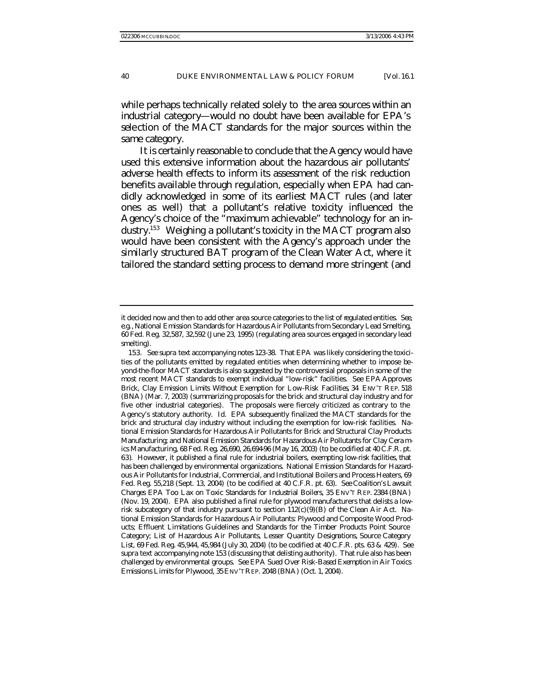while perhaps technically related solely to the area sources within an industrial category—would no doubt have been available for EPA's selection of the MACT standards for the major sources within the same category.

It is certainly reasonable to conclude that the Agency would have used this extensive information about the hazardous air pollutants' adverse health effects to inform its assessment of the risk reduction benefits available through regulation, especially when EPA had candidly acknowledged in some of its earliest MACT rules (and later ones as well) that a pollutant's relative toxicity influenced the Agency's choice of the "maximum achievable" technology for an industry.<sup>153</sup> Weighing a pollutant's toxicity in the MACT program also would have been consistent with the Agency's approach under the similarly structured BAT program of the Clean Water Act, where it tailored the standard setting process to demand more stringent (and

it decided now and then to add other area source categories to the list of regulated entities. *See, e.g.*, National Emission Standards for Hazardous Air Pollutants from Secondary Lead Smelting, 60 Fed. Reg. 32,587, 32,592 (June 23, 1995) (regulating area sources engaged in secondary lead smelting).

<sup>153</sup>*. See supra* text accompanying notes 123-38. That EPA was likely considering the toxicities of the pollutants emitted by regulated entities when determining whether to impose beyond-the-floor MACT standards is also suggested by the controversial proposals in some of the most recent MACT standards to exempt individual "low-risk" facilities. *See EPA Approves Brick, Clay Emission Limits Without Exemption for Low-Risk Facilities*, 34 ENV'T REP. 518 (BNA) (Mar. 7, 2003) (summarizing proposals for the brick and structural clay industry and for five other industrial categories). The proposals were fiercely criticized as contrary to the Agency's statutory authority. *Id.* EPA subsequently finalized the MACT standards for the brick and structural clay industry without including the exemption for low-risk facilities. National Emission Standards for Hazardous Air Pollutants for Brick and Structural Clay Products Manufacturing; and National Emission Standards for Hazardous Air Pollutants for Clay Cera mics Manufacturing, 68 Fed. Reg. 26,690, 26,694-96 (May 16, 2003) (to be codified at 40 C.F.R. pt. 63). However, it published a final rule for industrial boilers, exempting low-risk facilities, that has been challenged by environmental organizations. National Emission Standards for Hazardous Air Pollutants for Industrial, Commercial, and Institutional Boilers and Process Heaters, 69 Fed. Reg. 55,218 (Sept. 13, 2004) (to be codified at 40 C.F.R. pt. 63). *See Coalition's Lawsuit Charges EPA Too Lax on Toxic Standards for Industrial Boilers*, 35 ENV'T REP. 2384 (BNA) (Nov. 19, 2004). EPA also published a final rule for plywood manufacturers that delists a lowrisk subcategory of that industry pursuant to section  $112(c)(9)(B)$  of the Clean Air Act. National Emission Standards for Hazardous Air Pollutants: Plywood and Composite Wood Products; Effluent Limitations Guidelines and Standards for the Timber Products Point Source Category; List of Hazardous Air Pollutants, Lesser Quantity Designations, Source Category List, 69 Fed. Reg. 45,944, 45,984 (July 30, 2004) (to be codified at 40 C.F.R. pts. 63 & 429). *See supra* text accompanying note 153 (discussing that delisting authority). That rule also has been challenged by environmental groups. *See EPA Sued Over Risk-Based Exemption in Air Toxics Emissions Limits for Plywood*, 35 ENV'T REP. 2048 (BNA) (Oct. 1, 2004).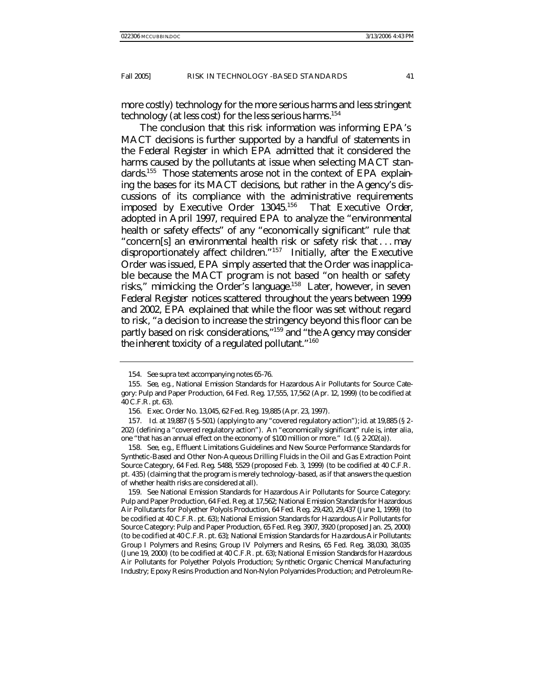more costly) technology for the more serious harms and less stringent technology (at less cost) for the less serious harms. 154

The conclusion that this risk information was informing EPA's MACT decisions is further supported by a handful of statements in the *Federal Register* in which EPA admitted that it considered the harms caused by the pollutants at issue when selecting MACT standards.<sup>155</sup> Those statements arose not in the context of EPA explaining the bases for its MACT decisions, but rather in the Agency's discussions of its compliance with the administrative requirements imposed by Executive Order 13045.<sup>156</sup> That Executive Order, adopted in April 1997, required EPA to analyze the "environmental health or safety effects" of any "economically significant" rule that "concern[s] an environmental health risk or safety risk that . . . may disproportionately affect children."<sup>157</sup> Initially, after the Executive Order was issued, EPA simply asserted that the Order was inapplicable because the MACT program is not based "on health or safety risks," mimicking the Order's language.<sup>158</sup> Later, however, in seven *Federal Register* notices scattered throughout the years between 1999 and 2002, EPA explained that while the floor was set without regard to risk, "a decision to increase the stringency beyond this floor can be partly based on risk considerations,"<sup>159</sup> and "the Agency may consider *the inherent toxicity* of a regulated pollutant."<sup>160</sup>

158*. See, e.g.*, Effluent Limitations Guidelines and New Source Performance Standards for Synthetic-Based and Other Non-Aqueous Drilling Fluids in the Oil and Gas Extraction Point Source Category, 64 Fed. Reg. 5488, 5529 (proposed Feb. 3, 1999) (to be codified at 40 C.F.R. pt. 435) (claiming that the program is merely technology-based, as if that answers the question of whether health risks are considered at all).

159*. See* National Emission Standards for Hazardous Air Pollutants for Source Category: Pulp and Paper Production, 64 Fed. Reg. at 17,562; National Emission Standards for Hazardous Air Pollutants for Polyether Polyols Production, 64 Fed. Reg. 29,420, 29,437 (June 1, 1999) (to be codified at 40 C.F.R. pt. 63); National Emission Standards for Hazardous Air Pollutants for Source Category: Pulp and Paper Production, 65 Fed. Reg. 3907, 3920 (proposed Jan. 25, 2000) (to be codified at 40 C.F.R. pt. 63); National Emission Standards for Ha zardous Air Pollutants: Group I Polymers and Resins; Group IV Polymers and Resins, 65 Fed. Reg. 38,030, 38,035 (June 19, 2000) (to be codified at 40 C.F.R. pt. 63); National Emission Standards for Hazardous Air Pollutants for Polyether Polyols Production; Sy nthetic Organic Chemical Manufacturing Industry; Epoxy Resins Production and Non-Nylon Polyamides Production; and Petroleum Re-

<sup>154</sup>*. See supra* text accompanying notes 65-76.

<sup>155</sup>*. See, e.g.*, National Emission Standards for Hazardous Air Pollutants for Source Category: Pulp and Paper Production, 64 Fed. Reg. 17,555, 17,562 (Apr. 12, 1999) (to be codified at 40 C.F.R. pt. 63).

<sup>156.</sup> Exec. Order No. 13,045, 62 Fed. Reg. 19,885 (Apr. 23, 1997).

<sup>157.</sup> *Id.* at 19,887 (§ 5-501) (applying to any "covered regulatory action"); *id.* at 19,885 (§ 2- 202) (defining a "covered regulatory action"). An "economically significant" rule is, *inter alia*, one "that has an annual effect on the economy of \$100 million or more." *Id.* (§ 2-202(a)).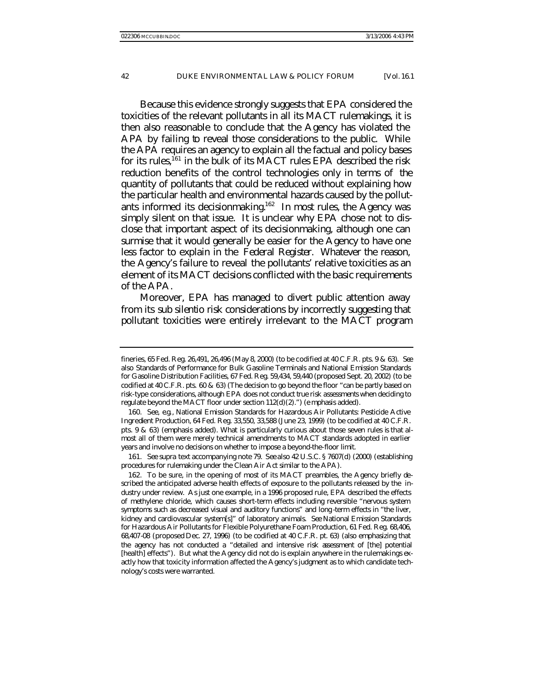Because this evidence strongly suggests that EPA considered the toxicities of the relevant pollutants in all its MACT rulemakings, it is then also reasonable to conclude that the Agency has violated the APA by failing to reveal those considerations to the public. While the APA requires an agency to explain all the factual and policy bases for its rules,  $161$  in the bulk of its MACT rules EPA described the risk reduction benefits of the control technologies only in terms of the quantity of pollutants that could be reduced without explaining how the particular health and environmental hazards caused by the pollutants informed its decisionmaking.<sup>162</sup> In most rules, the Agency was simply silent on that issue. It is unclear why EPA chose not to disclose that important aspect of its decisionmaking, although one can surmise that it would generally be easier for the Agency to have one less factor to explain in the *Federal Register*. Whatever the reason, the Agency's failure to reveal the pollutants' relative toxicities as an element of its MACT decisions conflicted with the basic requirements

of the APA.

Moreover, EPA has managed to divert public attention away from its *sub silentio* risk considerations by incorrectly suggesting that pollutant toxicities were entirely irrelevant to the MACT program

fineries, 65 Fed. Reg. 26,491, 26,496 (May 8, 2000) (to be codified at 40 C.F.R. pts. 9 & 63). *See also* Standards of Performance for Bulk Gasoline Terminals and National Emission Standards for Gasoline Distribution Facilities, 67 Fed. Reg. 59,434, 59,440 (proposed Sept. 20, 2002) (to be codified at 40 C.F.R. pts. 60 & 63) (The decision to go beyond the floor "can be partly based on risk-type considerations, *although EPA does not conduct true risk assessments* when deciding to regulate beyond the MACT floor under section 112(d)(2).") (e mphasis added).

<sup>160</sup>*. See, e.g.*, National Emission Standards for Hazardous Air Pollutants: Pesticide Active Ingredient Production, 64 Fed. Reg. 33,550, 33,588 (June 23, 1999) (to be codified at 40 C.F.R. pts.  $9 \& 63$ ) (emphasis added). What is particularly curious about those seven rules is that almost all of them were merely technical amendments to MACT standards adopted in earlier years and involve no decisions on whether to impose a beyond-the-floor limit.

<sup>161</sup>*. See supra* text accompanying note 79. *See also* 42 U.S.C. § 7607(d) (2000) (establishing procedures for rulemaking under the Clean Air Act similar to the APA).

<sup>162.</sup> To be sure, in the opening of most of its MACT preambles, the Agency briefly described the anticipated adverse health effects of exposure to the pollutants released by the industry under review. As just one example, in a 1996 proposed rule, EPA described the effects of methylene chloride, which causes short-term effects including reversible "nervous system symptoms such as decreased visual and auditory functions" and long -term effects in "the liver, kidney and cardiovascular system[s]" of laboratory animals. *See* National Emission Standards for Hazardous Air Pollutants for Flexible Polyurethane Foam Production, 61 Fed. Reg. 68,406, 68,407-08 (proposed Dec. 27, 1996) (to be codified at 40 C.F.R. pt. 63) (also emphasizing that the agency has not conducted a "detailed and intensive risk assessment of [the] potential [health] effects"). But what the Agency did *not* do is explain anywhere in the rulemakings exactly how that toxicity information affected the Agency's judgment as to which candidate technology's costs were warranted.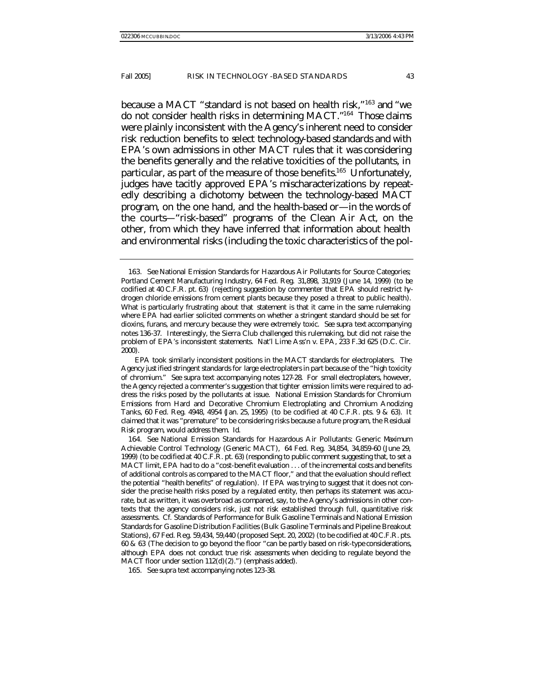because a MACT "standard is not based on health risk,"<sup>163</sup> and "we do not consider health risks in determining MACT."<sup>164</sup> Those claims were plainly inconsistent with the Agency's inherent need to consider risk reduction benefits to select technology-based standards and with EPA's own admissions in other MACT rules that it *was* considering the benefits generally and the relative toxicities of the pollutants, in particular, as part of the measure of those benefits.<sup>165</sup> Unfortunately, judges have tacitly approved EPA's mischaracterizations by repeatedly describing a dichotomy between the technology-based MACT program, on the one hand, and the health-based or—in the words of the courts—"risk-based" programs of the Clean Air Act, on the other, from which they have inferred that information about health and environmental risks (including the toxic characteristics of the pol-

<sup>163</sup>*. See* National Emission Standards for Hazardous Air Pollutants for Source Categories; Portland Cement Manufacturing Industry, 64 Fed. Reg. 31,898, 31,919 (June 14, 1999) (to be codified at 40 C.F.R. pt. 63) (rejecting suggestion by commenter that EPA should restrict hydrogen chloride emissions from cement plants because they posed a threat to public health). What is particularly frustrating about that statement is that it came in the same rulemaking where EPA had earlier solicited comments on whether a stringent standard should be set for dioxins, furans, and mercury because they were extremely toxic. *See supra* text accompanying notes 136-37. Interestingly, the Sierra Club challenged this rulemaking, but did not raise the problem of EPA's inconsistent statements. Nat'l Lime Ass'n v. EPA, 233 F.3d 625 (D.C. Cir. 2000).

EPA took similarly inconsistent positions in the MACT standards for electroplaters. The Agency justified stringent standards for *large* electroplaters in part because of the "high toxicity of chromium." *See supra* text accompanying notes 127-28. For *small* electroplaters, however, the Agency rejected a commenter's suggestion that tighter emission limits were required to address the risks posed by the pollutants at issue. National Emission Standards for Chromium Emissions from Hard and Decorative Chromium Electroplating and Chromium Anodizing Tanks, 60 Fed. Reg. 4948, 4954 (Jan. 25, 1995) (to be codified at 40 C.F.R. pts. 9 & 63). It claimed that it was "premature" to be considering risks because a future program, the Residual Risk program, would address them. *Id.*

<sup>164</sup>*. See* National Emission Standards for Hazardous Air Pollutants: Generic Maximum Achievable Control Technology (Generic MACT), 64 Fed. Reg. 34,854, 34,859-60 (June 29, 1999) (to be codified at 40 C.F.R. pt. 63) (responding to public comment suggesting that, to set a MACT limit, EPA had to do a "cost-benefit evaluation . . . of the incremental costs and benefits of additional controls as compared to the MACT floor," and that the evaluation should reflect the potential "health benefits" of regulation). If EPA was trying to suggest that it does not consider the *precise* health risks posed by a regulated entity, then perhaps its statement was accurate, but as written, it was overbroad as compared, say, to the Agency's admissions in other contexts that the agency considers risk, just not risk established through full, quantitative risk assessments. *Cf.* Standards of Performance for Bulk Gasoline Terminals and National Emission Standards for Gasoline Distribution Facilities (Bulk Gasoline Terminals and Pipeline Breakout Stations), 67 Fed. Reg. 59,434, 59,440 (proposed Sept. 20, 2002) (to be codified at 40 C.F.R. pts. 60 & 63 (The decision to go beyond the floor "can be partly based on risk-type considerations, *although EPA does not conduct true risk assessments* when deciding to regulate beyond the MACT floor under section 112(d)(2).") (emphasis added).

<sup>165</sup>*. See supra* text accompanying notes 123-38.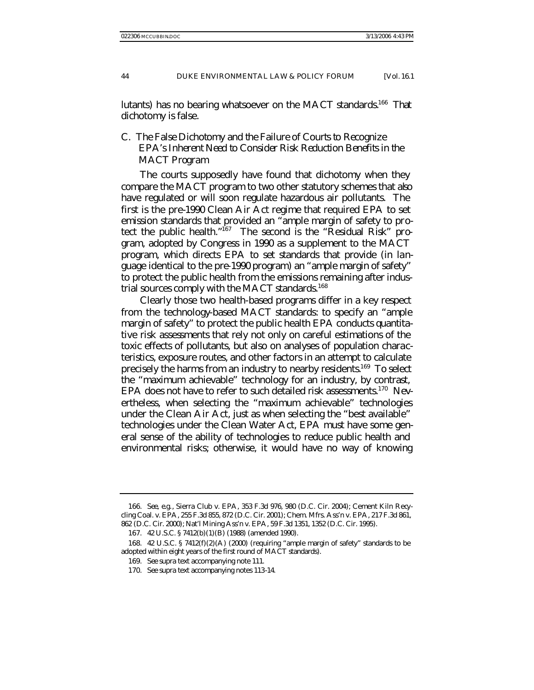lutants) has no bearing whatsoever on the MACT standards.<sup>166</sup> That dichotomy is false.

# C. *The False Dichotomy and the Failure of Courts to Recognize EPA's Inherent Need to Consider Risk Reduction Benefits in the MACT Program*

The courts supposedly have found that dichotomy when they compare the MACT program to two other statutory schemes that also have regulated or will soon regulate hazardous air pollutants. The first is the pre-1990 Clean Air Act regime that required EPA to set emission standards that provided an "ample margin of safety to protect the public health."167 The second is the "Residual Risk" program, adopted by Congress in 1990 as a supplement to the MACT program, which directs EPA to set standards that provide (in language identical to the pre-1990 program) an "ample margin of safety" to protect the public health from the emissions remaining after industrial sources comply with the MACT standards.<sup>168</sup>

Clearly those two health-based programs differ in a key respect from the technology-based MACT standards: to specify an "ample margin of safety" to protect the public health EPA conducts quantitative risk assessments that rely not only on careful estimations of the toxic effects of pollutants, but also on analyses of population characteristics, exposure routes, and other factors in an attempt to calculate precisely the harms from an industry to nearby residents.<sup>169</sup> To select the "maximum achievable" technology for an industry, by contrast, EPA does not have to refer to such detailed risk assessments.<sup>170</sup> Nevertheless, when selecting the "maximum achievable" technologies under the Clean Air Act, just as when selecting the "best available" technologies under the Clean Water Act, EPA must have some general sense of the ability of technologies to reduce public health and environmental risks; otherwise, it would have no way of knowing

<sup>166</sup>*. See, e.g.*, Sierra Club v. EPA, 353 F.3d 976, 980 (D.C. Cir. 2004); Cement Kiln Recycling Coal. v. EPA, 255 F.3d 855, 872 (D.C. Cir. 2001); Chem. Mfrs. Ass'n v. EPA, 217 F.3d 861, 862 (D.C. Cir. 2000); Nat'l Mining Ass'n v. EPA, 59 F.3d 1351, 1352 (D.C. Cir. 1995).

<sup>167.</sup> 42 U.S.C. § 7412(b)(1)(B) (1988) (amended 1990).

<sup>168.</sup> 42 U.S.C. § 7412(f)(2)(A) (2000) (requiring "ample margin of safety" standards to be adopted within eight years of the first round of MACT standards).

<sup>169</sup>*. See supra* text accompanying note 111.

<sup>170</sup>*. See supra* text accompanying notes 113-14.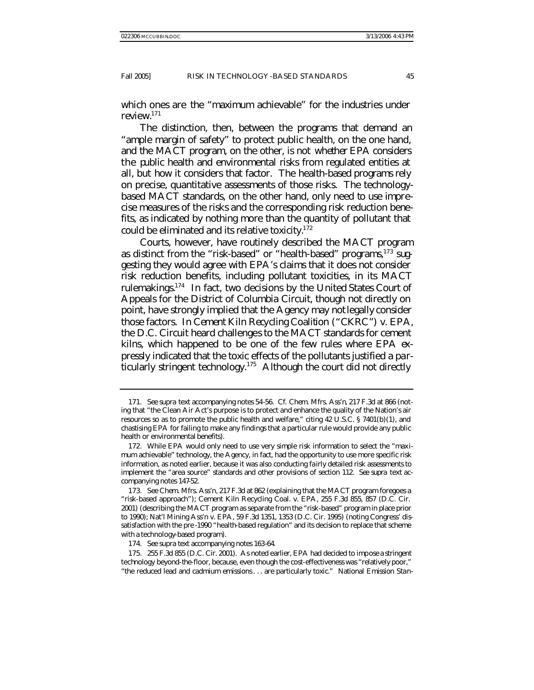which ones are the "maximum achievable" for the industries under review.<sup>171</sup>

The distinction, then, between the programs that demand an "ample margin of safety" to protect public health, on the one hand, and the MACT program, on the other, is not *whether* EPA considers the public health and environmental risks from regulated entities at all, but *how* it considers that factor. The health-based programs rely on precise, quantitative assessments of those risks. The technologybased MACT standards, on the other hand, only need to use imprecise measures of the risks and the corresponding risk reduction benefits, as indicated by nothing more than the quantity of pollutant that could be eliminated and its relative toxicity. $172$ 

Courts, however, have routinely described the MACT program as distinct from the "risk-based" or "health-based" programs, $173$  suggesting they would agree with EPA's claims that it does not consider risk reduction benefits, including pollutant toxicities, in its MACT rulemakings.<sup>174</sup> In fact, two decisions by the United States Court of Appeals for the District of Columbia Circuit, though not directly on point, have strongly implied that the Agency may *not* legally consider those factors. In *Cement Kiln Recycling Coalition* ("*CKRC*") *v. EPA*, the D.C. Circuit heard challenges to the MACT standards for cement kilns, which happened to be one of the few rules where EPA expressly indicated that the toxic effects of the pollutants justified a particularly stringent technology.<sup>175</sup> Although the court did not directly

<sup>171</sup>*. See supra* text accompanying notes 54-56. *Cf. Chem. Mfrs. Ass'n*, 217 F.3d at 866 (noting that "the Clean Air Act's purpose is to protect and enhance the quality of the Nation's air resources so as to promote the public health and welfare," citing 42 U.S.C. § 7401(b)(1), and chastising EPA for failing to make any findings that a particular rule would provide any public health or environmental benefits).

<sup>172.</sup> While EPA would only need to use very simple risk information to select the "maximum achievable" technology, the Agency, in fact, had the opportunity to use more specific risk information, as noted earlier, because it was also conducting fairly detailed risk assessments to implement the "area source" standards and other provisions of section 112. *See supra* text accompanying notes 147-52.

<sup>173</sup>*. See Chem. Mfrs. Ass'n*, 217 F.3d at 862 (explaining that the MACT program foregoes a "risk-based approach"); Cement Kiln Recycling Coal. v. EPA, 255 F.3d 855, 857 (D.C. Cir. 2001) (describing the MACT program as separate from the "risk-based" program in place prior to 1990); Nat'l Mining Ass'n v. EPA, 59 F.3d 1351, 1353 (D.C. Cir. 1995) (noting Congress' dissatisfaction with the pre -1990 "health-based regulation" and its decision to replace that scheme with a technology-based program).

<sup>174</sup>*. See supra* text accompanying notes 163-64.

<sup>175.</sup> 255 F.3d 855 (D.C. Cir. 2001). As noted earlier, EPA had decided to impose a stringent technology beyond-the-floor, because, even though the cost-effectiveness was "relatively poor," "the reduced lead and cadmium emissions. . . are particularly toxic." National Emission Stan-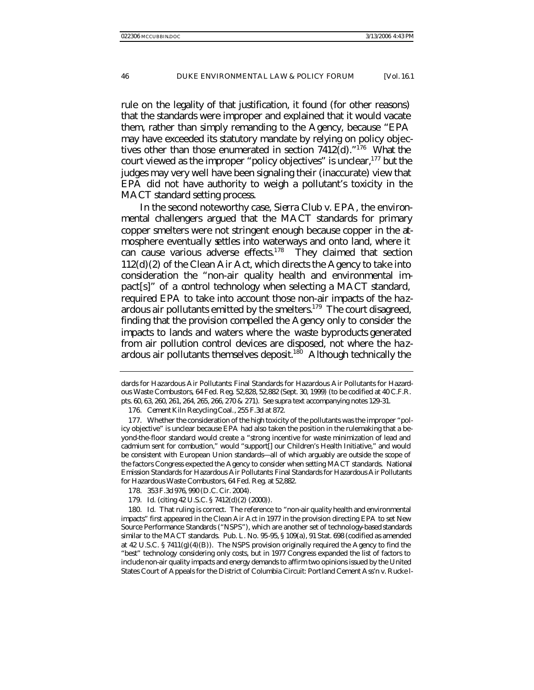rule on the legality of that justification, it found (for other reasons) that the standards were improper and explained that it would vacate them, rather than simply remanding to the Agency, because "EPA may have exceeded its statutory mandate by relying on policy objectives other than those enumerated in section 7412(d)."<sup>176</sup> What the court viewed as the improper "policy objectives" is unclear,<sup>177</sup> but the judges may very well have been signaling their (inaccurate) view that EPA did not have authority to weigh a pollutant's toxicity in the MACT standard setting process.

In the second noteworthy case, *Sierra Club v. EPA*, the environmental challengers argued that the MACT standards for primary copper smelters were not stringent enough because copper in the atmosphere eventually settles into waterways and onto land, where it can cause various adverse effects.<sup>178</sup> They claimed that section 112(d)(2) of the Clean Air Act, which directs the Agency to take into consideration the "non-air quality health and environmental impact[s]" of a control technology when selecting a MACT standard, required EPA to take into account those non-air impacts of the hazardous air pollutants emitted by the smelters.<sup>179</sup> The court disagreed, finding that the provision compelled the Agency only to consider the impacts to lands and waters where the *waste byproducts* generated from air pollution control devices are disposed, not where the hazardous air pollutants themselves deposit.<sup>180</sup> Although technically the

179*. Id.* (citing 42 U.S.C. § 7412(d)(2) (2000)).

dards for Hazardous Air Pollutants: Final Standards for Hazardous Air Pollutants for Hazardous Waste Combustors, 64 Fed. Reg. 52,828, 52,882 (Sept. 30, 1999) (to be codified at 40 C.F.R. pts. 60, 63, 260, 261, 264, 265, 266, 270 & 271). *See supra* text accompanying notes 129-31.

<sup>176</sup>*. Cement Kiln Recycling Coal.*, 255 F.3d at 872.

<sup>177.</sup> Whether the consideration of the high toxicity of the pollutants was the improper "policy objective" is unclear because EPA had also taken the position in the rulemaking that a beyond-the-floor standard would create a "strong incentive for waste minimization of lead and cadmium sent for combustion," would "support[] our Children's Health Initiative," and would be consistent with European Union standards—all of which arguably are outside the scope of the factors Congress expected the Agency to consider when setting MACT standards. National Emission Standards for Hazardous Air Pollutants: Final Standards for Hazardous Air Pollutants for Hazardous Waste Combustors, 64 Fed. Reg. at 52,882.

<sup>178.</sup> 353 F.3d 976, 990 (D.C. Cir. 2004).

<sup>180</sup>*. Id.* That ruling is correct. The reference to "non-air quality health and environmental impacts" first appeared in the Clean Air Act in 1977 in the provision directing EPA to set New Source Performance Standards ("NSPS"), which are another set of technology-based standards similar to the MACT standards. Pub. L. No. 95-95, § 109(a), 91 Stat. 698 (codified as amended at 42 U.S.C.  $\S$  7411(g)(4)(B)). The NSPS provision originally required the Agency to find the "best" technology considering only costs, but in 1977 Congress expanded the list of factors to include non-air quality impacts and energy demands to affirm two opinions issued by the United States Court of Appeals for the District of Columbia Circuit: Portland Cement Ass'n v. Rucke l-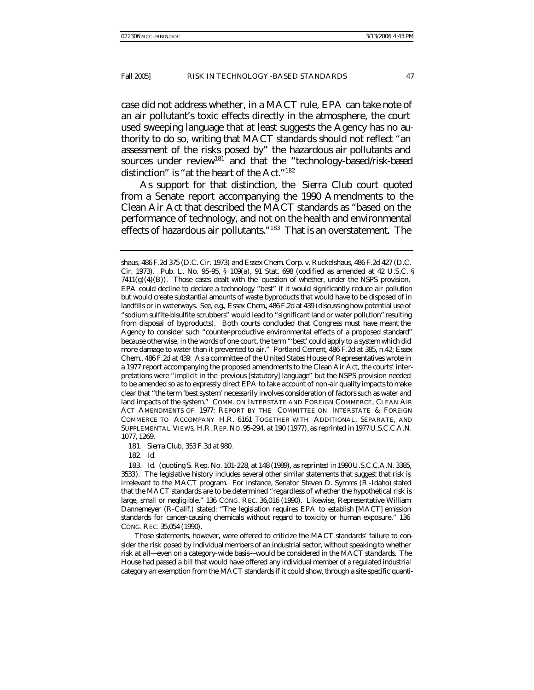case did not address whether, in a MACT rule, EPA can take note of an air pollutant's toxic effects directly in the atmosphere, the court used sweeping language that at least suggests the Agency has no authority to do so, writing that MACT standards should not reflect "an assessment of the risks posed by" the hazardous air pollutants and sources under review<sup>181</sup> and that the "technology-based/risk-based distinction" is "at the heart of the Act."<sup>182</sup>

As support for that distinction, the *Sierra Club* court quoted from a Senate report accompanying the 1990 Amendments to the Clean Air Act that described the MACT standards as "based on the performance of technology, and not on the health and environmental effects of hazardous air pollutants."<sup>183</sup> That is an overstatement. The

182*. Id.*

Those statements, however, were offered to criticize the MACT standards' failure to consider the risk posed by *individual* members of an industrial sector, without speaking to whether risk at all—even on a category-wide basis—would be considered in the MACT standards. The House had passed a bill that would have offered any individual member of a regulated industrial category an exemption from the MACT standards if it could show, *through a site-specific quanti-*

shaus, 486 F.2d 375 (D.C. Cir. 1973) and Essex Chem. Corp. v. Ruckelshaus, 486 F.2d 427 (D.C. Cir. 1973). Pub. L. No. 95-95, § 109(a), 91 Stat. 698 (codified as amended at 42 U.S.C. §  $7411(g)(4)(B)$ . Those cases dealt with the question of whether, under the NSPS provision, EPA could decline to declare a technology "best" if it would significantly reduce air pollution but would create substantial amounts of waste byproducts that would have to be disposed of in landfills or in waterways. *See, e.g.*, *Essex Chem.*, 486 F.2d at 439 (discussing how potential use of "sodium sulfite-bisulfite scrubbers" would lead to "significant land or water pollution" resulting from disposal of byproducts). Both courts concluded that Congress must have meant the Agency to consider such "counter-productive environmental effects of a proposed standard" because otherwise, in the words of one court, the term "'best' could apply to a system which did more damage to water than it prevented to air." *Portland Cement*, 486 F.2d at 385, n.42; *Essex Chem.*, 486 F.2d at 439. As a committee of the United States House of Representatives wrote in a 1977 report accompanying the proposed amendments to the Clean Air Act, the courts' interpretations were "implicit in the previous [statutory] language" but the NSPS provision needed to be amended so as to expressly direct EPA to take account of non-air quality impacts to make clear that "the term 'best system' necessarily involves consideration of factors such as water and land impacts of the system." COMM. ON INTERSTATE AND FOREIGN COMMERCE, CLEAN AIR ACT AMENDMENTS OF 1977: REPORT BY THE COMMITTEE ON INTERSTATE & FOREIGN COMMERCE TO ACCOMPANY H.R. 6161 TOGETHER WITH ADDITIONAL, SEPARATE, AND SUPPLEMENTAL VIEWS, H.R. REP. NO. 95-294, at 190 (1977), *as reprinted in* 1977 U.S.C.C.A.N. 1077, 1269.

<sup>181</sup>*. Sierra Club*, 353 F.3d at 980.

<sup>183</sup>*. Id*. (quoting S. Rep. No. 101-228, at 148 (1989), *as reprinted in* 1990 U.S.C.C.A.N. 3385, 3533). The legislative history includes several other similar statements that suggest that risk is irrelevant to the MACT program. For instance, Senator Steven D. Symms (R -Idaho) stated that the MACT standards are to be determined "regardless of whether the hypothetical risk is large, small or neglig ible." 136 CONG. REC. 36,016 (1990). Likewise, Representative William Dannemeyer (R-Calif.) stated: "The legislation requires EPA to establish [MACT] emission standards for cancer-causing chemicals without regard to toxicity or human exposure." 136 CONG. REC. 35,054 (1990).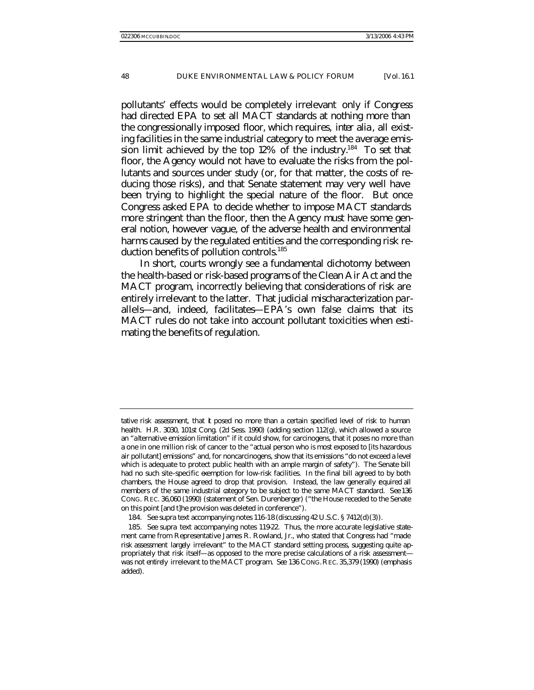pollutants' effects would be completely irrelevant only if Congress had directed EPA to set all MACT standards at nothing more than the congressionally imposed *floor*, which requires, *inter alia*, all existing facilities in the same industrial category to meet the average emission limit achieved by the top  $12\%$  of the industry.<sup>184</sup> To set that floor, the Agency would not have to evaluate the risks from the pollutants and sources under study (or, for that matter, the costs of reducing those risks), and that Senate statement may very well have been trying to highlight the special nature of the floor. But once Congress asked EPA to decide whether to impose MACT standards more stringent than the floor, then the Agency must have some general notion, however vague, of the adverse health and environmental harms caused by the regulated entities and the corresponding risk reduction benefits of pollution controls.<sup>185</sup>

In short, courts wrongly see a fundamental dichotomy between the health-based or risk-based programs of the Clean Air Act and the MACT program, incorrectly believing that considerations of risk are entirely irrelevant to the latter. That judicial mischaracterization parallels—and, indeed, facilitates—EPA's own false claims that its MACT rules do not take into account pollutant toxicities when estimating the benefits of regulation.

*tative risk assessment*, that **t** posed no more than a certain specified level of risk to human health. H.R. 3030, 101st Cong. (2d Sess. 1990) (adding section 112(g), which allowed a source an "alternative emission limitation" if it could show, for carcinogens, that it poses no more than a one in one million risk of cancer to the "actual person who is most exposed to [its hazardous air pollutant] emissions" and, for noncarcinogens, show that its emissions "do not exceed a level which is adequate to protect public health with an ample margin of safety"). The Senate bill had no such site-specific exemption for low-risk facilities. In the final bill agreed to by both chambers, the House agreed to drop that provision. Instead, the law generally equired all members of the same industrial category to be subject to the same MACT standard. *See* 136 CONG. REC. 36,060 (1990) (statement of Sen. Durenberger) ("the House receded to the Senate on this point [and t]he provision was deleted in conference").

<sup>184</sup>*. See supra* text accompanying notes 116-18 (discussing 42 U.S.C. § 7412(d)(3)).

<sup>185</sup>*. See supra* text accompanying notes 119-22. Thus, the more accurate legislative statement came from Representative James R. Rowland, Jr., who stated that Congress had "made risk assessment *largely* irrelevant" to the MACT standard setting process, suggesting quite appropriately that risk itself—as opposed to the more precise calculations of a risk assessment was not *entirely* irrelevant to the MACT program. *See* 136 CONG.REC. 35,379 (1990) (emphasis added).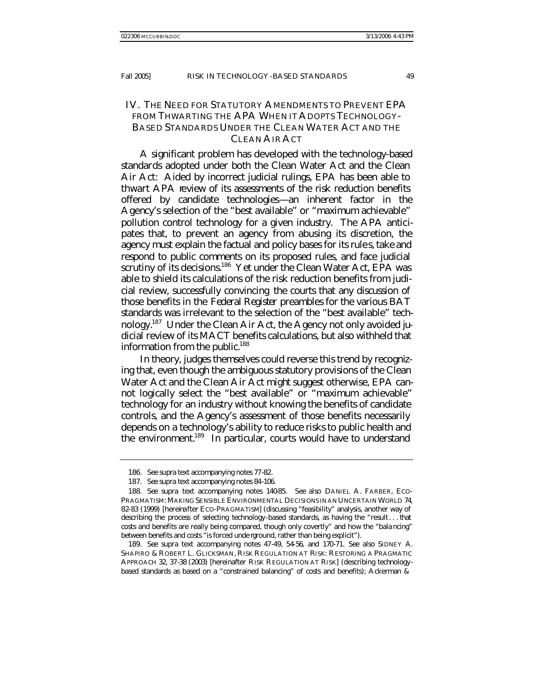## IV. THE NEED FOR STATUTORY AMENDMENTS TO PREVENT EPA FROM THWARTING THE APA WHEN IT ADOPTS TECHNOLOGY-BASED STANDARDS UNDER THE CLEAN WATER ACT AND THE CLEAN AIR ACT

A significant problem has developed with the technology-based standards adopted under both the Clean Water Act and the Clean Air Act: Aided by incorrect judicial rulings, EPA has been able to thwart APA review of its assessments of the risk reduction benefits offered by candidate technologies—an inherent factor in the Agency's selection of the "best available" or "maximum achievable" pollution control technology for a given industry. The APA anticipates that, to prevent an agency from abusing its discretion, the agency must explain the factual and policy bases for its rules, take and respond to public comments on its proposed rules, and face judicial scrutiny of its decisions.<sup>186</sup> Yet under the Clean Water Act, EPA was able to shield its calculations of the risk reduction benefits from judicial review, successfully convincing the courts that any discussion of those benefits in the *Federal Register* preambles for the various BAT standards was irrelevant to the selection of the "best available" technology.187 Under the Clean Air Act, the Agency not only avoided judicial review of its MACT benefits calculations, but also withheld that information from the public.<sup>188</sup>

In theory, judges themselves could reverse this trend by recognizing that, even though the ambiguous statutory provisions of the Clean Water Act and the Clean Air Act might suggest otherwise, EPA cannot logically select the "best available" or "maximum achievable" technology for an industry without knowing the benefits of candidate controls, and the Agency's assessment of those benefits necessarily depends on a technology's ability to reduce risks to public health and the environment.<sup>189</sup> In particular, courts would have to understand

189*. See supra* text accompanying notes 47-49, 54-56, and 170-71. *See also* SIDNEY A. SHAPIRO & ROBERT L. GLICKSMAN, RISK REGULATION AT RISK: RESTORING A PRAGMATIC APPROACH 32, 37-38 (2003) [hereinafter RISK REGULATION AT RISK] (describing technologybased standards as based on a "constrained balancing" of costs and benefits); Ackerman &

<sup>186</sup>*. See supra* text accompanying notes 77-82.

<sup>187</sup>*. See supra* text accompanying notes 84-106.

<sup>188</sup>*. See supra* text accompanying notes 140-85. *See also* DANIEL A. FARBER, ECO-PRAGMATISM: MAKING SENSIBLE ENVIRONMENTAL DECISIONS IN AN UNCERTAIN WORLD 74, 82-83 (1999) [hereinafter ECO-PRAGMATISM] (discussing "feasibility" analysis, another way of describing the process of selecting technology-based standards, as having the "result . . . that costs and benefits are really being compared, though only covertly" and how the "bala ncing" between benefits and costs "is forced unde rground, rather than being explicit").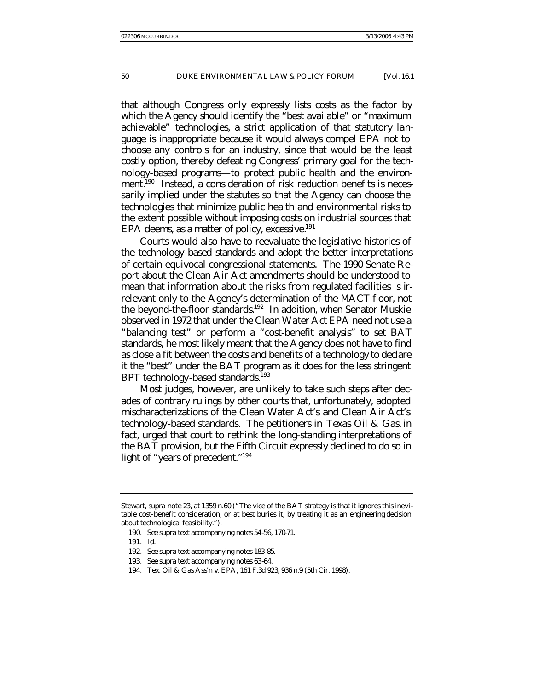that although Congress only expressly lists costs as the factor by which the Agency should identify the "best available" or "maximum achievable" technologies, a strict application of that statutory language is inappropriate because it would always compel EPA not to choose *any* controls for an industry, since that would be the least costly option, thereby defeating Congress' primary goal for the technology-based programs—to protect public health and the environment.<sup>190</sup> Instead, a consideration of risk reduction benefits is necessarily implied under the statutes so that the Agency can choose the technologies that minimize public health and environmental risks to the extent possible without imposing costs on industrial sources that EPA deems, as a matter of policy, excessive. $191$ 

Courts would also have to reevaluate the legislative histories of the technology-based standards and adopt the better interpretations of certain equivocal congressional statements. The 1990 Senate Report about the Clean Air Act amendments should be understood to mean that information about the risks from regulated facilities is irrelevant only to the Agency's determination of the MACT floor, not the beyond-the-floor standards.<sup>192</sup> In addition, when Senator Muskie observed in 1972 that under the Clean Water Act EPA need not use a "balancing test" or perform a "cost-benefit analysis" to set BAT standards, he most likely meant that the Agency does not have to find as close a fit between the costs and benefits of a technology to declare it the "best" under the BAT program as it does for the less stringent BPT technology-based standards.<sup>193</sup>

Most judges, however, are unlikely to take such steps after decades of contrary rulings by other courts that, unfortunately, adopted mischaracterizations of the Clean Water Act's and Clean Air Act's technology-based standards. The petitioners in *Texas Oil & Gas*, in fact, urged that court to rethink the long-standing interpretations of the BAT provision, but the Fifth Circuit expressly declined to do so in light of "years of precedent."<sup>194</sup>

Stewart, *supra* note 23, at 1359 n.60 ("The vice of the BAT strategy is that it ignores this inevitable cost-benefit consideration, or at best buries it, by treating it as an engineering decision about technological feasibility.").

<sup>190</sup>*. See supra* text accompanying notes 54-56, 170-71.

<sup>191</sup>*. Id.*

<sup>192</sup>*. See supra* text accompanying notes 183-85.

<sup>193</sup>*. See supra* text accompanying notes 63-64.

<sup>194.</sup> Tex. Oil & Gas Ass'n v. EPA, 161 F.3d 923, 936 n.9 (5th Cir. 1998).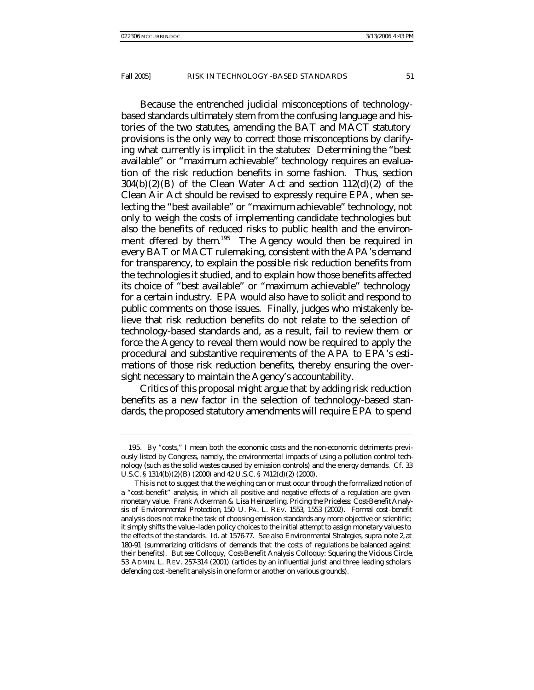Because the entrenched judicial misconceptions of technologybased standards ultimately stem from the confusing language and histories of the two statutes, amending the BAT and MACT statutory provisions is the only way to correct those misconceptions by clarifying what currently is implicit in the statutes: Determining the "best available" or "maximum achievable" technology requires an evaluation of the risk reduction benefits in some fashion. Thus, section  $304(b)(2)(B)$  of the Clean Water Act and section  $112(d)(2)$  of the Clean Air Act should be revised to expressly require EPA, when selecting the "best available" or "maximum achievable" technology, not only to weigh the costs of implementing candidate technologies but also the benefits of reduced risks to public health and the environment offered by them.<sup>195</sup> The Agency would then be required in every BAT or MACT rulemaking, consistent with the APA's demand for transparency, to explain the possible risk reduction benefits from the technologies it studied, and to explain how those benefits affected its choice of "best available" or "maximum achievable" technology for a certain industry. EPA would also have to solicit and respond to public comments on those issues. Finally, judges who mistakenly believe that risk reduction benefits do not relate to the selection of technology-based standards and, as a result, fail to review them or force the Agency to reveal them would now be required to apply the procedural and substantive requirements of the APA to EPA's estimations of those risk reduction benefits, thereby ensuring the oversight necessary to maintain the Agency's accountability.

Critics of this proposal might argue that by adding risk reduction benefits as a new factor in the selection of technology-based standards, the proposed statutory amendments will require EPA to spend

<sup>195.</sup> By "costs," I mean both the economic costs and the non-economic detriments previously listed by Congress, namely, the environmental impacts of using a pollution control technology (such as the solid wastes caused by emission controls) and the energy demands. *Cf.* 33 U.S.C. § 1314(b)(2)(B) (2000) and 42 U.S.C. § 7412(d)(2) (2000).

This is not to suggest that the weighing can or must occur through the formalized notion of a "cost-benefit" analysis, in which all positive and negative effects of a regulation are given monetary value. Frank Ackerman & Lisa Heinzerling, *Pricing the Priceless: Cost-Benefit Analysis of Environmental Protection*, 150 U. PA. L. REV. 1553, 1553 (2002). Formal cost-benefit analysis does not make the task of choosing emission standards any more objective or scientific; it simply shifts the value -laden policy choices to the initial attempt to assign monetary values to the effects of the standards. *Id.* at 1576-77. *See also Environmental Strategies*, *supra* note 2, at 180-91 (summarizing criticisms of demands that the costs of regulations be balanced against their benefits). *But see* Colloquy, *Cost-Benefit Analysis Colloquy: Squaring the Vicious Circle*, 53 ADMIN. L. REV. 257-314 (2001) (articles by an influential jurist and three leading scholars defending cost-benefit analysis in one form or another on various grounds).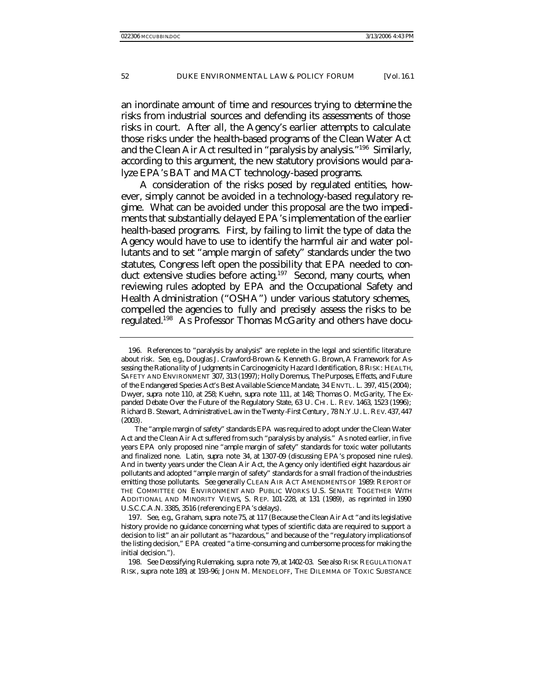an inordinate amount of time and resources trying to determine the risks from industrial sources and defending its assessments of those risks in court. After all, the Agency's earlier attempts to calculate those risks under the health-based programs of the Clean Water Act and the Clean Air Act resulted in "paralysis by analysis."<sup>196</sup> Similarly, according to this argument, the new statutory provisions would paralyze EPA's BAT and MACT technology-based programs.

A consideration of the risks posed by regulated entities, however, simply cannot be avoided in a technology-based regulatory regime. What can be avoided under this proposal are the two impediments that substantially delayed EPA's implementation of the earlier health-based programs. First, by failing to limit the type of data the Agency would have to use to identify the harmful air and water pollutants and to set "ample margin of safety" standards under the two statutes, Congress left open the possibility that EPA needed to conduct extensive studies before acting.<sup>197</sup> Second, many courts, when reviewing rules adopted by EPA and the Occupational Safety and Health Administration ("OSHA") under various statutory schemes, compelled the agencies to *fully* and *precisely* assess the risks to be regulated.198 As Professor Thomas McGarity and others have docu-

<sup>196.</sup> References to "paralysis by analysis" are replete in the legal and scientific literature about risk. *See, e.g.*, Douglas J. Crawford-Brown & Kenneth G. Brown, *A Framework for Assessing the Rationa lity of Judgments in Carcinogenicity Hazard Identification*, 8 RISK: HEALTH, SAFETY AND ENVIRONMENT 307, 313 (1997); Holly Doremus, *The Purposes, Effects, and Future of the Endangered Species Act's Best Available Science Mandate*, 34 ENVTL. L. 397, 415 (2004); Dwyer, *supra* note 110, at 258; Kuehn, *supra* note 111, at 148; Thomas O. McGarity, *The Expanded Debate Over the Future of the Regulatory State*, 63 U. CHI. L. REV. 1463, 1523 (1996); Richard B. Stewart, *Administrative Law in the Twenty -First Century* , 78 N.Y.U. L. REV. 437, 447 (2003).

The "ample margin of safety" standards EPA was required to adopt under the Clean Water Act and the Clean Air Act suffered from such "paralysis by analysis." As noted earlier, in five years EPA only proposed nine "ample margin of safety" standards for toxic water pollutants and finalized none. Latin, *supra* note 34, at 1307-09 (discussing EPA's proposed nine rules). And in twenty years under the Clean Air Act, the Agency only identified eight hazardous air pollutants and adopted "ample margin of safety" standards for a small fraction of the industries emitting those pollutants. *See generally* CLEAN AIR ACT AMENDMENTS OF 1989: REPORT OF THE COMMITTEE ON ENVIRONMENT AND PUBLIC WORKS U.S. SENATE TOGETHER WITH ADDITIONAL AND MINORITY VIEWS, S. REP. 101-228, at 131 (1989), *as reprinted in* 1990 U.S.C.C.A.N. 3385, 3516 (referencing EPA's delays).

<sup>197</sup>*. See, e.g.*, Graham, *supra* note 75, at 117 (Because the Clean Air Act "and its legislative history provide no guidance concerning what types of scientific data are required to support a decision to list" an air pollutant as "hazardous," and because of the "regulatory implications of the listing decision," EPA created "a time -consuming and cumbersome process for making the initial decision.").

<sup>198</sup>*. See Deossifying Rulemaking*, *supra* note 79, at 1402-03. S*ee also* RISK REGULATION AT RISK*, supra* note 189, at 193-96; JOHN M. MENDELOFF, THE DILEMMA OF TOXIC SUBSTANCE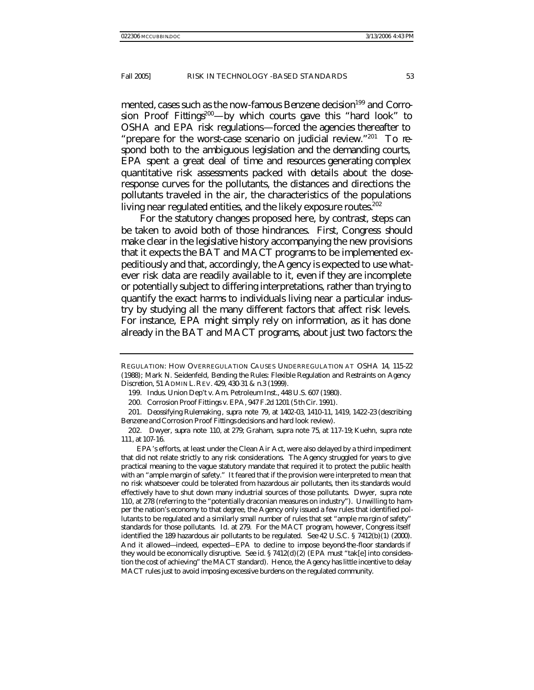mented, cases such as the now-famous *Benzene* decision<sup>199</sup> and *Corrosion Proof Fittings*<sup>200</sup>—by which courts gave this "hard look" to OSHA and EPA risk regulations—forced the agencies thereafter to "prepare for the worst-case scenario on judicial review."<sup>201</sup> To respond both to the ambiguous legislation and the demanding courts, EPA spent a great deal of time and resources generating complex quantitative risk assessments packed with details about the doseresponse curves for the pollutants, the distances and directions the pollutants traveled in the air, the characteristics of the populations living near regulated entities, and the likely exposure routes.<sup>202</sup>

For the statutory changes proposed here, by contrast, steps can be taken to avoid both of those hindrances. First, Congress should make clear in the legislative history accompanying the new provisions that it expects the BAT and MACT programs to be implemented expeditiously and that, accordingly, the Agency is expected to use whatever risk data are readily available to it, even if they are incomplete or potentially subject to differing interpretations, rather than trying to quantify the exact harms to individuals living near a particular industry by studying all the many different factors that affect risk levels. For instance, EPA might simply rely on information, as it has done already in the BAT and MACT programs, about just two factors: the

EPA's efforts, at least under the Clean Air Act, were also delayed by a third impediment that did not relate strictly to any risk considerations. The Agency struggled for years to give practical meaning to the vague statutory mandate that required it to protect the public health with an "ample margin of safety." It feared that if the provision were interpreted to mean that no risk whatsoever could be tolerated from hazardous air pollutants, then its standards would effectively have to shut down many industrial sources of those pollutants. Dwyer, *supra* note 110, at 278 (referring to the "potentially draconian measures on industry"). Unwilling to hamper the nation's economy to that degree, the Agency only issued a few rules that identified pollutants to be regulated and a similarly small number of rules that set "ample ma rgin of safety" standards for those pollutants. *Id.* at 279. For the MACT program, however, Congress itself identified the 189 hazardous air pollutants to be regulated. *See* 42 U.S.C. § 7412(b)(1) (2000). And it allowed—indeed, expected—EPA to decline to impose beyond-the-floor standards if they would be economically disruptive. *See id.* § 7412(d)(2) (EPA must "tak[e] into consideration the cost of achieving" the MACT standard). Hence, the Agency has little incentive to delay MACT rules just to avoid imposing excessive burdens on the regulated community.

REGULATION: HOW OVERREGULATION CAUSES UNDERREGULATION AT OSHA 14, 115-22 (1988); Mark N. Seidenfeld, *Bending the Rules: Flexible Regulation and Restraints on Agency Discretion*, 51 ADMIN L.REV. 429, 430-31 & n.3 (1999).

<sup>199.</sup> Indus. Union Dep't v. Am. Petroleum Inst., 448 U.S. 607 (1980).

<sup>200.</sup> Corrosion Proof Fittings v. EPA, 947 F.2d 1201 (5 th Cir. 1991).

<sup>201</sup>*. Deossifying Rulemaking* , *supra* note 79, at 1402-03, 1410-11, 1419, 1422-23 (describing *Benzene* and *Corrosion Proof Fittings* decisions and hard look review).

<sup>202.</sup> Dwyer, *supra* note 110, at 279; Graham, *supra* note 75, at 117-19; Kuehn, *supra* note 111, at 107-16.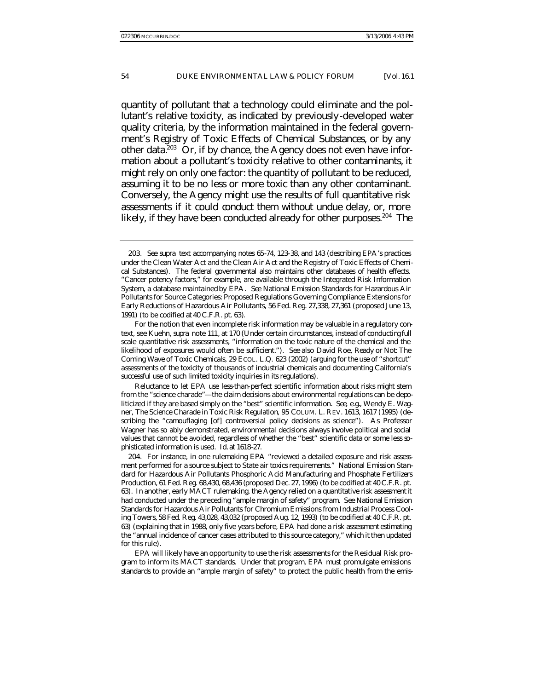quantity of pollutant that a technology could eliminate and the pollutant's relative toxicity, as indicated by previously-developed water quality criteria, by the information maintained in the federal government's *Registry of Toxic Effects of Chemical Substances*, or by any other data.<sup>203</sup> Or, if by chance, the Agency does not even have information about a pollutant's toxicity relative to other contaminants, it might rely on only one factor: the quantity of pollutant to be reduced, assuming it to be no less or more toxic than any other contaminant. Conversely, the Agency might use the results of full quantitative risk assessments if it could conduct them without undue delay, or, more likely, if they have been conducted already for other purposes.<sup>204</sup> The

Reluctance to let EPA use less-than-perfect scientific information about risks might stem from the "science charade"—the claim decisions about environmental regulations can be depoliticized if they are based simply on the "best" scientific information. *See, e.g.*, Wendy E. Wagner, *The Science Charade in Toxic Risk Regulation*, 95 COLUM. L. REV. 1613, 1617 (1995) (describing the "camouflaging [of] controversial policy decisions as science"). As Professor Wagner has so ably demonstrated, environmental decisions always involve political and social values that cannot be avoided, regardless of whether the "best" scientific data or some less sophisticated information is used. *Id.* at 1618-27.

204. For instance, in one rulemaking EPA "reviewed a detailed exposure and risk assessment performed for a source subject to State air toxics requirements." National Emission Standard for Hazardous Air Pollutants Phosphoric Acid Manufacturing and Phosphate Fertilizers Production, 61 Fed. Reg. 68,430, 68,436 (proposed Dec. 27, 1996) (to be codified at 40 C.F.R. pt. 63). In another, early MACT rulemaking, the Agency relied on a quantitative risk assessment it had conducted under the preceding "ample margin of safety" program. *See* National Emission Standards for Hazardous Air Pollutants for Chromium Emissions from Industrial Process Cooling Towers, 58 Fed. Reg. 43,028, 43,032 (proposed Aug. 12, 1993) (to be codified at 40 C.F.R. pt. 63) (explaining that in 1988, only five years before, EPA had done a risk assessment estimating the "annual incidence of cancer cases attributed to this source category," which it then updated for this rule).

EPA will likely have an opportunity to use the risk assessments for the Residual Risk program to inform its MACT standards. Under that program, EPA must promulgate emissions standards to provide an "ample margin of safety" to protect the public health from the emis-

<sup>203</sup>*. See supra* text accompanying notes 65-74, 123-38, and 143 (describing EPA's practices under the Clean Water Act and the Clean Air Act and the Registry of Toxic Effects of Chemical Substances). The federal governmental also maintains other databases of health effects. "Cancer potency factors," for example, are available through the Integrated Risk Information System, a database maintained by EPA. *See* National Emission Standards for Hazardous Air Pollutants for Source Categories: Proposed Regulations Governing Compliance Extensions for Early Reductions of Hazardous Air Pollutants, 56 Fed. Reg. 27,338, 27,361 (proposed June 13, 1991) (to be codified at 40 C.F.R. pt. 63).

For the notion that even incomplete risk information may be valuable in a regulatory context, see Kuehn, *supra* note 111, at 170 (Under certain circumstances, instead of conducting full scale quantitative risk assessments, "information on the toxic nature of the chemical and the likelihood of exposures would often be sufficient."). *See also* David Roe, *Ready or Not: The Coming Wave of Toxic Chemicals*, 29 ECOL. L.Q. 623 (2002) (arguing for the use of "shortcut" assessments of the toxicity of thousands of industrial chemicals and documenting California's successful use of such limited toxicity inquiries in its regulations).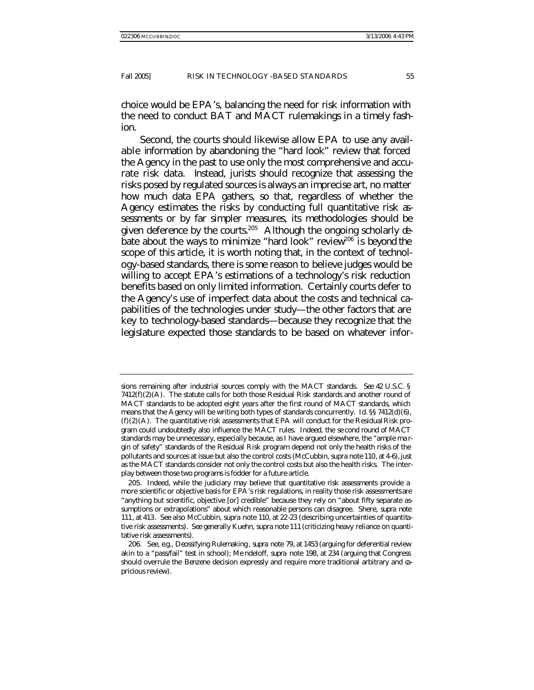choice would be EPA's, balancing the need for risk information with the need to conduct BAT and MACT rulemakings in a timely fashion.

Second, the courts should likewise allow EPA to use any available information by abandoning the "hard look" review that forced the Agency in the past to use only the most comprehensive and accurate risk data. Instead, jurists should recognize that assessing the risks posed by regulated sources is always an imprecise art, no matter how much data EPA gathers, so that, regardless of whether the Agency estimates the risks by conducting full quantitative risk assessments or by far simpler measures, its methodologies should be given deference by the courts.<sup>205</sup> Although the ongoing scholarly debate about the ways to minimize "hard look" review<sup>206</sup> is beyond the scope of this article, it is worth noting that, in the context of technology-based standards, there is some reason to believe judges would be willing to accept EPA's estimations of a technology's risk reduction benefits based on only limited information. Certainly courts defer to the Agency's use of imperfect data about the costs and technical capabilities of the technologies under study—the other factors that are key to technology-based standards—because they recognize that the legislature expected those standards to be based on whatever infor-

sions remaining after industrial sources comply with the MACT standards. *See* 42 U.S.C. §  $7412(f)(2)(A)$ . The statute calls for both those Residual Risk standards and another round of MACT standards to be adopted eight years after the first round of MACT standards, which means that the Agency will be writing both types of standards concurrently. *Id.* §§ 7412(d)(6),  $(f)(2)(A)$ . The quantitative risk assessments that EPA will conduct for the Residual Risk program could undoubtedly also influence the MACT rules. Indeed, the se cond round of MACT standards may be unnecessary, especially because, as I have argued elsewhere, the "ample ma rgin of safety" standards of the Residual Risk program depend not only the health risks of the pollutants and sources at issue but also the control costs (McCubbin, *supra* note 110, at 4-6), just as the MACT standards consider not only the control costs but also the health risks. The interplay between those two programs is fodder for a future article.

<sup>205.</sup> Indeed, while the judiciary may believe that quantitative risk assessments provide a more scientific or objective basis for EPA's risk regulations, in reality those risk assessments are "anything but scientific, objective [or] credible" because they rely on "about fifty separate assumptions or extrapolations" about which reasonable persons can disagree. Shere, *supra* note 111, at 413. *See also* McCubbin, *supra* note 110, at 22-23 (describing uncertainties of quantitative risk assessments). *See generally* Kuehn, *supra* note 111 (criticizing heavy reliance on quantitative risk assessments).

<sup>206</sup>*. See, e.g.*, *Deossifying Rulemaking* , *supra* note 79, at 1453 (arguing for deferential review akin to a "pass/fail" test in school); Me ndeloff, *supra* note 198, at 234 (arguing that Congress should overrule the *Benzene* decision expressly and require more traditional arbitrary and capricious review).